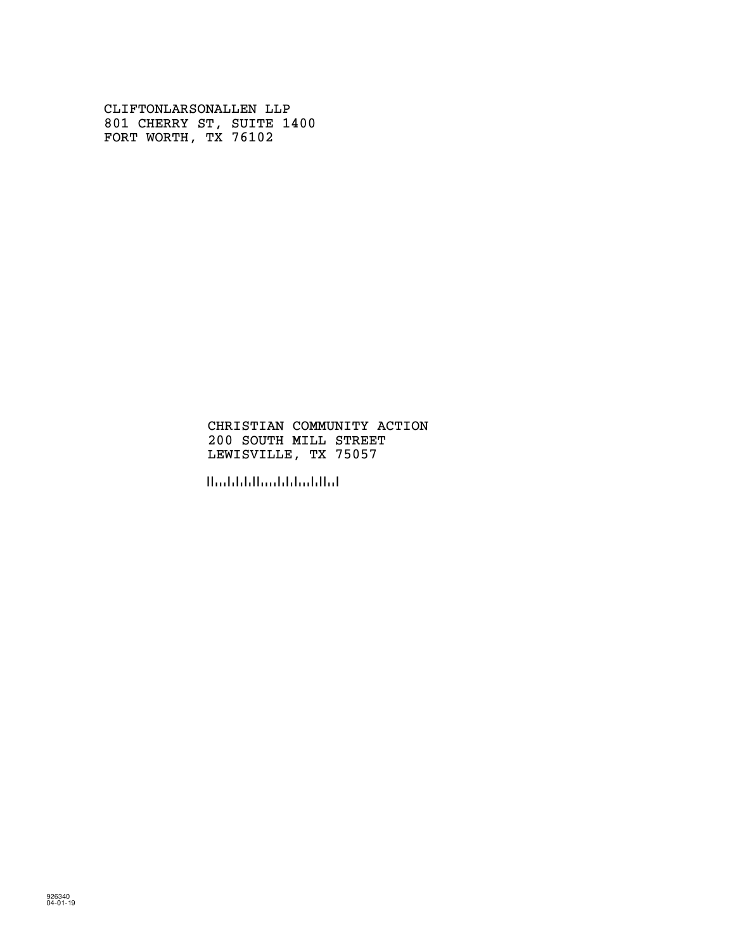CLIFTONLARSONALLEN LLP 801 CHERRY ST, SUITE 1400 FORT WORTH, TX 76102

### CHRISTIAN COMMUNITY ACTION 200 SOUTH MILL STREET LEWISVILLE, TX 75057

!750576!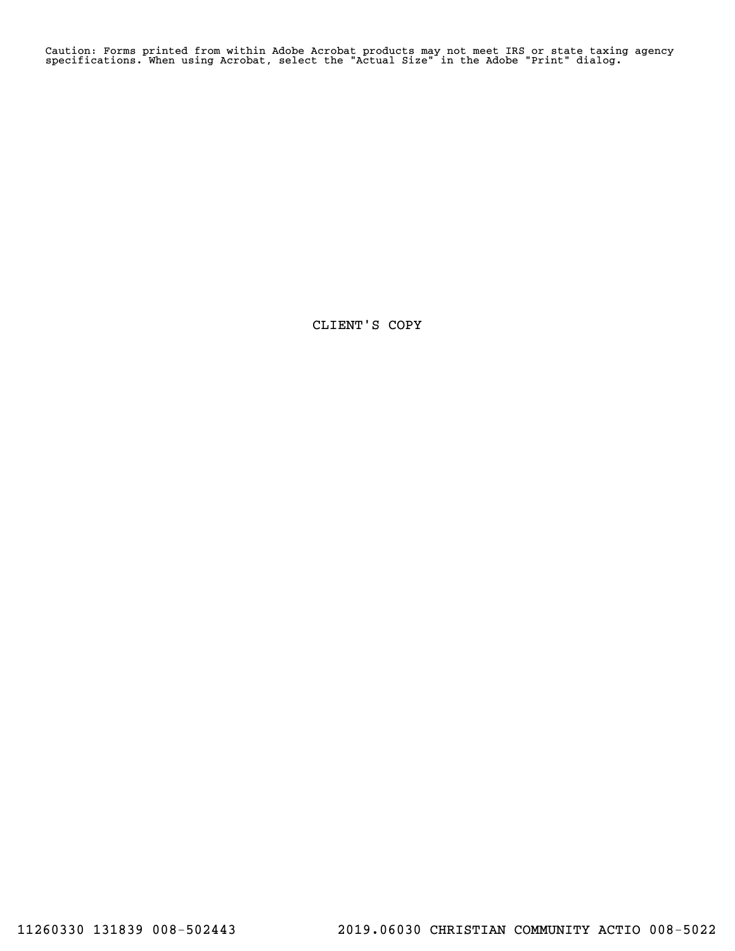Caution: Forms printed from within Adobe Acrobat products may not meet IRS or state taxing agency specifications. When using Acrobat, select the "Actual Size" in the Adobe "Print" dialog.

CLIENT'S COPY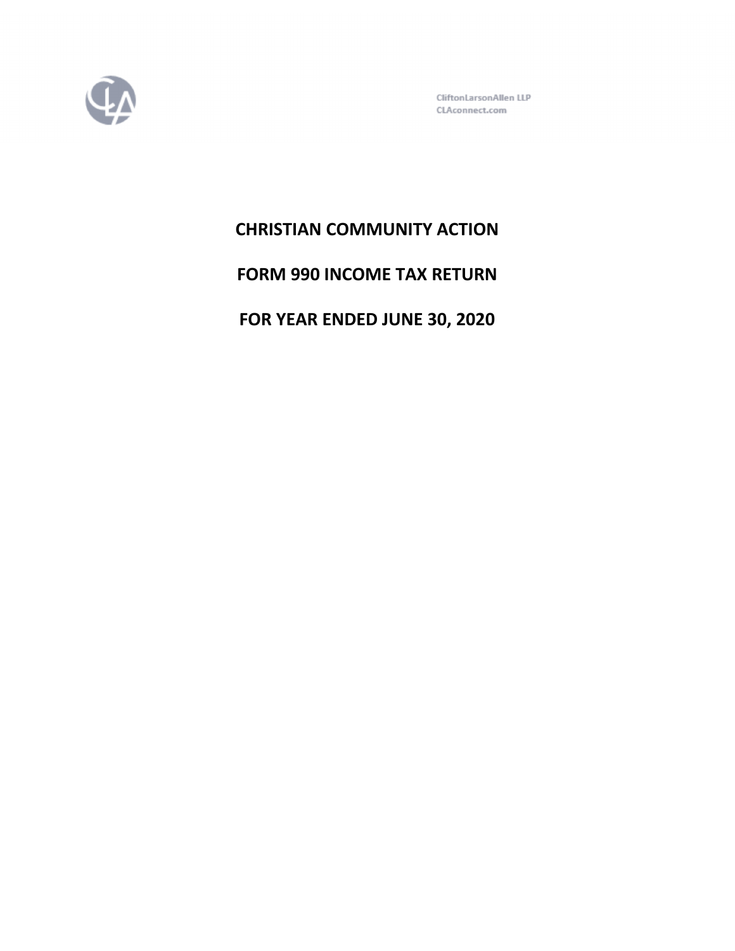

CliftonLarsonAllen LLP CLAconnect.com

# **CHRISTIAN COMMUNITY ACTION**

**FORM 990 INCOME TAX RETURN**

**FOR YEAR ENDED JUNE 30, 2020**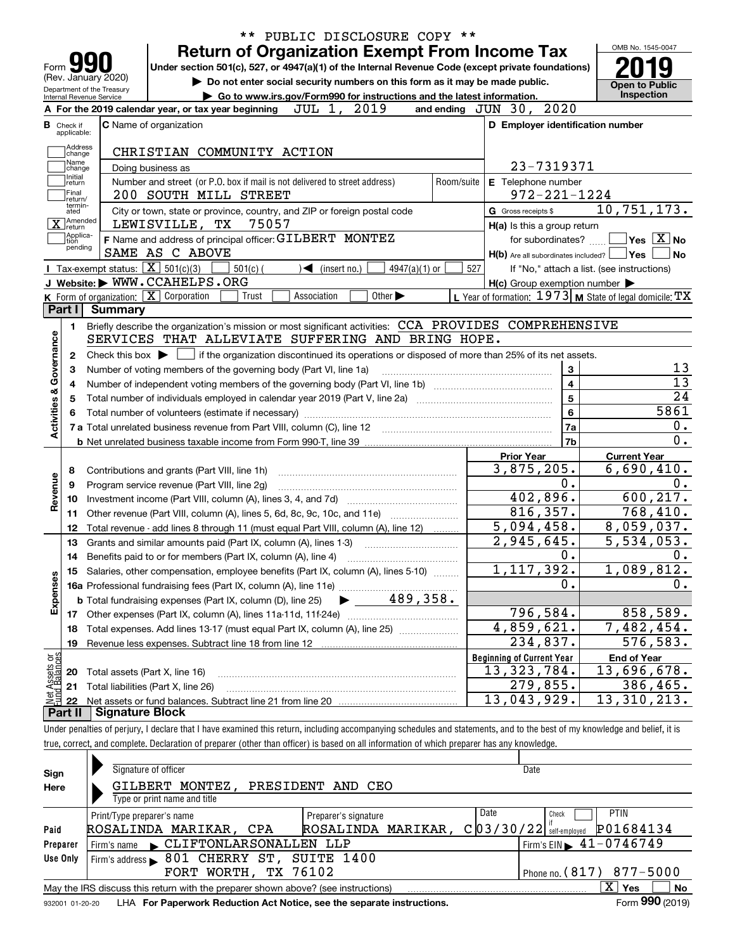| Form <b>M</b>                                  |                                                   | <b>Return of Organization Exempt From Income Tax</b><br>Under section 501(c), 527, or 4947(a)(1) of the Internal Revenue Code (except private foundations) |                                                                        |             |                                   |                             |                 |            |                      |                                                                                                 |                                                             | OMB No. 1545-0047 |
|------------------------------------------------|---------------------------------------------------|------------------------------------------------------------------------------------------------------------------------------------------------------------|------------------------------------------------------------------------|-------------|-----------------------------------|-----------------------------|-----------------|------------|----------------------|-------------------------------------------------------------------------------------------------|-------------------------------------------------------------|-------------------|
| (Rev. January 2020)                            | Department of the Treasury                        | Do not enter social security numbers on this form as it may be made public.                                                                                |                                                                        |             |                                   |                             |                 |            |                      |                                                                                                 | <b>Open to Public</b>                                       |                   |
| Internal Revenue Service                       |                                                   |                                                                                                                                                            | Go to www.irs.gov/Form990 for instructions and the latest information. |             |                                   |                             |                 |            |                      |                                                                                                 | <b>Inspection</b>                                           |                   |
|                                                |                                                   | A For the 2019 calendar year, or tax year beginning                                                                                                        |                                                                        | JUL 1, 2019 |                                   |                             |                 |            | and ending $JUN$ 30, | 2020                                                                                            |                                                             |                   |
| <b>B</b> Check if<br>applicable:               |                                                   | <b>C</b> Name of organization                                                                                                                              |                                                                        |             |                                   |                             |                 |            |                      |                                                                                                 | D Employer identification number                            |                   |
| Address<br> change<br>Name                     |                                                   | CHRISTIAN COMMUNITY ACTION                                                                                                                                 |                                                                        |             |                                   |                             |                 |            |                      |                                                                                                 |                                                             |                   |
| change<br>Initial                              |                                                   | Doing business as                                                                                                                                          |                                                                        |             |                                   |                             |                 |            |                      | 23-7319371                                                                                      |                                                             |                   |
| return<br> Final<br>return/                    |                                                   | Number and street (or P.O. box if mail is not delivered to street address)<br>200 SOUTH MILL STREET                                                        |                                                                        |             |                                   |                             |                 | Room/suite |                      | E Telephone number<br>$972 - 221 - 1224$                                                        |                                                             |                   |
| termin-<br>ated<br>]Amended<br>X return        |                                                   | City or town, state or province, country, and ZIP or foreign postal code<br>LEWISVILLE, TX                                                                 | 75057                                                                  |             |                                   |                             |                 |            | G Gross receipts \$  | H(a) Is this a group return                                                                     | 10,751,173.                                                 |                   |
| Applica-<br>tion                               |                                                   | F Name and address of principal officer: GILBERT MONTEZ                                                                                                    |                                                                        |             |                                   |                             |                 |            |                      | for subordinates?                                                                               | $\sqrt{}$ Yes $\sqrt{}$ $\overline{\rm X}$ No               |                   |
| pending                                        |                                                   | SAME AS C ABOVE                                                                                                                                            |                                                                        |             |                                   |                             |                 |            |                      | $H(b)$ Are all subordinates included? $\Box$                                                    | <b>Yes</b>                                                  | No                |
|                                                | Tax-exempt status: $\boxed{\mathbf{X}}$ 501(c)(3) |                                                                                                                                                            | $501(c)$ (                                                             |             | $\blacktriangleleft$ (insert no.) |                             | $4947(a)(1)$ or | 527        |                      |                                                                                                 | If "No," attach a list. (see instructions)                  |                   |
|                                                |                                                   | J Website: WWW.CCAHELPS.ORG                                                                                                                                |                                                                        |             |                                   |                             |                 |            |                      | $H(c)$ Group exemption number $\blacktriangleright$                                             |                                                             |                   |
|                                                |                                                   | K Form of organization: X Corporation                                                                                                                      | Trust                                                                  | Association |                                   | Other $\blacktriangleright$ |                 |            |                      |                                                                                                 | L Year of formation: $1973$ M State of legal domicile: $TX$ |                   |
| Part I                                         | Summary                                           |                                                                                                                                                            |                                                                        |             |                                   |                             |                 |            |                      |                                                                                                 |                                                             |                   |
| 1.                                             |                                                   | Briefly describe the organization's mission or most significant activities: CCA PROVIDES COMPREHENSIVE                                                     |                                                                        |             |                                   |                             |                 |            |                      |                                                                                                 |                                                             |                   |
|                                                |                                                   | SERVICES THAT ALLEVIATE SUFFERING AND BRING HOPE.                                                                                                          |                                                                        |             |                                   |                             |                 |            |                      |                                                                                                 |                                                             |                   |
| 2                                              | Check this box $\blacktriangleright$              |                                                                                                                                                            |                                                                        |             |                                   |                             |                 |            |                      | if the organization discontinued its operations or disposed of more than 25% of its net assets. |                                                             |                   |
|                                                |                                                   |                                                                                                                                                            |                                                                        |             |                                   |                             |                 |            |                      |                                                                                                 |                                                             |                   |
|                                                |                                                   |                                                                                                                                                            |                                                                        |             |                                   |                             |                 |            |                      |                                                                                                 |                                                             |                   |
| З                                              |                                                   | Number of voting members of the governing body (Part VI, line 1a)                                                                                          |                                                                        |             |                                   |                             |                 |            |                      | 3                                                                                               |                                                             |                   |
| 4                                              |                                                   |                                                                                                                                                            |                                                                        |             |                                   |                             |                 |            |                      | $\overline{\mathbf{4}}$                                                                         |                                                             |                   |
| 5                                              |                                                   |                                                                                                                                                            |                                                                        |             |                                   |                             |                 |            |                      | 5                                                                                               |                                                             | 13                |
|                                                |                                                   |                                                                                                                                                            |                                                                        |             |                                   |                             |                 |            |                      | 6                                                                                               |                                                             |                   |
|                                                |                                                   |                                                                                                                                                            |                                                                        |             |                                   |                             |                 |            |                      | 7a                                                                                              |                                                             |                   |
|                                                |                                                   |                                                                                                                                                            |                                                                        |             |                                   |                             |                 |            |                      | 7b                                                                                              |                                                             |                   |
|                                                |                                                   |                                                                                                                                                            |                                                                        |             |                                   |                             |                 |            | <b>Prior Year</b>    |                                                                                                 | <b>Current Year</b>                                         |                   |
| 8                                              |                                                   | Contributions and grants (Part VIII, line 1h)                                                                                                              |                                                                        |             |                                   |                             |                 |            |                      | 3,875,205.                                                                                      | 6,690,410.                                                  |                   |
| 9                                              |                                                   | Program service revenue (Part VIII, line 2g)                                                                                                               |                                                                        |             |                                   |                             |                 |            |                      | 0.                                                                                              |                                                             |                   |
| 10                                             |                                                   |                                                                                                                                                            |                                                                        |             |                                   |                             |                 |            |                      | 402,896.                                                                                        | 600, 217.                                                   |                   |
| 11                                             |                                                   | Other revenue (Part VIII, column (A), lines 5, 6d, 8c, 9c, 10c, and 11e)                                                                                   |                                                                        |             |                                   |                             |                 |            |                      | 816, 357.                                                                                       | 768,410.                                                    |                   |
| 12                                             |                                                   | Total revenue - add lines 8 through 11 (must equal Part VIII, column (A), line 12)                                                                         |                                                                        |             |                                   |                             |                 |            |                      | 5,094,458.                                                                                      | $\overline{8,059},037.$                                     |                   |
| 13                                             |                                                   | Grants and similar amounts paid (Part IX, column (A), lines 1-3)                                                                                           |                                                                        |             |                                   |                             |                 |            |                      | $\overline{2}$ , 945, 645.                                                                      | $\overline{5}$ , 534, 053.                                  |                   |
| 14                                             |                                                   |                                                                                                                                                            |                                                                        |             |                                   |                             |                 |            |                      | 0.                                                                                              |                                                             |                   |
|                                                |                                                   |                                                                                                                                                            |                                                                        |             |                                   |                             |                 |            |                      |                                                                                                 |                                                             |                   |
|                                                |                                                   | 15 Salaries, other compensation, employee benefits (Part IX, column (A), lines 5-10)                                                                       |                                                                        |             |                                   |                             |                 |            |                      | 1,117,392.<br>0.                                                                                | 1,089,812.                                                  |                   |
|                                                |                                                   |                                                                                                                                                            |                                                                        |             |                                   |                             |                 |            |                      |                                                                                                 |                                                             |                   |
|                                                |                                                   | <b>b</b> Total fundraising expenses (Part IX, column (D), line 25)                                                                                         |                                                                        |             |                                   |                             | 489,358.        |            |                      |                                                                                                 |                                                             |                   |
| 17                                             |                                                   |                                                                                                                                                            |                                                                        |             |                                   |                             |                 |            |                      | 796,584.                                                                                        | 858,589.                                                    |                   |
| 18                                             |                                                   | Total expenses. Add lines 13-17 (must equal Part IX, column (A), line 25)                                                                                  |                                                                        |             |                                   |                             |                 |            |                      | 4,859,621.                                                                                      | 7,482,454.                                                  |                   |
| 19                                             |                                                   | Revenue less expenses. Subtract line 18 from line 12                                                                                                       |                                                                        |             |                                   |                             |                 |            |                      | 234,837.                                                                                        | 576,583.                                                    |                   |
| Activities & Governance<br>Revenue<br>Expenses |                                                   |                                                                                                                                                            |                                                                        |             |                                   |                             |                 |            |                      | <b>Beginning of Current Year</b>                                                                | <b>End of Year</b>                                          |                   |
| 20                                             |                                                   | Total assets (Part X, line 16)                                                                                                                             |                                                                        |             |                                   |                             |                 |            |                      | 13, 323, 784.                                                                                   | 13,696,678.                                                 |                   |
| t Assets or<br>d Balances<br>21<br>혏<br>22     |                                                   | Total liabilities (Part X, line 26)                                                                                                                        |                                                                        |             |                                   |                             |                 |            |                      | 279,855.<br>13,043,929.                                                                         | 386,465.<br>13, 310, 213.                                   | 5861<br>0.        |

| Sign<br>Here | Signature of officer<br>GILBERT MONTEZ, PRESIDENT AND CEO<br>Type or print name and title                                                                                                                                         | Date                                            |  |  |  |  |  |  |  |
|--------------|-----------------------------------------------------------------------------------------------------------------------------------------------------------------------------------------------------------------------------------|-------------------------------------------------|--|--|--|--|--|--|--|
|              | <b>PTIN</b><br>Date<br>Check<br>Preparer's signature<br>Print/Type preparer's name<br>$C$ 03/30/22 self-employed                                                                                                                  |                                                 |  |  |  |  |  |  |  |
| Paid         | ROSALINDA MARIKAR,<br>ROSALINDA MARIKAR, CPA                                                                                                                                                                                      | P01684134                                       |  |  |  |  |  |  |  |
| Preparer     | Firm's name CLIFTONLARSONALLEN LLP                                                                                                                                                                                                | $1$ Firm's EIN $\blacktriangleright$ 41-0746749 |  |  |  |  |  |  |  |
| Use Only     | Firm's address 601 CHERRY ST, SUITE 1400                                                                                                                                                                                          |                                                 |  |  |  |  |  |  |  |
|              | FORT WORTH, TX 76102<br>Phone no. $(817)$ 877-5000                                                                                                                                                                                |                                                 |  |  |  |  |  |  |  |
|              | May the IRS discuss this return with the preparer shown above? (see instructions)                                                                                                                                                 | ΧI<br>No<br>Yes                                 |  |  |  |  |  |  |  |
|              | $\mathbf{r}$ . The contract of the contract of the contract of the contract of the contract of the contract of the contract of the contract of the contract of the contract of the contract of the contract of the contract of th | $\sim$ 000 $\sim$                               |  |  |  |  |  |  |  |

932001 01-20-20 **For Paperwork Reduction Act Notice, see the separate instructions.** LHA Form (2019)

**990**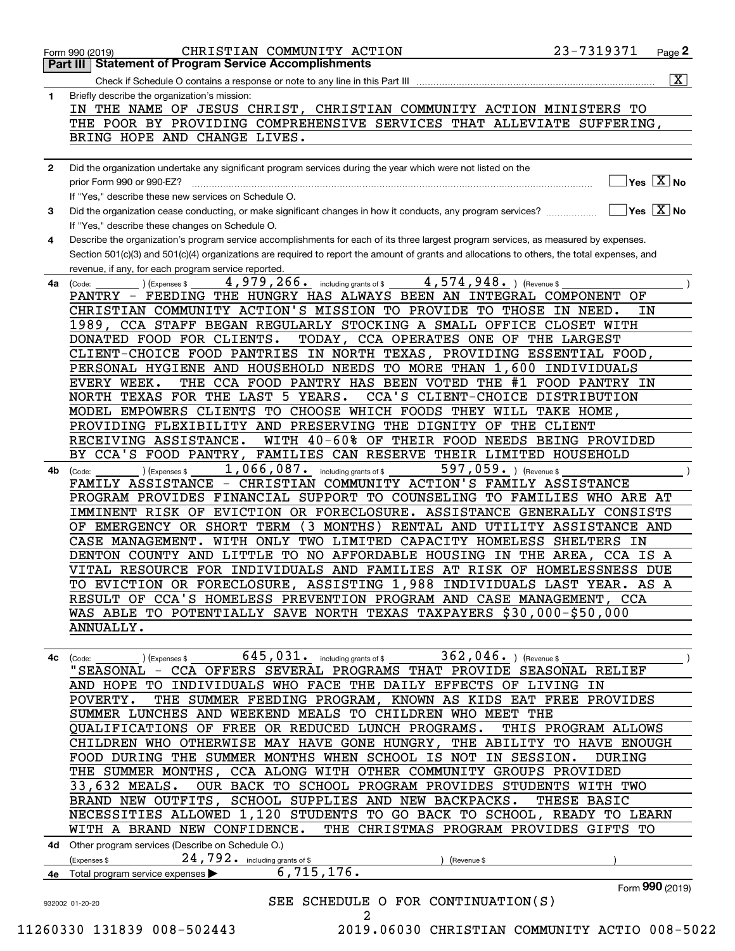|              |                                                                                                                                                                                         | $\overline{\mathbf{x}}$ |
|--------------|-----------------------------------------------------------------------------------------------------------------------------------------------------------------------------------------|-------------------------|
| 1            | Briefly describe the organization's mission:                                                                                                                                            |                         |
|              | IN THE NAME OF JESUS CHRIST, CHRISTIAN COMMUNITY ACTION MINISTERS TO                                                                                                                    |                         |
|              | THE POOR BY PROVIDING COMPREHENSIVE SERVICES THAT ALLEVIATE SUFFERING,                                                                                                                  |                         |
|              | BRING HOPE AND CHANGE LIVES.                                                                                                                                                            |                         |
|              |                                                                                                                                                                                         |                         |
| $\mathbf{2}$ | Did the organization undertake any significant program services during the year which were not listed on the<br>$\sqrt{}$ Yes $\sqrt{X}$ No                                             |                         |
|              | prior Form 990 or 990-EZ?                                                                                                                                                               |                         |
|              | If "Yes," describe these new services on Schedule O.<br>$\sqrt{}$ Yes $\sqrt{}$ $\overline{\text{X}}$ No                                                                                |                         |
| 3            | Did the organization cease conducting, or make significant changes in how it conducts, any program services?                                                                            |                         |
|              | If "Yes," describe these changes on Schedule O.<br>Describe the organization's program service accomplishments for each of its three largest program services, as measured by expenses. |                         |
| 4            | Section 501(c)(3) and 501(c)(4) organizations are required to report the amount of grants and allocations to others, the total expenses, and                                            |                         |
|              | revenue, if any, for each program service reported.                                                                                                                                     |                         |
| 4a           | 4,574,948. ) (Revenue \$<br>$\overline{4}$ , 979, 266. including grants of \$<br>(Expenses \$<br>(Code:                                                                                 |                         |
|              | PANTRY - FEEDING THE HUNGRY HAS ALWAYS BEEN AN INTEGRAL COMPONENT OF                                                                                                                    |                         |
|              | CHRISTIAN COMMUNITY ACTION'S MISSION TO PROVIDE TO THOSE IN NEED.<br>IN.                                                                                                                |                         |
|              | 1989, CCA STAFF BEGAN REGULARLY STOCKING A SMALL OFFICE CLOSET WITH                                                                                                                     |                         |
|              | DONATED FOOD FOR CLIENTS.<br>TODAY, CCA OPERATES ONE OF THE LARGEST                                                                                                                     |                         |
|              | CLIENT-CHOICE FOOD PANTRIES IN NORTH TEXAS, PROVIDING ESSENTIAL FOOD,                                                                                                                   |                         |
|              | PERSONAL HYGIENE AND HOUSEHOLD NEEDS TO MORE THAN 1,600 INDIVIDUALS                                                                                                                     |                         |
|              | THE CCA FOOD PANTRY HAS BEEN VOTED THE #1 FOOD PANTRY IN<br>EVERY WEEK.                                                                                                                 |                         |
|              | NORTH TEXAS FOR THE LAST 5 YEARS.<br>CCA'S CLIENT-CHOICE DISTRIBUTION                                                                                                                   |                         |
|              | MODEL EMPOWERS CLIENTS TO CHOOSE WHICH FOODS THEY WILL TAKE HOME,                                                                                                                       |                         |
|              | PROVIDING FLEXIBILITY AND PRESERVING THE DIGNITY OF THE CLIENT                                                                                                                          |                         |
|              | WITH 40-60% OF THEIR FOOD NEEDS BEING PROVIDED<br>RECEIVING ASSISTANCE.                                                                                                                 |                         |
|              | FAMILIES CAN RESERVE THEIR LIMITED HOUSEHOLD<br>BY CCA'S FOOD PANTRY,                                                                                                                   |                         |
| 4b           | 1,066,087. including grants of \$<br>597,059. ) (Revenue \$<br>) (Expenses \$<br>(Code:                                                                                                 |                         |
|              | FAMILY ASSISTANCE - CHRISTIAN COMMUNITY ACTION'S FAMILY ASSISTANCE                                                                                                                      |                         |
|              | PROGRAM PROVIDES FINANCIAL SUPPORT TO COUNSELING TO FAMILIES WHO ARE AT                                                                                                                 |                         |
|              | IMMINENT RISK OF EVICTION OR FORECLOSURE. ASSISTANCE GENERALLY CONSISTS                                                                                                                 |                         |
|              | OF EMERGENCY OR SHORT TERM<br>(3 MONTHS) RENTAL AND UTILITY ASSISTANCE AND                                                                                                              |                         |
|              | CASE MANAGEMENT. WITH ONLY TWO LIMITED CAPACITY HOMELESS SHELTERS IN                                                                                                                    |                         |
|              | DENTON COUNTY AND LITTLE TO NO AFFORDABLE HOUSING IN THE AREA,<br>CCA IS A                                                                                                              |                         |
|              | VITAL RESOURCE FOR INDIVIDUALS AND FAMILIES AT RISK OF HOMELESSNESS DUE                                                                                                                 |                         |
|              | TO EVICTION OR FORECLOSURE, ASSISTING 1,988 INDIVIDUALS LAST YEAR. AS A                                                                                                                 |                         |
|              | RESULT OF CCA'S HOMELESS PREVENTION PROGRAM AND CASE MANAGEMENT, CCA                                                                                                                    |                         |
|              | WAS ABLE TO POTENTIALLY SAVE NORTH TEXAS TAXPAYERS \$30,000-\$50,000                                                                                                                    |                         |
|              | ANNUALLY.                                                                                                                                                                               |                         |
|              |                                                                                                                                                                                         |                         |
| 4с           | $645, 031$ . including grants of \$<br>362,046. $ $ (Revenue \$<br>) (Expenses \$<br>(Code:                                                                                             |                         |
|              | "SEASONAL - CCA OFFERS SEVERAL PROGRAMS THAT PROVIDE SEASONAL RELIEF                                                                                                                    |                         |
|              | AND HOPE TO INDIVIDUALS WHO FACE THE DAILY EFFECTS OF LIVING IN                                                                                                                         |                         |
|              | THE SUMMER FEEDING PROGRAM, KNOWN AS KIDS EAT FREE PROVIDES<br>POVERTY.                                                                                                                 |                         |
|              | SUMMER LUNCHES AND WEEKEND MEALS TO CHILDREN WHO MEET THE                                                                                                                               |                         |
|              | OUALIFICATIONS OF FREE OR REDUCED LUNCH PROGRAMS.<br>THIS PROGRAM ALLOWS                                                                                                                |                         |
|              | CHILDREN WHO OTHERWISE MAY HAVE GONE HUNGRY, THE ABILITY TO HAVE ENOUGH                                                                                                                 |                         |
|              | FOOD DURING THE SUMMER MONTHS WHEN SCHOOL IS NOT IN SESSION.<br>DURING                                                                                                                  |                         |
|              | THE SUMMER MONTHS, CCA ALONG WITH OTHER COMMUNITY GROUPS PROVIDED                                                                                                                       |                         |
|              | 33,632 MEALS.<br>OUR BACK TO SCHOOL PROGRAM PROVIDES STUDENTS WITH TWO                                                                                                                  |                         |
|              | BRAND NEW OUTFITS, SCHOOL SUPPLIES AND NEW BACKPACKS.<br>THESE BASIC                                                                                                                    |                         |
|              | NECESSITIES ALLOWED 1,120 STUDENTS TO GO BACK TO SCHOOL, READY TO LEARN                                                                                                                 |                         |
|              | WITH A BRAND NEW CONFIDENCE.<br>THE CHRISTMAS PROGRAM PROVIDES GIFTS TO                                                                                                                 |                         |
|              | 4d Other program services (Describe on Schedule O.)                                                                                                                                     |                         |
|              | 24,792. including grants of \$<br>(Expenses \$<br>(Revenue \$                                                                                                                           |                         |
|              | 6,715,176.<br>4e Total program service expenses >                                                                                                                                       |                         |
|              | Form 990 (2019)<br>SEE SCHEDULE O FOR CONTINUATION(S)                                                                                                                                   |                         |
|              |                                                                                                                                                                                         |                         |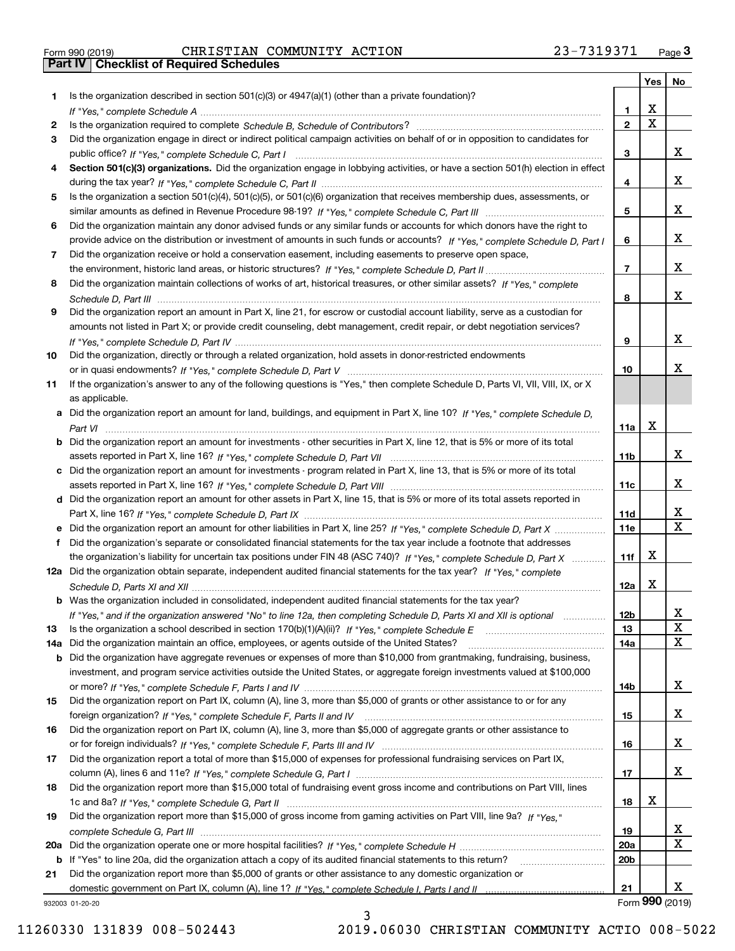| Form 990 (2019) |  |  |
|-----------------|--|--|

|     |                                                                                                                                                                                                                                                           |                 | Yes                     | No                           |
|-----|-----------------------------------------------------------------------------------------------------------------------------------------------------------------------------------------------------------------------------------------------------------|-----------------|-------------------------|------------------------------|
| 1   | Is the organization described in section $501(c)(3)$ or $4947(a)(1)$ (other than a private foundation)?                                                                                                                                                   |                 |                         |                              |
|     |                                                                                                                                                                                                                                                           | 1.              | X                       |                              |
| 2   |                                                                                                                                                                                                                                                           | $\overline{2}$  | $\overline{\mathbf{x}}$ |                              |
| 3   | Did the organization engage in direct or indirect political campaign activities on behalf of or in opposition to candidates for                                                                                                                           |                 |                         |                              |
|     |                                                                                                                                                                                                                                                           | 3               |                         | х                            |
| 4   | Section 501(c)(3) organizations. Did the organization engage in lobbying activities, or have a section 501(h) election in effect                                                                                                                          |                 |                         |                              |
|     |                                                                                                                                                                                                                                                           | 4               |                         | х                            |
| 5   | Is the organization a section 501(c)(4), 501(c)(5), or 501(c)(6) organization that receives membership dues, assessments, or                                                                                                                              |                 |                         | х                            |
|     |                                                                                                                                                                                                                                                           | 5               |                         |                              |
| 6   | Did the organization maintain any donor advised funds or any similar funds or accounts for which donors have the right to<br>provide advice on the distribution or investment of amounts in such funds or accounts? If "Yes," complete Schedule D, Part I | 6               |                         | х                            |
| 7   | Did the organization receive or hold a conservation easement, including easements to preserve open space,                                                                                                                                                 |                 |                         |                              |
|     |                                                                                                                                                                                                                                                           | $\overline{7}$  |                         | x                            |
| 8   | Did the organization maintain collections of works of art, historical treasures, or other similar assets? If "Yes," complete                                                                                                                              |                 |                         |                              |
|     |                                                                                                                                                                                                                                                           | 8               |                         | x                            |
| 9   | Did the organization report an amount in Part X, line 21, for escrow or custodial account liability, serve as a custodian for                                                                                                                             |                 |                         |                              |
|     | amounts not listed in Part X; or provide credit counseling, debt management, credit repair, or debt negotiation services?                                                                                                                                 |                 |                         |                              |
|     |                                                                                                                                                                                                                                                           | 9               |                         | х                            |
| 10  | Did the organization, directly or through a related organization, hold assets in donor-restricted endowments                                                                                                                                              |                 |                         |                              |
|     |                                                                                                                                                                                                                                                           | 10              |                         | x                            |
| 11  | If the organization's answer to any of the following questions is "Yes," then complete Schedule D, Parts VI, VIII, VIII, IX, or X                                                                                                                         |                 |                         |                              |
|     | as applicable.                                                                                                                                                                                                                                            |                 |                         |                              |
|     | a Did the organization report an amount for land, buildings, and equipment in Part X, line 10? If "Yes," complete Schedule D,                                                                                                                             |                 |                         |                              |
|     |                                                                                                                                                                                                                                                           | 11a             | X                       |                              |
|     | Did the organization report an amount for investments - other securities in Part X, line 12, that is 5% or more of its total                                                                                                                              |                 |                         |                              |
|     |                                                                                                                                                                                                                                                           | 11 <sub>b</sub> |                         | х                            |
| c   | Did the organization report an amount for investments - program related in Part X, line 13, that is 5% or more of its total                                                                                                                               |                 |                         |                              |
|     |                                                                                                                                                                                                                                                           | 11c             |                         | x                            |
|     | d Did the organization report an amount for other assets in Part X, line 15, that is 5% or more of its total assets reported in                                                                                                                           |                 |                         |                              |
|     |                                                                                                                                                                                                                                                           | 11d<br>11e      |                         | x<br>$\overline{\mathbf{x}}$ |
|     | Did the organization report an amount for other liabilities in Part X, line 25? If "Yes," complete Schedule D, Part X                                                                                                                                     |                 |                         |                              |
|     | Did the organization's separate or consolidated financial statements for the tax year include a footnote that addresses<br>the organization's liability for uncertain tax positions under FIN 48 (ASC 740)? If "Yes," complete Schedule D, Part X         | 11f             | X                       |                              |
|     | 12a Did the organization obtain separate, independent audited financial statements for the tax year? If "Yes," complete                                                                                                                                   |                 |                         |                              |
|     |                                                                                                                                                                                                                                                           | 12a             | X                       |                              |
|     | <b>b</b> Was the organization included in consolidated, independent audited financial statements for the tax year?                                                                                                                                        |                 |                         |                              |
|     | If "Yes," and if the organization answered "No" to line 12a, then completing Schedule D, Parts XI and XII is optional                                                                                                                                     | 12b             |                         | ᅀ                            |
| 13  |                                                                                                                                                                                                                                                           | 13              |                         | $\mathbf X$                  |
| 14a | Did the organization maintain an office, employees, or agents outside of the United States?                                                                                                                                                               | 14a             |                         | X                            |
| b   | Did the organization have aggregate revenues or expenses of more than \$10,000 from grantmaking, fundraising, business,                                                                                                                                   |                 |                         |                              |
|     | investment, and program service activities outside the United States, or aggregate foreign investments valued at \$100,000                                                                                                                                |                 |                         |                              |
|     |                                                                                                                                                                                                                                                           | 14b             |                         | x                            |
| 15  | Did the organization report on Part IX, column (A), line 3, more than \$5,000 of grants or other assistance to or for any                                                                                                                                 |                 |                         |                              |
|     |                                                                                                                                                                                                                                                           | 15              |                         | x                            |
| 16  | Did the organization report on Part IX, column (A), line 3, more than \$5,000 of aggregate grants or other assistance to                                                                                                                                  |                 |                         |                              |
|     |                                                                                                                                                                                                                                                           | 16              |                         | x                            |
| 17  | Did the organization report a total of more than \$15,000 of expenses for professional fundraising services on Part IX,                                                                                                                                   |                 |                         |                              |
|     |                                                                                                                                                                                                                                                           | 17              |                         | x                            |
| 18  | Did the organization report more than \$15,000 total of fundraising event gross income and contributions on Part VIII, lines                                                                                                                              |                 | х                       |                              |
|     |                                                                                                                                                                                                                                                           | 18              |                         |                              |
| 19  | Did the organization report more than \$15,000 of gross income from gaming activities on Part VIII, line 9a? If "Yes."                                                                                                                                    | 19              |                         | X                            |
| 20a |                                                                                                                                                                                                                                                           | 20a             |                         | X                            |
| b   | If "Yes" to line 20a, did the organization attach a copy of its audited financial statements to this return?                                                                                                                                              | 20 <sub>b</sub> |                         |                              |
| 21  | Did the organization report more than \$5,000 of grants or other assistance to any domestic organization or                                                                                                                                               |                 |                         |                              |
|     |                                                                                                                                                                                                                                                           | 21              |                         | x                            |
|     | 932003 01-20-20                                                                                                                                                                                                                                           |                 |                         | Form 990 (2019)              |

932003 01-20-20

3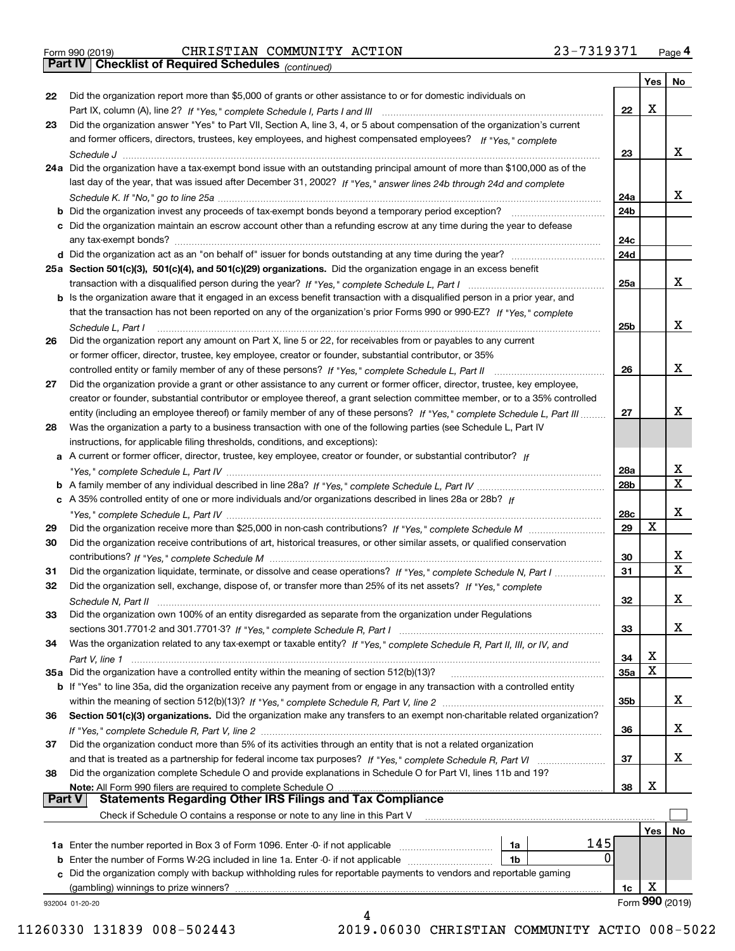| Form 990 (2019) |  |  |
|-----------------|--|--|

*(continued)*

|               |                                                                                                                                   |                 | Yes | No              |
|---------------|-----------------------------------------------------------------------------------------------------------------------------------|-----------------|-----|-----------------|
| 22            | Did the organization report more than \$5,000 of grants or other assistance to or for domestic individuals on                     |                 |     |                 |
|               |                                                                                                                                   | 22              | X   |                 |
| 23            | Did the organization answer "Yes" to Part VII, Section A, line 3, 4, or 5 about compensation of the organization's current        |                 |     |                 |
|               | and former officers, directors, trustees, key employees, and highest compensated employees? If "Yes," complete                    |                 |     |                 |
|               |                                                                                                                                   | 23              |     | x               |
|               | 24a Did the organization have a tax-exempt bond issue with an outstanding principal amount of more than \$100,000 as of the       |                 |     |                 |
|               | last day of the year, that was issued after December 31, 2002? If "Yes," answer lines 24b through 24d and complete                |                 |     |                 |
|               |                                                                                                                                   | 24a             |     | x               |
|               | b Did the organization invest any proceeds of tax-exempt bonds beyond a temporary period exception?                               | 24b             |     |                 |
|               | c Did the organization maintain an escrow account other than a refunding escrow at any time during the year to defease            |                 |     |                 |
|               | any tax-exempt bonds?                                                                                                             | 24c             |     |                 |
|               |                                                                                                                                   | 24d             |     |                 |
|               | 25a Section 501(c)(3), 501(c)(4), and 501(c)(29) organizations. Did the organization engage in an excess benefit                  |                 |     |                 |
|               |                                                                                                                                   | 25a             |     | x               |
|               | b Is the organization aware that it engaged in an excess benefit transaction with a disqualified person in a prior year, and      |                 |     |                 |
|               | that the transaction has not been reported on any of the organization's prior Forms 990 or 990-EZ? If "Yes," complete             |                 |     |                 |
|               |                                                                                                                                   |                 |     | x               |
|               | Schedule L. Part I                                                                                                                | 25b             |     |                 |
| 26            | Did the organization report any amount on Part X, line 5 or 22, for receivables from or payables to any current                   |                 |     |                 |
|               | or former officer, director, trustee, key employee, creator or founder, substantial contributor, or 35%                           |                 |     |                 |
|               |                                                                                                                                   | 26              |     | x               |
| 27            | Did the organization provide a grant or other assistance to any current or former officer, director, trustee, key employee,       |                 |     |                 |
|               | creator or founder, substantial contributor or employee thereof, a grant selection committee member, or to a 35% controlled       |                 |     |                 |
|               | entity (including an employee thereof) or family member of any of these persons? If "Yes," complete Schedule L, Part III          | 27              |     | x               |
| 28            | Was the organization a party to a business transaction with one of the following parties (see Schedule L, Part IV                 |                 |     |                 |
|               | instructions, for applicable filing thresholds, conditions, and exceptions):                                                      |                 |     |                 |
|               | a A current or former officer, director, trustee, key employee, creator or founder, or substantial contributor? If                |                 |     |                 |
|               |                                                                                                                                   | 28a             |     | х               |
|               |                                                                                                                                   | 28 <sub>b</sub> |     | X               |
|               | c A 35% controlled entity of one or more individuals and/or organizations described in lines 28a or 28b? If                       |                 |     |                 |
|               |                                                                                                                                   | 28c             |     | х               |
| 29            |                                                                                                                                   | 29              | X   |                 |
| 30            | Did the organization receive contributions of art, historical treasures, or other similar assets, or qualified conservation       |                 |     |                 |
|               |                                                                                                                                   | 30              |     | x               |
| 31            | Did the organization liquidate, terminate, or dissolve and cease operations? If "Yes," complete Schedule N, Part I                | 31              |     | $\mathbf x$     |
| 32            | Did the organization sell, exchange, dispose of, or transfer more than 25% of its net assets? If "Yes," complete                  |                 |     |                 |
|               | Schedule N, Part II                                                                                                               | 32              |     | х               |
| 33            | Did the organization own 100% of an entity disregarded as separate from the organization under Regulations                        |                 |     |                 |
|               |                                                                                                                                   | 33              |     | х               |
| 34            | Was the organization related to any tax-exempt or taxable entity? If "Yes," complete Schedule R, Part II, III, or IV, and         |                 |     |                 |
|               |                                                                                                                                   | 34              | х   |                 |
|               | 35a Did the organization have a controlled entity within the meaning of section 512(b)(13)?                                       | 35a             | X   |                 |
|               | b If "Yes" to line 35a, did the organization receive any payment from or engage in any transaction with a controlled entity       |                 |     |                 |
|               |                                                                                                                                   | 35 <sub>b</sub> |     | X.              |
| 36            | Section 501(c)(3) organizations. Did the organization make any transfers to an exempt non-charitable related organization?        |                 |     |                 |
|               |                                                                                                                                   | 36              |     | x               |
|               | Did the organization conduct more than 5% of its activities through an entity that is not a related organization                  |                 |     |                 |
| 37            |                                                                                                                                   |                 |     | х               |
|               |                                                                                                                                   | 37              |     |                 |
| 38            | Did the organization complete Schedule O and provide explanations in Schedule O for Part VI, lines 11b and 19?                    |                 | X   |                 |
| <b>Part V</b> | Note: All Form 990 filers are required to complete Schedule O<br><b>Statements Regarding Other IRS Filings and Tax Compliance</b> | 38              |     |                 |
|               |                                                                                                                                   |                 |     |                 |
|               | Check if Schedule O contains a response or note to any line in this Part V                                                        |                 |     |                 |
|               |                                                                                                                                   |                 | Yes | No              |
|               | 145<br><b>1a</b> Enter the number reported in Box 3 of Form 1096. Enter -0- if not applicable <i>manumumumum</i><br>1a<br>0       |                 |     |                 |
|               | 1b                                                                                                                                |                 |     |                 |
|               | c Did the organization comply with backup withholding rules for reportable payments to vendors and reportable gaming              |                 |     |                 |
|               | (gambling) winnings to prize winners?                                                                                             | 1c              | х   |                 |
|               | 932004 01-20-20                                                                                                                   |                 |     | Form 990 (2019) |
|               |                                                                                                                                   |                 |     |                 |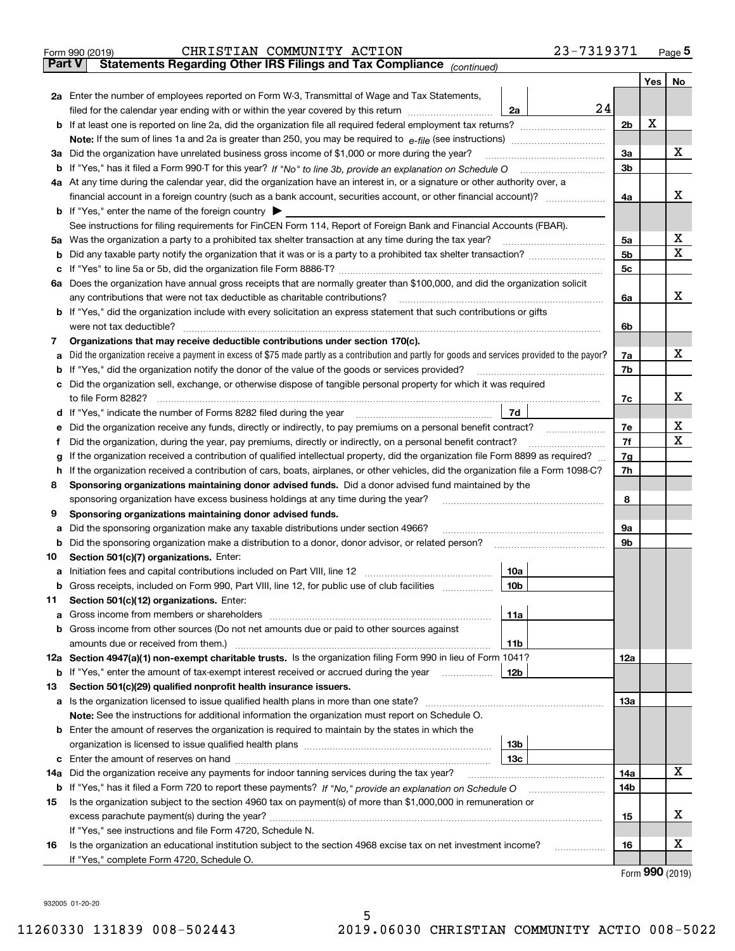|               | 23-7319371<br>CHRISTIAN COMMUNITY ACTION<br>Form 990 (2019)                                                                                     |                |     | $Page$ <sup>5</sup> |
|---------------|-------------------------------------------------------------------------------------------------------------------------------------------------|----------------|-----|---------------------|
| <b>Part V</b> | Statements Regarding Other IRS Filings and Tax Compliance (continued)                                                                           |                |     |                     |
|               |                                                                                                                                                 |                | Yes | No                  |
|               | 2a Enter the number of employees reported on Form W-3, Transmittal of Wage and Tax Statements,                                                  |                |     |                     |
|               | 24<br>filed for the calendar year ending with or within the year covered by this return<br>2a                                                   |                |     |                     |
|               |                                                                                                                                                 | 2 <sub>b</sub> | X   |                     |
|               |                                                                                                                                                 |                |     |                     |
|               | 3a Did the organization have unrelated business gross income of \$1,000 or more during the year?                                                | 3a             |     | Х                   |
|               |                                                                                                                                                 | 3b             |     |                     |
|               | 4a At any time during the calendar year, did the organization have an interest in, or a signature or other authority over, a                    |                |     |                     |
|               | financial account in a foreign country (such as a bank account, securities account, or other financial account)?                                | 4a             |     | x                   |
|               | <b>b</b> If "Yes," enter the name of the foreign country $\triangleright$                                                                       |                |     |                     |
|               | See instructions for filing requirements for FinCEN Form 114, Report of Foreign Bank and Financial Accounts (FBAR).                             |                |     | х                   |
|               | 5a Was the organization a party to a prohibited tax shelter transaction at any time during the tax year?                                        | 5a             |     | X                   |
| b             |                                                                                                                                                 | 5 <sub>b</sub> |     |                     |
| с             |                                                                                                                                                 | 5 <sub>c</sub> |     |                     |
|               | 6a Does the organization have annual gross receipts that are normally greater than \$100,000, and did the organization solicit                  |                |     | x                   |
|               | any contributions that were not tax deductible as charitable contributions?                                                                     | 6a             |     |                     |
|               | <b>b</b> If "Yes," did the organization include with every solicitation an express statement that such contributions or gifts                   |                |     |                     |
|               | were not tax deductible?<br>Organizations that may receive deductible contributions under section 170(c).                                       | 6b             |     |                     |
| 7<br>a        | Did the organization receive a payment in excess of \$75 made partly as a contribution and partly for goods and services provided to the payor? | 7a             |     | Х                   |
| b             | If "Yes," did the organization notify the donor of the value of the goods or services provided?                                                 | 7b             |     |                     |
| c             | Did the organization sell, exchange, or otherwise dispose of tangible personal property for which it was required                               |                |     |                     |
|               | to file Form 8282?                                                                                                                              | 7c             |     | х                   |
| d             | 7d<br>If "Yes," indicate the number of Forms 8282 filed during the year                                                                         |                |     |                     |
| е             | Did the organization receive any funds, directly or indirectly, to pay premiums on a personal benefit contract?                                 | 7e             |     | х                   |
| Ť.            | Did the organization, during the year, pay premiums, directly or indirectly, on a personal benefit contract?                                    | 7f             |     | $\mathbf X$         |
| g             | If the organization received a contribution of qualified intellectual property, did the organization file Form 8899 as required?                | 7g             |     |                     |
| h             | If the organization received a contribution of cars, boats, airplanes, or other vehicles, did the organization file a Form 1098-C?              | 7h             |     |                     |
| 8             | Sponsoring organizations maintaining donor advised funds. Did a donor advised fund maintained by the                                            |                |     |                     |
|               | sponsoring organization have excess business holdings at any time during the year?                                                              | 8              |     |                     |
| 9             | Sponsoring organizations maintaining donor advised funds.                                                                                       |                |     |                     |
| а             | Did the sponsoring organization make any taxable distributions under section 4966?                                                              | 9а             |     |                     |
| b             | Did the sponsoring organization make a distribution to a donor, donor advisor, or related person?                                               | 9b             |     |                     |
| 10            | Section 501(c)(7) organizations. Enter:                                                                                                         |                |     |                     |
| a             | Initiation fees and capital contributions included on Part VIII, line 12<br>10a                                                                 |                |     |                     |
| b             | Gross receipts, included on Form 990, Part VIII, line 12, for public use of club facilities<br>10b                                              |                |     |                     |
| 11            | Section 501(c)(12) organizations. Enter:                                                                                                        |                |     |                     |
| а             | 11a<br>Gross income from members or shareholders                                                                                                |                |     |                     |
| b             | Gross income from other sources (Do not net amounts due or paid to other sources against                                                        |                |     |                     |
|               | amounts due or received from them.)<br>11b                                                                                                      |                |     |                     |
|               | 12a Section 4947(a)(1) non-exempt charitable trusts. Is the organization filing Form 990 in lieu of Form 1041?                                  | 12a            |     |                     |
| b             | If "Yes," enter the amount of tax-exempt interest received or accrued during the year<br>12b                                                    |                |     |                     |
| 13            | Section 501(c)(29) qualified nonprofit health insurance issuers.                                                                                |                |     |                     |
|               | a Is the organization licensed to issue qualified health plans in more than one state?                                                          | 13а            |     |                     |
|               | Note: See the instructions for additional information the organization must report on Schedule O.                                               |                |     |                     |
|               | <b>b</b> Enter the amount of reserves the organization is required to maintain by the states in which the                                       |                |     |                     |
|               | 13b                                                                                                                                             |                |     |                     |
| c             | 13с                                                                                                                                             |                |     |                     |
| 14a           | Did the organization receive any payments for indoor tanning services during the tax year?                                                      | 14a            |     | X                   |
| b             |                                                                                                                                                 | 14b            |     |                     |
| 15            | Is the organization subject to the section 4960 tax on payment(s) of more than \$1,000,000 in remuneration or                                   |                |     |                     |
|               |                                                                                                                                                 | 15             |     | х                   |
|               | If "Yes," see instructions and file Form 4720, Schedule N.                                                                                      |                |     |                     |
| 16            | Is the organization an educational institution subject to the section 4968 excise tax on net investment income?<br>.                            | 16             |     | х                   |
|               | If "Yes," complete Form 4720, Schedule O.                                                                                                       |                |     |                     |

Form (2019) **990**

932005 01-20-20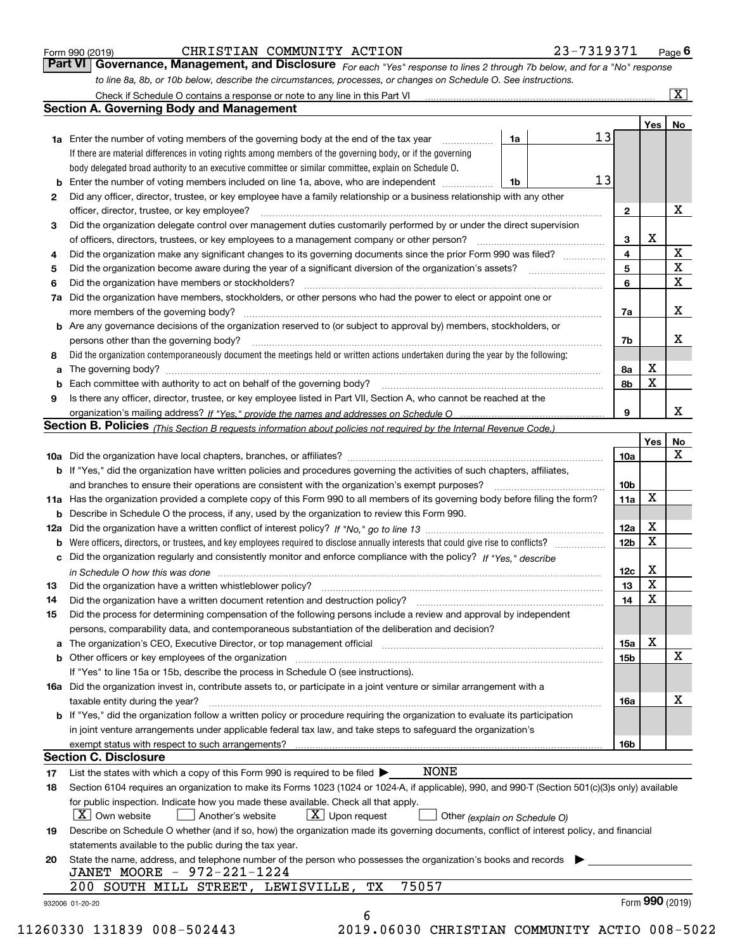| Form 990 (2019) |  |  |
|-----------------|--|--|
|                 |  |  |

| Form 990 (2019) | CHRISTIAN COMMUNITY ACTION                                                                                       | 23-7319371                                                                                                                    | $P_{\text{aqe}}$ 6 |
|-----------------|------------------------------------------------------------------------------------------------------------------|-------------------------------------------------------------------------------------------------------------------------------|--------------------|
|                 |                                                                                                                  | Part VI   Governance, Management, and Disclosure For each "Yes" response to lines 2 through 7b below, and for a "No" response |                    |
|                 | to line 8a, 8b, or 10b below, describe the circumstances, processes, or changes on Schedule O. See instructions. |                                                                                                                               |                    |

|              |                                                                                                                                                                                                                                |      |    |                 | Yes             | No                      |
|--------------|--------------------------------------------------------------------------------------------------------------------------------------------------------------------------------------------------------------------------------|------|----|-----------------|-----------------|-------------------------|
|              | <b>1a</b> Enter the number of voting members of the governing body at the end of the tax year <i>manumum</i>                                                                                                                   | 1a   | 13 |                 |                 |                         |
|              | If there are material differences in voting rights among members of the governing body, or if the governing                                                                                                                    |      |    |                 |                 |                         |
|              | body delegated broad authority to an executive committee or similar committee, explain on Schedule O.                                                                                                                          |      |    |                 |                 |                         |
| b            | Enter the number of voting members included on line 1a, above, who are independent                                                                                                                                             | l 1b | 13 |                 |                 |                         |
| $\mathbf{2}$ | Did any officer, director, trustee, or key employee have a family relationship or a business relationship with any other                                                                                                       |      |    |                 |                 |                         |
|              | officer, director, trustee, or key employee?                                                                                                                                                                                   |      |    | $\mathbf{2}$    |                 | х                       |
| 3            | Did the organization delegate control over management duties customarily performed by or under the direct supervision                                                                                                          |      |    |                 |                 |                         |
|              |                                                                                                                                                                                                                                |      |    | 3               | X               |                         |
| 4            | Did the organization make any significant changes to its governing documents since the prior Form 990 was filed?                                                                                                               |      |    | 4               |                 | $\mathbf X$             |
| 5            |                                                                                                                                                                                                                                |      |    | 5               |                 | $\overline{\mathbf{x}}$ |
| 6            | Did the organization have members or stockholders?                                                                                                                                                                             |      |    | 6               |                 | X                       |
|              | 7a Did the organization have members, stockholders, or other persons who had the power to elect or appoint one or                                                                                                              |      |    |                 |                 |                         |
|              |                                                                                                                                                                                                                                |      |    | 7a              |                 | X                       |
|              | <b>b</b> Are any governance decisions of the organization reserved to (or subject to approval by) members, stockholders, or                                                                                                    |      |    |                 |                 |                         |
|              | persons other than the governing body?                                                                                                                                                                                         |      |    | 7b              |                 | х                       |
| 8            | Did the organization contemporaneously document the meetings held or written actions undertaken during the year by the following:                                                                                              |      |    |                 |                 |                         |
| a            |                                                                                                                                                                                                                                |      |    | 8a              | X               |                         |
| b            | Each committee with authority to act on behalf of the governing body? [10] manufacture manufacture with authority to act on behalf of the governing body? [10] manufacture with authority of the state with an interval and th |      |    | 8b              | X               |                         |
| 9            | Is there any officer, director, trustee, or key employee listed in Part VII, Section A, who cannot be reached at the                                                                                                           |      |    |                 |                 |                         |
|              |                                                                                                                                                                                                                                |      |    | 9               |                 | x                       |
|              | Section B. Policies (This Section B requests information about policies not required by the Internal Revenue Code.)                                                                                                            |      |    |                 |                 |                         |
|              |                                                                                                                                                                                                                                |      |    |                 | Yes             | No                      |
|              |                                                                                                                                                                                                                                |      |    | 10a             |                 | X                       |
|              | <b>b</b> If "Yes," did the organization have written policies and procedures governing the activities of such chapters, affiliates,                                                                                            |      |    |                 |                 |                         |
|              |                                                                                                                                                                                                                                |      |    | 10 <sub>b</sub> |                 |                         |
|              | 11a Has the organization provided a complete copy of this Form 990 to all members of its governing body before filing the form?                                                                                                |      |    | 11a             | X               |                         |
|              | <b>b</b> Describe in Schedule O the process, if any, used by the organization to review this Form 990.                                                                                                                         |      |    |                 |                 |                         |
|              |                                                                                                                                                                                                                                |      |    | 12a             | X               |                         |
| b            |                                                                                                                                                                                                                                |      |    | 12 <sub>b</sub> | X               |                         |
| c            | Did the organization regularly and consistently monitor and enforce compliance with the policy? If "Yes," describe                                                                                                             |      |    |                 |                 |                         |
|              | in Schedule O how this was done material contracts and the set of the state of the state of the state of the state of the state of the state of the state of the state of the state of the state of the state of the state of  |      |    | 12c             | X               |                         |
| 13           |                                                                                                                                                                                                                                |      |    | 13              | X               |                         |
| 14           | Did the organization have a written document retention and destruction policy? manufactured and the organization have a written document retention and destruction policy?                                                     |      |    | 14              | $\mathbf X$     |                         |
| 15           | Did the process for determining compensation of the following persons include a review and approval by independent                                                                                                             |      |    |                 |                 |                         |
|              | persons, comparability data, and contemporaneous substantiation of the deliberation and decision?                                                                                                                              |      |    |                 |                 |                         |
|              | a The organization's CEO, Executive Director, or top management official manufactured content content of the organization's CEO, Executive Director, or top management official manufactured content of the state of the state |      |    | 15a             | X               |                         |
|              | <b>b</b> Other officers or key employees of the organization                                                                                                                                                                   |      |    | 15b             |                 | X                       |
|              | If "Yes" to line 15a or 15b, describe the process in Schedule O (see instructions).                                                                                                                                            |      |    |                 |                 |                         |
|              | 16a Did the organization invest in, contribute assets to, or participate in a joint venture or similar arrangement with a                                                                                                      |      |    |                 |                 |                         |
|              | taxable entity during the year?                                                                                                                                                                                                |      |    | 16a             |                 | X                       |
|              | b If "Yes," did the organization follow a written policy or procedure requiring the organization to evaluate its participation                                                                                                 |      |    |                 |                 |                         |
|              | in joint venture arrangements under applicable federal tax law, and take steps to safeguard the organization's                                                                                                                 |      |    |                 |                 |                         |
|              | exempt status with respect to such arrangements?                                                                                                                                                                               |      |    | 16b             |                 |                         |
|              | <b>Section C. Disclosure</b>                                                                                                                                                                                                   |      |    |                 |                 |                         |
| 17           | <b>NONE</b><br>List the states with which a copy of this Form 990 is required to be filed $\blacktriangleright$                                                                                                                |      |    |                 |                 |                         |
| 18           | Section 6104 requires an organization to make its Forms 1023 (1024 or 1024-A, if applicable), 990, and 990-T (Section 501(c)(3)s only) available                                                                               |      |    |                 |                 |                         |
|              | for public inspection. Indicate how you made these available. Check all that apply.                                                                                                                                            |      |    |                 |                 |                         |
|              | $X$ Upon request<br>$ X $ Own website<br>Another's website<br>Other (explain on Schedule O)                                                                                                                                    |      |    |                 |                 |                         |
| 19           | Describe on Schedule O whether (and if so, how) the organization made its governing documents, conflict of interest policy, and financial                                                                                      |      |    |                 |                 |                         |
|              | statements available to the public during the tax year.                                                                                                                                                                        |      |    |                 |                 |                         |
| 20           | State the name, address, and telephone number of the person who possesses the organization's books and records                                                                                                                 |      |    |                 |                 |                         |
|              | JANET MOORE - 972-221-1224                                                                                                                                                                                                     |      |    |                 |                 |                         |
|              | 75057<br>TX<br>200 SOUTH MILL STREET, LEWISVILLE,                                                                                                                                                                              |      |    |                 |                 |                         |
|              |                                                                                                                                                                                                                                |      |    |                 | Form 990 (2019) |                         |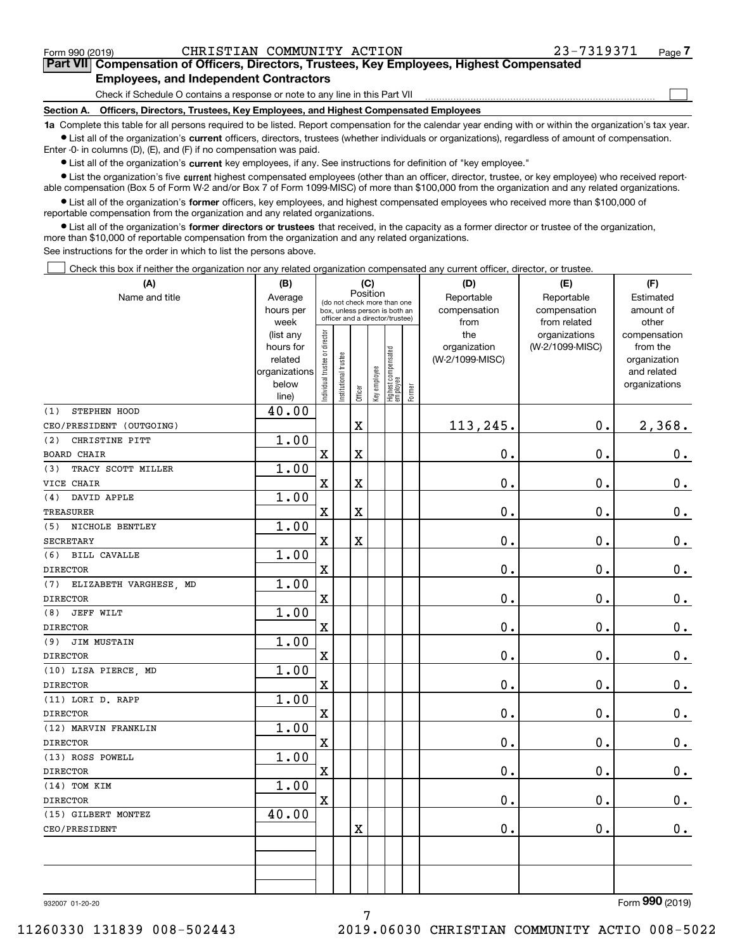$\mathcal{L}^{\text{max}}$ 

## **7Part VII Compensation of Officers, Directors, Trustees, Key Employees, Highest Compensated Employees, and Independent Contractors**

Check if Schedule O contains a response or note to any line in this Part VII

**Section A. Officers, Directors, Trustees, Key Employees, and Highest Compensated Employees**

**1a**  Complete this table for all persons required to be listed. Report compensation for the calendar year ending with or within the organization's tax year. **•** List all of the organization's current officers, directors, trustees (whether individuals or organizations), regardless of amount of compensation.

Enter -0- in columns (D), (E), and (F) if no compensation was paid.

 $\bullet$  List all of the organization's  $\,$ current key employees, if any. See instructions for definition of "key employee."

**•** List the organization's five current highest compensated employees (other than an officer, director, trustee, or key employee) who received reportable compensation (Box 5 of Form W-2 and/or Box 7 of Form 1099-MISC) of more than \$100,000 from the organization and any related organizations.

**•** List all of the organization's former officers, key employees, and highest compensated employees who received more than \$100,000 of reportable compensation from the organization and any related organizations.

**former directors or trustees**  ¥ List all of the organization's that received, in the capacity as a former director or trustee of the organization, more than \$10,000 of reportable compensation from the organization and any related organizations.

See instructions for the order in which to list the persons above.

Check this box if neither the organization nor any related organization compensated any current officer, director, or trustee.  $\mathcal{L}^{\text{max}}$ 

| (A)                        | (B)               | (C)                           |                       |          |              |                                                                  |        | (D)             | (E)                           | (F)                      |
|----------------------------|-------------------|-------------------------------|-----------------------|----------|--------------|------------------------------------------------------------------|--------|-----------------|-------------------------------|--------------------------|
| Name and title             | Average           |                               |                       | Position |              | (do not check more than one                                      |        | Reportable      | Reportable                    | Estimated                |
|                            | hours per         |                               |                       |          |              | box, unless person is both an<br>officer and a director/trustee) |        | compensation    | compensation                  | amount of                |
|                            | week<br>(list any |                               |                       |          |              |                                                                  |        | from<br>the     | from related<br>organizations | other                    |
|                            | hours for         |                               |                       |          |              |                                                                  |        | organization    | (W-2/1099-MISC)               | compensation<br>from the |
|                            | related           |                               |                       |          |              |                                                                  |        | (W-2/1099-MISC) |                               | organization             |
|                            | organizations     |                               |                       |          |              |                                                                  |        |                 |                               | and related              |
|                            | below             | ndividual trustee or director | Institutional trustee |          | Key employee | Highest compensated<br>  employee                                | Former |                 |                               | organizations            |
|                            | line)             |                               |                       | Officer  |              |                                                                  |        |                 |                               |                          |
| STEPHEN HOOD<br>(1)        | 40.00             |                               |                       |          |              |                                                                  |        |                 |                               |                          |
| CEO/PRESIDENT (OUTGOING)   |                   |                               |                       | X        |              |                                                                  |        | 113,245.        | 0.                            | 2,368.                   |
| (2)<br>CHRISTINE PITT      | 1.00              |                               |                       |          |              |                                                                  |        |                 |                               |                          |
| <b>BOARD CHAIR</b>         |                   | $\mathbf X$                   |                       | X        |              |                                                                  |        | $\mathbf 0$ .   | 0.                            | $\mathbf 0$ .            |
| TRACY SCOTT MILLER<br>(3)  | 1.00              |                               |                       |          |              |                                                                  |        |                 |                               |                          |
| VICE CHAIR                 |                   | $\mathbf x$                   |                       | X        |              |                                                                  |        | 0.              | $\mathbf 0$ .                 | $\mathbf 0$ .            |
| DAVID APPLE<br>(4)         | 1.00              |                               |                       |          |              |                                                                  |        |                 |                               |                          |
| <b>TREASURER</b>           |                   | $\mathbf X$                   |                       | X        |              |                                                                  |        | 0.              | 0.                            | $\mathbf 0$ .            |
| (5) NICHOLE BENTLEY        | 1.00              |                               |                       |          |              |                                                                  |        |                 |                               |                          |
| <b>SECRETARY</b>           |                   | $\rm X$                       |                       | X        |              |                                                                  |        | 0.              | $\mathbf 0$ .                 | $0_{.}$                  |
| (6) BILL CAVALLE           | 1.00              |                               |                       |          |              |                                                                  |        |                 |                               |                          |
| <b>DIRECTOR</b>            |                   | $\mathbf X$                   |                       |          |              |                                                                  |        | $\mathbf 0$ .   | $\mathbf 0$ .                 | $\mathbf 0$ .            |
| (7) ELIZABETH VARGHESE, MD | 1.00              |                               |                       |          |              |                                                                  |        |                 |                               |                          |
| <b>DIRECTOR</b>            |                   | $\mathbf X$                   |                       |          |              |                                                                  |        | 0.              | $\mathbf 0$ .                 | $\mathbf 0$ .            |
| (8)<br><b>JEFF WILT</b>    | 1.00              |                               |                       |          |              |                                                                  |        |                 |                               |                          |
| <b>DIRECTOR</b>            |                   | $\mathbf X$                   |                       |          |              |                                                                  |        | $0$ .           | 0.                            | $\mathbf 0$ .            |
| (9) JIM MUSTAIN            | 1.00              |                               |                       |          |              |                                                                  |        |                 |                               |                          |
| <b>DIRECTOR</b>            |                   | $\mathbf x$                   |                       |          |              |                                                                  |        | $0$ .           | 0.                            | 0.                       |
| (10) LISA PIERCE, MD       | 1.00              |                               |                       |          |              |                                                                  |        |                 |                               |                          |
| <b>DIRECTOR</b>            |                   | $\mathbf X$                   |                       |          |              |                                                                  |        | $\mathbf 0$ .   | 0.                            | $\mathbf 0$ .            |
| (11) LORI D. RAPP          | 1.00              |                               |                       |          |              |                                                                  |        |                 |                               |                          |
| <b>DIRECTOR</b>            |                   | $\mathbf x$                   |                       |          |              |                                                                  |        | 0.              | $\mathbf 0$ .                 | $\mathbf 0$ .            |
| (12) MARVIN FRANKLIN       | 1.00              |                               |                       |          |              |                                                                  |        |                 |                               |                          |
| <b>DIRECTOR</b>            |                   | $\mathbf X$                   |                       |          |              |                                                                  |        | $0$ .           | 0.                            | $\mathbf 0$ .            |
| (13) ROSS POWELL           | 1.00              |                               |                       |          |              |                                                                  |        |                 |                               |                          |
| <b>DIRECTOR</b>            |                   | $\mathbf x$                   |                       |          |              |                                                                  |        | $\mathbf 0$ .   | 0.                            | 0.                       |
| $(14)$ TOM KIM             | 1.00              |                               |                       |          |              |                                                                  |        |                 |                               |                          |
| <b>DIRECTOR</b>            |                   | $\mathbf X$                   |                       |          |              |                                                                  |        | $\mathbf 0$ .   | 0.                            | $\mathbf 0$ .            |
| (15) GILBERT MONTEZ        | 40.00             |                               |                       |          |              |                                                                  |        |                 |                               |                          |
| CEO/PRESIDENT              |                   |                               |                       | X        |              |                                                                  |        | 0.              | 0.                            | 0.                       |
|                            |                   |                               |                       |          |              |                                                                  |        |                 |                               |                          |
|                            |                   |                               |                       |          |              |                                                                  |        |                 |                               |                          |
|                            |                   |                               |                       |          |              |                                                                  |        |                 |                               |                          |
|                            |                   |                               |                       |          |              |                                                                  |        |                 |                               |                          |

7

932007 01-20-20

Form (2019) **990**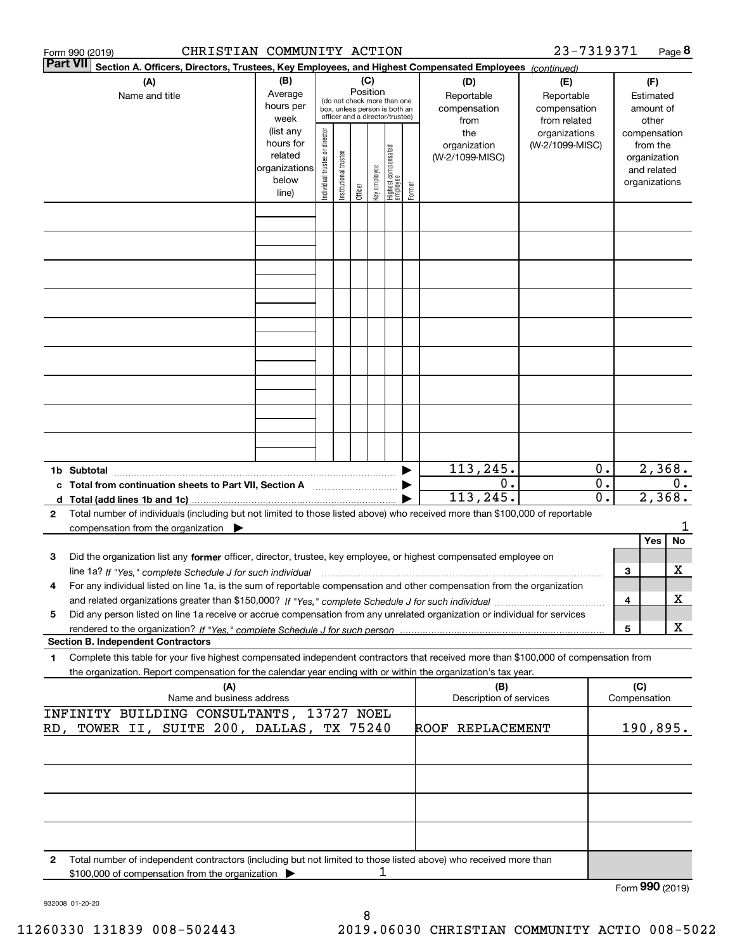|   | CHRISTIAN COMMUNITY ACTION<br>Form 990 (2019)                                                                                                                                                                                                                       |                                                                      |                                |                       |          |              |                                                                                                 |        |                                           | 23-7319371                                        |                             |     |                                                                          | Page 8 |
|---|---------------------------------------------------------------------------------------------------------------------------------------------------------------------------------------------------------------------------------------------------------------------|----------------------------------------------------------------------|--------------------------------|-----------------------|----------|--------------|-------------------------------------------------------------------------------------------------|--------|-------------------------------------------|---------------------------------------------------|-----------------------------|-----|--------------------------------------------------------------------------|--------|
|   | <b>Part VII</b><br>Section A. Officers, Directors, Trustees, Key Employees, and Highest Compensated Employees (continued)                                                                                                                                           |                                                                      |                                |                       |          |              |                                                                                                 |        |                                           |                                                   |                             |     |                                                                          |        |
|   | (A)<br>Name and title                                                                                                                                                                                                                                               | (B)<br>Average<br>hours per<br>week                                  |                                |                       | Position | (C)          | (do not check more than one<br>box, unless person is both an<br>officer and a director/trustee) |        | (D)<br>Reportable<br>compensation<br>from | (E)<br>Reportable<br>compensation<br>from related |                             |     | (F)<br>Estimated<br>amount of<br>other                                   |        |
|   |                                                                                                                                                                                                                                                                     | (list any<br>hours for<br>related<br>organizations<br>below<br>line) | Individual trustee or director | Institutional trustee | Officer  | key employee | Highest compensated<br>employee                                                                 | Former | the<br>organization<br>(W-2/1099-MISC)    | organizations<br>(W-2/1099-MISC)                  |                             |     | compensation<br>from the<br>organization<br>and related<br>organizations |        |
|   |                                                                                                                                                                                                                                                                     |                                                                      |                                |                       |          |              |                                                                                                 |        |                                           |                                                   |                             |     |                                                                          |        |
|   |                                                                                                                                                                                                                                                                     |                                                                      |                                |                       |          |              |                                                                                                 |        |                                           |                                                   |                             |     |                                                                          |        |
|   |                                                                                                                                                                                                                                                                     |                                                                      |                                |                       |          |              |                                                                                                 |        |                                           |                                                   |                             |     |                                                                          |        |
|   |                                                                                                                                                                                                                                                                     |                                                                      |                                |                       |          |              |                                                                                                 |        |                                           |                                                   |                             |     |                                                                          |        |
|   |                                                                                                                                                                                                                                                                     |                                                                      |                                |                       |          |              |                                                                                                 |        |                                           |                                                   |                             |     |                                                                          |        |
|   |                                                                                                                                                                                                                                                                     |                                                                      |                                |                       |          |              |                                                                                                 |        |                                           |                                                   |                             |     |                                                                          |        |
|   |                                                                                                                                                                                                                                                                     |                                                                      |                                |                       |          |              |                                                                                                 |        |                                           |                                                   |                             |     |                                                                          |        |
|   |                                                                                                                                                                                                                                                                     |                                                                      |                                |                       |          |              |                                                                                                 |        |                                           |                                                   |                             |     |                                                                          |        |
|   |                                                                                                                                                                                                                                                                     |                                                                      |                                |                       |          |              |                                                                                                 |        |                                           |                                                   |                             |     |                                                                          |        |
|   | 1b Subtotal<br>c Total from continuation sheets to Part VII, Section A manufactor continuum                                                                                                                                                                         |                                                                      |                                |                       |          |              |                                                                                                 |        | 113,245.<br>0.                            |                                                   | $0$ .<br>$\overline{0}$ .   |     | 2,368.                                                                   | 0.     |
|   |                                                                                                                                                                                                                                                                     |                                                                      |                                |                       |          |              |                                                                                                 |        | 113,245.                                  |                                                   | $\overline{\mathfrak{o}}$ . |     | 2,368.                                                                   |        |
| 2 | Total number of individuals (including but not limited to those listed above) who received more than \$100,000 of reportable<br>compensation from the organization                                                                                                  |                                                                      |                                |                       |          |              |                                                                                                 |        |                                           |                                                   |                             |     |                                                                          |        |
| 3 | Did the organization list any former officer, director, trustee, key employee, or highest compensated employee on                                                                                                                                                   |                                                                      |                                |                       |          |              |                                                                                                 |        |                                           |                                                   |                             |     | Yes                                                                      | No     |
| 4 | line 1a? If "Yes," complete Schedule J for such individual manufactured contained and the Yes," complete Schedule J for such individual<br>For any individual listed on line 1a, is the sum of reportable compensation and other compensation from the organization |                                                                      |                                |                       |          |              |                                                                                                 |        |                                           |                                                   |                             | 3   |                                                                          | х      |
|   |                                                                                                                                                                                                                                                                     |                                                                      |                                |                       |          |              |                                                                                                 |        |                                           |                                                   |                             | 4   |                                                                          | х      |
| 5 | Did any person listed on line 1a receive or accrue compensation from any unrelated organization or individual for services                                                                                                                                          |                                                                      |                                |                       |          |              |                                                                                                 |        |                                           |                                                   |                             | 5   |                                                                          | X      |
| 1 | <b>Section B. Independent Contractors</b><br>Complete this table for your five highest compensated independent contractors that received more than \$100,000 of compensation from                                                                                   |                                                                      |                                |                       |          |              |                                                                                                 |        |                                           |                                                   |                             |     |                                                                          |        |
|   | the organization. Report compensation for the calendar year ending with or within the organization's tax year.                                                                                                                                                      |                                                                      |                                |                       |          |              |                                                                                                 |        |                                           |                                                   |                             |     |                                                                          |        |
|   | (A)<br>Name and business address                                                                                                                                                                                                                                    |                                                                      |                                |                       |          |              |                                                                                                 |        | (B)<br>Description of services            |                                                   |                             | (C) | Compensation                                                             |        |
|   | INFINITY BUILDING CONSULTANTS, 13727 NOEL<br>RD, TOWER II, SUITE 200, DALLAS, TX 75240                                                                                                                                                                              |                                                                      |                                |                       |          |              |                                                                                                 |        | ROOF REPLACEMENT                          |                                                   |                             |     | 190,895.                                                                 |        |
|   |                                                                                                                                                                                                                                                                     |                                                                      |                                |                       |          |              |                                                                                                 |        |                                           |                                                   |                             |     |                                                                          |        |
|   |                                                                                                                                                                                                                                                                     |                                                                      |                                |                       |          |              |                                                                                                 |        |                                           |                                                   |                             |     |                                                                          |        |
|   |                                                                                                                                                                                                                                                                     |                                                                      |                                |                       |          |              |                                                                                                 |        |                                           |                                                   |                             |     |                                                                          |        |
| 2 | Total number of independent contractors (including but not limited to those listed above) who received more than                                                                                                                                                    |                                                                      |                                |                       |          |              |                                                                                                 |        |                                           |                                                   |                             |     |                                                                          |        |
|   | \$100,000 of compensation from the organization                                                                                                                                                                                                                     |                                                                      |                                |                       |          | 1            |                                                                                                 |        |                                           |                                                   |                             |     |                                                                          |        |
|   |                                                                                                                                                                                                                                                                     |                                                                      |                                |                       |          |              |                                                                                                 |        |                                           |                                                   |                             |     | Form 990 (2019)                                                          |        |

932008 01-20-20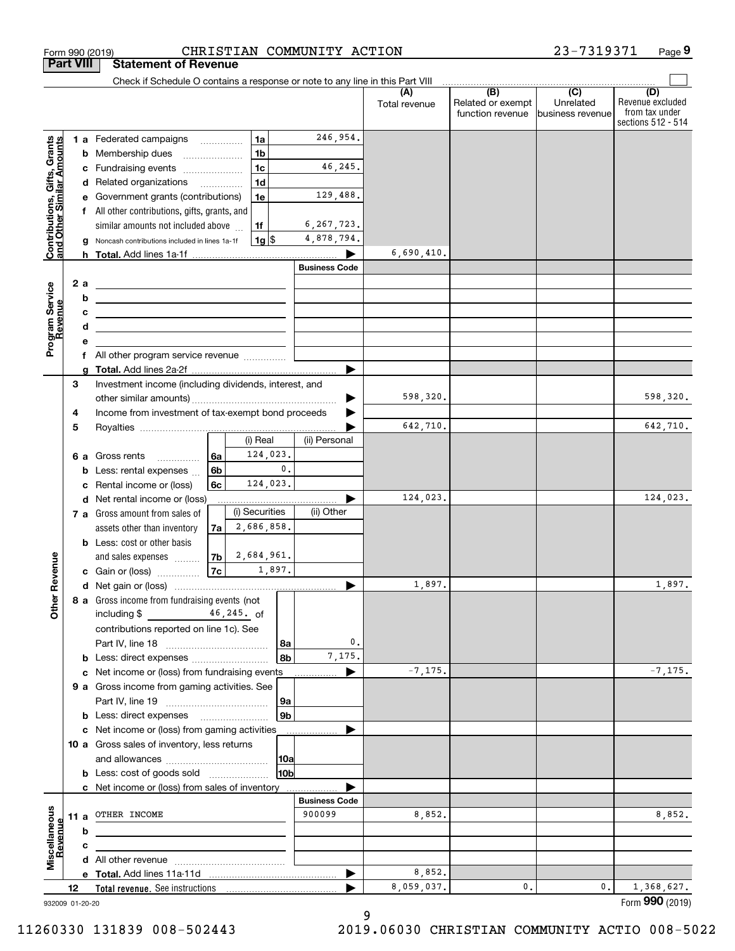|                                                           | <b>Part VIII</b> |   | <b>Statement of Revenue</b>                                                                                           |                |                |                         |                      |                      |                                                           |                                                   |                                                                 |
|-----------------------------------------------------------|------------------|---|-----------------------------------------------------------------------------------------------------------------------|----------------|----------------|-------------------------|----------------------|----------------------|-----------------------------------------------------------|---------------------------------------------------|-----------------------------------------------------------------|
|                                                           |                  |   | Check if Schedule O contains a response or note to any line in this Part VIII                                         |                |                |                         |                      |                      |                                                           |                                                   |                                                                 |
|                                                           |                  |   |                                                                                                                       |                |                |                         |                      | (A)<br>Total revenue | $\overline{(B)}$<br>Related or exempt<br>function revenue | $\overline{(C)}$<br>Unrelated<br>business revenue | (D)<br>Revenue excluded<br>from tax under<br>sections 512 - 514 |
|                                                           |                  |   | <b>1 a</b> Federated campaigns                                                                                        |                |                | 1a                      | 246,954.             |                      |                                                           |                                                   |                                                                 |
| Contributions, Gifts, Grants<br>and Other Similar Amounts |                  | b | Membership dues                                                                                                       |                |                | 1 <sub>b</sub>          |                      |                      |                                                           |                                                   |                                                                 |
|                                                           |                  | c | Fundraising events                                                                                                    |                |                | 1 <sub>c</sub>          | 46,245.              |                      |                                                           |                                                   |                                                                 |
|                                                           |                  |   | d Related organizations                                                                                               |                |                | 1 <sub>d</sub>          |                      |                      |                                                           |                                                   |                                                                 |
|                                                           |                  | е | Government grants (contributions)                                                                                     |                |                | 1e                      | 129,488.             |                      |                                                           |                                                   |                                                                 |
|                                                           |                  |   | f All other contributions, gifts, grants, and                                                                         |                |                |                         |                      |                      |                                                           |                                                   |                                                                 |
|                                                           |                  |   | similar amounts not included above                                                                                    |                |                | 1f                      | 6, 267, 723.         |                      |                                                           |                                                   |                                                                 |
|                                                           |                  |   | Noncash contributions included in lines 1a-1f                                                                         |                |                | $1g$ $\frac{1}{3}$      | 4,878,794.           |                      |                                                           |                                                   |                                                                 |
|                                                           |                  |   |                                                                                                                       |                |                |                         |                      | 6,690,410.           |                                                           |                                                   |                                                                 |
|                                                           |                  |   |                                                                                                                       |                |                |                         | <b>Business Code</b> |                      |                                                           |                                                   |                                                                 |
| Program Service<br>Revenue                                | 2 a              |   | <u> 1989 - Johann Barn, mars ann an t-Amhair an t-Amhair an t-Amhair an t-Amhair an t-Amhair an t-Amhair an t-Amh</u> |                |                |                         |                      |                      |                                                           |                                                   |                                                                 |
|                                                           |                  | b | <u> 1989 - Johann Barbara, martin amerikan basar dan bagian dalam pengaran bagian dalam pengaran bagian dalam pe</u>  |                |                |                         |                      |                      |                                                           |                                                   |                                                                 |
|                                                           |                  | с | the control of the control of the control of the control of the control of                                            |                |                |                         |                      |                      |                                                           |                                                   |                                                                 |
|                                                           |                  | d | <u> 1989 - Johann Stein, mars an de Frankrik (f. 1989)</u>                                                            |                |                |                         |                      |                      |                                                           |                                                   |                                                                 |
|                                                           |                  | е | f All other program service revenue                                                                                   |                |                |                         |                      |                      |                                                           |                                                   |                                                                 |
|                                                           |                  | a |                                                                                                                       |                |                |                         | ▶                    |                      |                                                           |                                                   |                                                                 |
|                                                           | 3                |   | Investment income (including dividends, interest, and                                                                 |                |                |                         |                      |                      |                                                           |                                                   |                                                                 |
|                                                           |                  |   |                                                                                                                       |                |                |                         |                      | 598,320.             |                                                           |                                                   | 598,320.                                                        |
|                                                           | 4                |   | Income from investment of tax-exempt bond proceeds                                                                    |                |                |                         |                      |                      |                                                           |                                                   |                                                                 |
|                                                           | 5                |   |                                                                                                                       |                |                |                         |                      | 642,710.             |                                                           |                                                   | 642,710.                                                        |
|                                                           |                  |   |                                                                                                                       |                |                | (i) Real                | (ii) Personal        |                      |                                                           |                                                   |                                                                 |
|                                                           | 6а               |   | Gross rents<br>.                                                                                                      | 6a             |                | 124,023.                |                      |                      |                                                           |                                                   |                                                                 |
|                                                           |                  | b | Less: rental expenses                                                                                                 | 6 <sub>b</sub> |                | $\mathfrak o$ .         |                      |                      |                                                           |                                                   |                                                                 |
|                                                           |                  | c | Rental income or (loss)                                                                                               | 6c             |                | 124,023.                |                      |                      |                                                           |                                                   |                                                                 |
|                                                           |                  | d | Net rental income or (loss)                                                                                           |                |                |                         |                      | 124,023.             |                                                           |                                                   | 124,023.                                                        |
|                                                           |                  |   | 7 a Gross amount from sales of                                                                                        |                |                | (i) Securities          | (ii) Other           |                      |                                                           |                                                   |                                                                 |
|                                                           |                  |   | assets other than inventory                                                                                           | 7a             |                | 2,686,858.              |                      |                      |                                                           |                                                   |                                                                 |
|                                                           |                  |   | <b>b</b> Less: cost or other basis                                                                                    |                |                |                         |                      |                      |                                                           |                                                   |                                                                 |
|                                                           |                  |   | and sales expenses                                                                                                    |                |                | $ 7b $ 2,684,961.       |                      |                      |                                                           |                                                   |                                                                 |
| Revenue                                                   |                  |   | c Gain or (loss)                                                                                                      | 7c             |                | $\frac{1,897.}{\cdots}$ |                      |                      |                                                           |                                                   |                                                                 |
|                                                           |                  |   |                                                                                                                       |                |                |                         | ▶                    | 1,897.               |                                                           |                                                   | 1,897.                                                          |
| <b>Other</b>                                              |                  |   | 8 a Gross income from fundraising events (not                                                                         |                |                |                         |                      |                      |                                                           |                                                   |                                                                 |
|                                                           |                  |   | including \$                                                                                                          |                | $46, 245$ . of |                         |                      |                      |                                                           |                                                   |                                                                 |
|                                                           |                  |   | contributions reported on line 1c). See                                                                               |                |                |                         | 0.                   |                      |                                                           |                                                   |                                                                 |
|                                                           |                  |   |                                                                                                                       |                |                | 8a<br>8b                | 7,175.               |                      |                                                           |                                                   |                                                                 |
|                                                           |                  |   | c Net income or (loss) from fundraising events                                                                        |                |                |                         |                      | $-7, 175.$           |                                                           |                                                   | $-7, 175.$                                                      |
|                                                           |                  |   | 9 a Gross income from gaming activities. See                                                                          |                |                |                         |                      |                      |                                                           |                                                   |                                                                 |
|                                                           |                  |   |                                                                                                                       |                |                | <u>  9a</u>             |                      |                      |                                                           |                                                   |                                                                 |
|                                                           |                  |   | <b>b</b> Less: direct expenses <b>manually</b>                                                                        |                |                | 9b                      |                      |                      |                                                           |                                                   |                                                                 |
|                                                           |                  |   | c Net income or (loss) from gaming activities                                                                         |                |                |                         |                      |                      |                                                           |                                                   |                                                                 |
|                                                           |                  |   | 10 a Gross sales of inventory, less returns                                                                           |                |                |                         |                      |                      |                                                           |                                                   |                                                                 |
|                                                           |                  |   |                                                                                                                       |                |                | 10a                     |                      |                      |                                                           |                                                   |                                                                 |
|                                                           |                  |   | <b>b</b> Less: cost of goods sold                                                                                     |                |                | 10b                     |                      |                      |                                                           |                                                   |                                                                 |
|                                                           |                  |   | c Net income or (loss) from sales of inventory                                                                        |                |                |                         |                      |                      |                                                           |                                                   |                                                                 |
|                                                           |                  |   |                                                                                                                       |                |                |                         | <b>Business Code</b> |                      |                                                           |                                                   |                                                                 |
|                                                           | 11 a             |   | OTHER INCOME                                                                                                          |                |                |                         | 900099               | 8,852.               |                                                           |                                                   | 8,852.                                                          |
| Revenue                                                   |                  | b |                                                                                                                       |                |                |                         |                      |                      |                                                           |                                                   |                                                                 |
|                                                           |                  | c |                                                                                                                       |                |                |                         |                      |                      |                                                           |                                                   |                                                                 |
| Miscellaneous                                             |                  |   |                                                                                                                       |                |                |                         |                      |                      |                                                           |                                                   |                                                                 |
|                                                           |                  |   |                                                                                                                       |                |                |                         | ▶                    | 8,852.               |                                                           |                                                   |                                                                 |
|                                                           | 12               |   |                                                                                                                       |                |                |                         |                      | 8,059,037.           | 0.                                                        | 0.                                                | 1,368,627.                                                      |
| 932009 01-20-20                                           |                  |   |                                                                                                                       |                |                |                         |                      |                      |                                                           |                                                   | Form 990 (2019)                                                 |

Form 990 (2019) CHRISTIAN COMMUNITY ACTION 23-7319371 Page

**9**

23-7319371

932009 01-20-20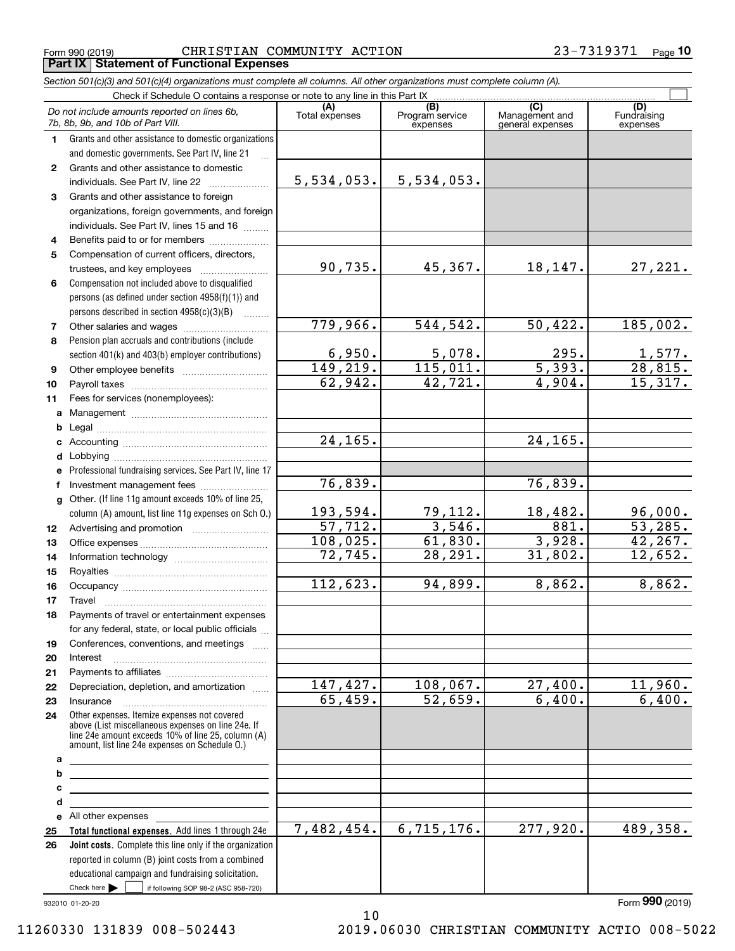Form 990 (2019) Page **Part IX Statement of Functional Expenses** CHRISTIAN COMMUNITY ACTION 23-7319371

*Section 501(c)(3) and 501(c)(4) organizations must complete all columns. All other organizations must complete column (A).*

|              | Do not include amounts reported on lines 6b,<br>7b, 8b, 9b, and 10b of Part VIII.                                                                                                                          | (A)<br>Total expenses | (B)<br>Program service<br>expenses | $\overline{C}$<br>Management and<br>general expenses | (D)<br>Fundraising<br>expenses |
|--------------|------------------------------------------------------------------------------------------------------------------------------------------------------------------------------------------------------------|-----------------------|------------------------------------|------------------------------------------------------|--------------------------------|
| 1.           | Grants and other assistance to domestic organizations                                                                                                                                                      |                       |                                    |                                                      |                                |
|              | and domestic governments. See Part IV, line 21                                                                                                                                                             |                       |                                    |                                                      |                                |
| $\mathbf{2}$ | Grants and other assistance to domestic                                                                                                                                                                    |                       |                                    |                                                      |                                |
|              | individuals. See Part IV, line 22                                                                                                                                                                          | 5,534,053.            | 5,534,053.                         |                                                      |                                |
| 3            | Grants and other assistance to foreign                                                                                                                                                                     |                       |                                    |                                                      |                                |
|              | organizations, foreign governments, and foreign                                                                                                                                                            |                       |                                    |                                                      |                                |
|              | individuals. See Part IV, lines 15 and 16                                                                                                                                                                  |                       |                                    |                                                      |                                |
| 4            | Benefits paid to or for members                                                                                                                                                                            |                       |                                    |                                                      |                                |
| 5            | Compensation of current officers, directors,                                                                                                                                                               |                       |                                    |                                                      |                                |
|              | trustees, and key employees                                                                                                                                                                                | 90,735.               | 45, 367.                           | 18, 147.                                             | 27,221.                        |
| 6            | Compensation not included above to disqualified                                                                                                                                                            |                       |                                    |                                                      |                                |
|              | persons (as defined under section 4958(f)(1)) and                                                                                                                                                          |                       |                                    |                                                      |                                |
|              | persons described in section 4958(c)(3)(B)                                                                                                                                                                 |                       |                                    |                                                      |                                |
| 7            |                                                                                                                                                                                                            | 779,966.              | 544,542.                           | 50,422.                                              | 185,002.                       |
| 8            | Pension plan accruals and contributions (include                                                                                                                                                           |                       |                                    |                                                      |                                |
|              | section 401(k) and 403(b) employer contributions)                                                                                                                                                          | 6,950.                | 5,078.                             | 295.                                                 |                                |
| 9            |                                                                                                                                                                                                            | 149, 219.             | 115,011.                           | $\overline{5,393.}$                                  | $\frac{1,577}{28,815}$         |
| 10           |                                                                                                                                                                                                            | 62,942.               | 42,721.                            | $\overline{4,904}$ .                                 | 15,317.                        |
| 11           | Fees for services (nonemployees):                                                                                                                                                                          |                       |                                    |                                                      |                                |
| a            |                                                                                                                                                                                                            |                       |                                    |                                                      |                                |
| b            |                                                                                                                                                                                                            |                       |                                    |                                                      |                                |
|              |                                                                                                                                                                                                            | 24, 165.              |                                    | 24, 165.                                             |                                |
| d            |                                                                                                                                                                                                            |                       |                                    |                                                      |                                |
| е            | Professional fundraising services. See Part IV, line 17                                                                                                                                                    |                       |                                    |                                                      |                                |
| f            | Investment management fees                                                                                                                                                                                 | 76,839.               |                                    | 76,839.                                              |                                |
| $\mathbf{q}$ | Other. (If line 11g amount exceeds 10% of line 25,                                                                                                                                                         |                       |                                    |                                                      |                                |
|              | column (A) amount, list line 11g expenses on Sch 0.)                                                                                                                                                       | 193,594.              | 79,112.                            | 18,482.                                              | 96,000.                        |
| 12           |                                                                                                                                                                                                            | 57,712.               | 3,546.                             | 881.                                                 | 53,285.                        |
| 13           |                                                                                                                                                                                                            | 108,025.              | 61,830.                            | 3,928.                                               | 42, 267.                       |
| 14           |                                                                                                                                                                                                            | 72,745.               | 28,291.                            | 31,802.                                              | 12,652.                        |
| 15           |                                                                                                                                                                                                            |                       |                                    |                                                      |                                |
| 16           |                                                                                                                                                                                                            | 112,623.              | 94,899.                            | 8,862.                                               | 8,862.                         |
| 17           | Travel                                                                                                                                                                                                     |                       |                                    |                                                      |                                |
| 18           | Payments of travel or entertainment expenses                                                                                                                                                               |                       |                                    |                                                      |                                |
|              | for any federal, state, or local public officials                                                                                                                                                          |                       |                                    |                                                      |                                |
|              | Conferences, conventions, and meetings                                                                                                                                                                     |                       |                                    |                                                      |                                |
| 19<br>20     | Interest                                                                                                                                                                                                   |                       |                                    |                                                      |                                |
| 21           |                                                                                                                                                                                                            |                       |                                    |                                                      |                                |
| 22           | Depreciation, depletion, and amortization                                                                                                                                                                  | 147,427.              | 108,067.                           | 27,400.                                              | 11,960.                        |
| 23           | Insurance                                                                                                                                                                                                  | 65,459.               | 52,659.                            | 6,400.                                               | 6,400.                         |
| 24           | Other expenses. Itemize expenses not covered<br>above (List miscellaneous expenses on line 24e. If<br>line 24e amount exceeds 10% of line 25, column (A)<br>amount, list line 24e expenses on Schedule 0.) |                       |                                    |                                                      |                                |
| а            |                                                                                                                                                                                                            |                       |                                    |                                                      |                                |
| b            | <u> 1989 - Johann Stein, marwolaethau a bhann an t-Amhain an t-Amhain an t-Amhain an t-Amhain an t-Amhain an t-A</u>                                                                                       |                       |                                    |                                                      |                                |
| с            | <u> 1989 - Johann Stein, mars an deus Amerikaansk kommunister (</u>                                                                                                                                        |                       |                                    |                                                      |                                |
| d            | <u> 1980 - John Stein, Amerikaansk politiker (</u>                                                                                                                                                         |                       |                                    |                                                      |                                |
|              | e All other expenses                                                                                                                                                                                       |                       |                                    |                                                      |                                |
| 25           | Total functional expenses. Add lines 1 through 24e                                                                                                                                                         | 7,482,454.            | 6,715,176.                         | 277,920.                                             | 489,358.                       |
| 26           | Joint costs. Complete this line only if the organization                                                                                                                                                   |                       |                                    |                                                      |                                |
|              | reported in column (B) joint costs from a combined                                                                                                                                                         |                       |                                    |                                                      |                                |
|              | educational campaign and fundraising solicitation.                                                                                                                                                         |                       |                                    |                                                      |                                |
|              | Check here         if following SOP 98-2 (ASC 958-720)                                                                                                                                                     |                       |                                    |                                                      |                                |

932010 01-20-20

Form (2019) **990**

10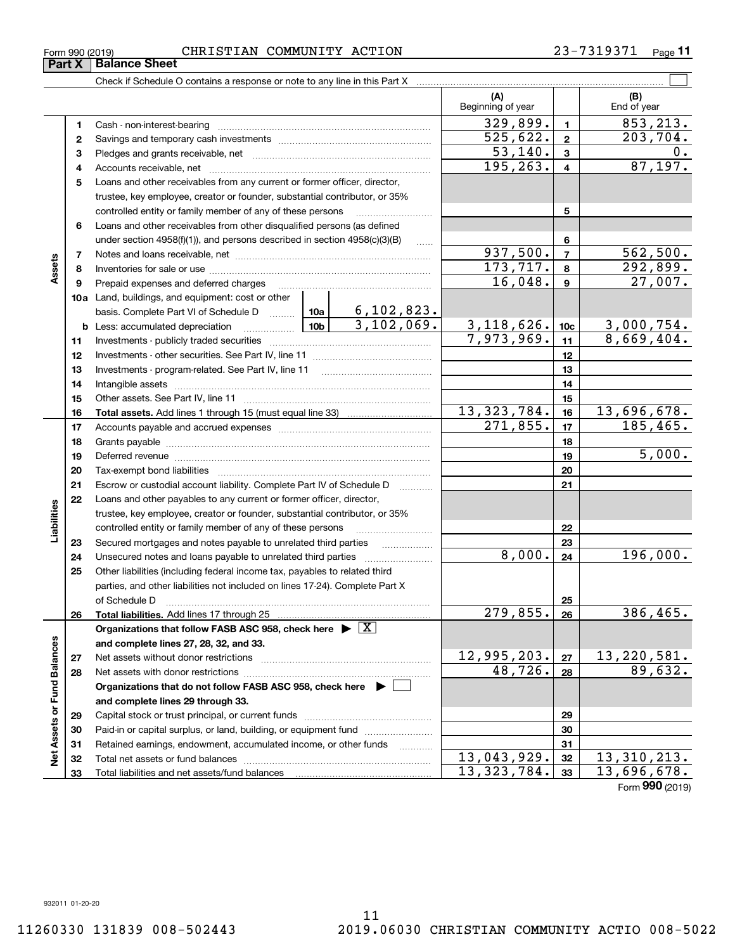**33**

Total liabilities and net assets/fund balances

**33**

 $13,323,784.$   $33 \mid 13,696,678.$ 

Form (2019) **990**

#### Form 990 (2019) CHRISTIAN COMMUNITY ACTION 23-7319371 <sub>Page</sub>

|                             |          |                                                                                                                                                                                                                                |            |                                               | (A)<br>Beginning of year |                         | (B)<br>End of year              |
|-----------------------------|----------|--------------------------------------------------------------------------------------------------------------------------------------------------------------------------------------------------------------------------------|------------|-----------------------------------------------|--------------------------|-------------------------|---------------------------------|
|                             | 1        |                                                                                                                                                                                                                                |            |                                               | 329,899.                 | $\blacksquare$          | $\overline{853,213}$ .          |
|                             | 2        |                                                                                                                                                                                                                                |            |                                               | 525,622.                 | $\overline{\mathbf{2}}$ | 203,704.                        |
|                             | 3        |                                                                                                                                                                                                                                |            |                                               | $\overline{53,140}$ .    | 3                       | 0.                              |
|                             | 4        |                                                                                                                                                                                                                                |            |                                               | 195, 263.                | $\overline{\mathbf{4}}$ | 87, 197.                        |
|                             | 5        | Loans and other receivables from any current or former officer, director,                                                                                                                                                      |            |                                               |                          |                         |                                 |
|                             |          | trustee, key employee, creator or founder, substantial contributor, or 35%                                                                                                                                                     |            |                                               |                          |                         |                                 |
|                             |          | controlled entity or family member of any of these persons                                                                                                                                                                     |            |                                               |                          | 5                       |                                 |
|                             | 6        | Loans and other receivables from other disqualified persons (as defined                                                                                                                                                        |            |                                               |                          |                         |                                 |
|                             |          | under section $4958(f)(1)$ , and persons described in section $4958(c)(3)(B)$                                                                                                                                                  |            | $\ldots$                                      |                          | 6                       |                                 |
|                             | 7        |                                                                                                                                                                                                                                |            |                                               | 937,500.                 | $\overline{7}$          | 562,500.                        |
| Assets                      | 8        |                                                                                                                                                                                                                                |            |                                               | 173, 717.                | 8                       | 292,899.                        |
|                             | 9        | Prepaid expenses and deferred charges                                                                                                                                                                                          |            |                                               | 16,048.                  | $\mathbf{9}$            | 27,007.                         |
|                             |          | 10a Land, buildings, and equipment: cost or other                                                                                                                                                                              |            |                                               |                          |                         |                                 |
|                             |          |                                                                                                                                                                                                                                |            |                                               |                          |                         |                                 |
|                             |          | <b>10b</b><br><b>b</b> Less: accumulated depreciation                                                                                                                                                                          |            |                                               | 3, 118, 626.             | 10 <sub>c</sub>         | $\frac{3,000,754.}{8,669,404.}$ |
|                             | 11       |                                                                                                                                                                                                                                | 7,973,969. | 11                                            |                          |                         |                                 |
|                             | 12       |                                                                                                                                                                                                                                |            | 12                                            |                          |                         |                                 |
|                             | 13       |                                                                                                                                                                                                                                |            | 13                                            |                          |                         |                                 |
|                             | 14       |                                                                                                                                                                                                                                |            | 14                                            |                          |                         |                                 |
|                             | 15       |                                                                                                                                                                                                                                |            |                                               |                          | 15                      |                                 |
|                             | 16       |                                                                                                                                                                                                                                |            |                                               | 13, 323, 784.            | 16                      | 13,696,678.                     |
|                             | 17       |                                                                                                                                                                                                                                |            |                                               | 271,855.                 | 17                      | 185, 465.                       |
|                             | 18       |                                                                                                                                                                                                                                |            |                                               | 18                       |                         |                                 |
|                             | 19       | Deferred revenue material contracts and a contract of the contract of the contract of the contract of the contract of the contract of the contract of the contract of the contract of the contract of the contract of the cont |            |                                               | 19                       | 5,000.                  |                                 |
|                             | 20       |                                                                                                                                                                                                                                |            |                                               |                          | 20                      |                                 |
|                             | 21       | Escrow or custodial account liability. Complete Part IV of Schedule D                                                                                                                                                          |            | $\mathcal{L}$ . The contract of $\mathcal{L}$ |                          | 21                      |                                 |
|                             | 22       | Loans and other payables to any current or former officer, director,                                                                                                                                                           |            |                                               |                          |                         |                                 |
|                             |          | trustee, key employee, creator or founder, substantial contributor, or 35%                                                                                                                                                     |            |                                               |                          |                         |                                 |
| Liabilities                 |          | controlled entity or family member of any of these persons                                                                                                                                                                     |            |                                               |                          | 22                      |                                 |
|                             | 23       | Secured mortgages and notes payable to unrelated third parties                                                                                                                                                                 |            | .                                             | 8,000.                   | 23                      | 196,000.                        |
|                             | 24<br>25 | Unsecured notes and loans payable to unrelated third parties                                                                                                                                                                   |            |                                               |                          | 24                      |                                 |
|                             |          | Other liabilities (including federal income tax, payables to related third<br>parties, and other liabilities not included on lines 17-24). Complete Part X                                                                     |            |                                               |                          |                         |                                 |
|                             |          | of Schedule D                                                                                                                                                                                                                  |            |                                               |                          | 25                      |                                 |
|                             | 26       | Total liabilities. Add lines 17 through 25                                                                                                                                                                                     |            |                                               | 279,855.                 | 26                      | 386, 465.                       |
|                             |          | Organizations that follow FASB ASC 958, check here $\blacktriangleright \boxed{X}$                                                                                                                                             |            |                                               |                          |                         |                                 |
|                             |          | and complete lines 27, 28, 32, and 33.                                                                                                                                                                                         |            |                                               |                          |                         |                                 |
|                             | 27       | Net assets without donor restrictions                                                                                                                                                                                          |            |                                               | 12,995,203.              | 27                      | 13, 220, 581.                   |
|                             | 28       |                                                                                                                                                                                                                                |            |                                               | 48,726.                  | 28                      | 89,632.                         |
|                             |          | Organizations that do not follow FASB ASC 958, check here $\blacktriangleright$                                                                                                                                                |            |                                               |                          |                         |                                 |
|                             |          | and complete lines 29 through 33.                                                                                                                                                                                              |            |                                               |                          |                         |                                 |
|                             | 29       |                                                                                                                                                                                                                                |            |                                               |                          | 29                      |                                 |
|                             | 30       | Paid-in or capital surplus, or land, building, or equipment fund                                                                                                                                                               |            |                                               |                          | 30                      |                                 |
|                             | 31       | Retained earnings, endowment, accumulated income, or other funds                                                                                                                                                               |            |                                               |                          | 31                      |                                 |
| Net Assets or Fund Balances | 32       |                                                                                                                                                                                                                                |            |                                               | 13,043,929.              | 32                      | 13, 310, 213.                   |
|                             |          |                                                                                                                                                                                                                                |            |                                               |                          |                         |                                 |

**11**

**Part X** | Balance Sheet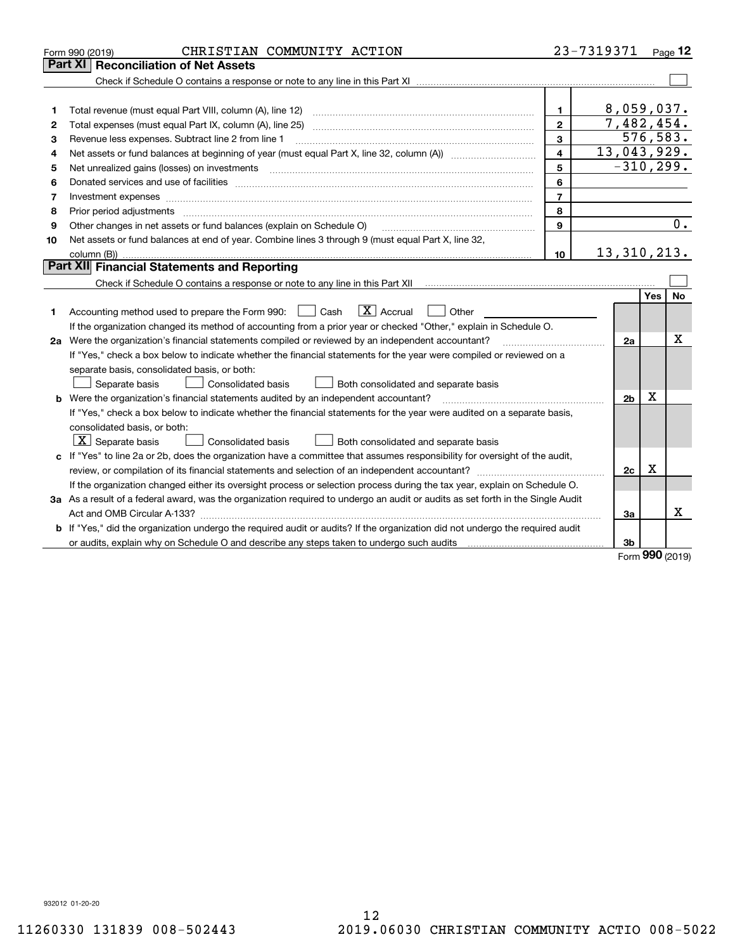|    | CHRISTIAN COMMUNITY ACTION<br>Form 990 (2019)                                                                                   |                         | 23-7319371     |            | Page $12$ |
|----|---------------------------------------------------------------------------------------------------------------------------------|-------------------------|----------------|------------|-----------|
|    | <b>Reconciliation of Net Assets</b><br>Part XI                                                                                  |                         |                |            |           |
|    |                                                                                                                                 |                         |                |            |           |
|    |                                                                                                                                 |                         |                |            |           |
| 1  | Total revenue (must equal Part VIII, column (A), line 12)                                                                       | 1                       | 8,059,037.     |            |           |
| 2  | Total expenses (must equal Part IX, column (A), line 25)                                                                        | $\overline{2}$          | 7,482,454.     |            |           |
| 3  | Revenue less expenses. Subtract line 2 from line 1                                                                              | 3                       |                | 576,583.   |           |
| 4  |                                                                                                                                 | $\overline{\mathbf{4}}$ | 13,043,929.    |            |           |
| 5  | Net unrealized gains (losses) on investments                                                                                    | 5                       | $-310, 299.$   |            |           |
| 6  |                                                                                                                                 | 6                       |                |            |           |
| 7  | Investment expenses www.communication.com/multiple/expenses/communications/communications/communications/                       | $\overline{7}$          |                |            |           |
| 8  | Prior period adjustments www.communication.communication.communication.com/                                                     | 8                       |                |            |           |
| 9  | Other changes in net assets or fund balances (explain on Schedule O)                                                            | 9                       |                |            | 0.        |
| 10 | Net assets or fund balances at end of year. Combine lines 3 through 9 (must equal Part X, line 32,                              |                         |                |            |           |
|    |                                                                                                                                 | 10 <sup>10</sup>        | 13, 310, 213.  |            |           |
|    | Part XII Financial Statements and Reporting                                                                                     |                         |                |            |           |
|    |                                                                                                                                 |                         |                |            |           |
|    |                                                                                                                                 |                         |                | <b>Yes</b> | <b>No</b> |
| 1  | $\boxed{\mathbf{X}}$ Accrual<br>Accounting method used to prepare the Form 990: <u>June</u> Cash<br>$\vert$ $\vert$ Other       |                         |                |            |           |
|    | If the organization changed its method of accounting from a prior year or checked "Other," explain in Schedule O.               |                         |                |            |           |
|    | 2a Were the organization's financial statements compiled or reviewed by an independent accountant?                              |                         | 2a             |            | x         |
|    | If "Yes," check a box below to indicate whether the financial statements for the year were compiled or reviewed on a            |                         |                |            |           |
|    | separate basis, consolidated basis, or both:                                                                                    |                         |                |            |           |
|    | Both consolidated and separate basis<br>Separate basis<br>Consolidated basis                                                    |                         |                |            |           |
|    | <b>b</b> Were the organization's financial statements audited by an independent accountant?                                     |                         | 2 <sub>b</sub> | Х          |           |
|    | If "Yes," check a box below to indicate whether the financial statements for the year were audited on a separate basis,         |                         |                |            |           |
|    | consolidated basis, or both:                                                                                                    |                         |                |            |           |
|    | $ \mathbf{X} $ Separate basis<br><b>Consolidated basis</b><br>Both consolidated and separate basis                              |                         |                |            |           |
|    | c If "Yes" to line 2a or 2b, does the organization have a committee that assumes responsibility for oversight of the audit,     |                         |                |            |           |
|    |                                                                                                                                 |                         | 2c             | x          |           |
|    | If the organization changed either its oversight process or selection process during the tax year, explain on Schedule O.       |                         |                |            |           |
|    | 3a As a result of a federal award, was the organization required to undergo an audit or audits as set forth in the Single Audit |                         |                |            |           |
|    |                                                                                                                                 |                         | За             |            | х         |
|    | b If "Yes," did the organization undergo the required audit or audits? If the organization did not undergo the required audit   |                         |                |            |           |
|    | or audits, explain why on Schedule O and describe any steps taken to undergo such audits                                        |                         | 3b             | nnn        |           |

Form (2019) **990**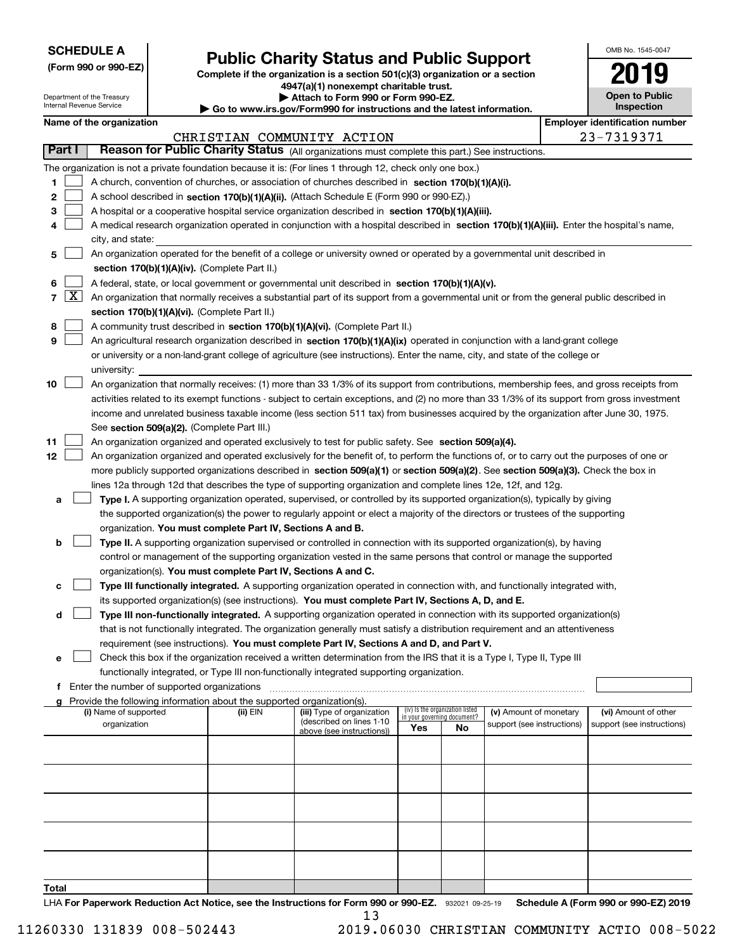| <b>SCHEDULE A</b> |
|-------------------|
|-------------------|

Department of the Treasury Internal Revenue Service

**(Form 990 or 990-EZ)**

## **Public Charity Status and Public Support**

**Complete if the organization is a section 501(c)(3) organization or a section 4947(a)(1) nonexempt charitable trust. | Attach to Form 990 or Form 990-EZ.** 

| <b>P</b> Allach to Form 330 of Form 330-LZ.                   |  |  |
|---------------------------------------------------------------|--|--|
| nuw ire gov/Eorm000 for inetructione and the lateet informati |  |  |

**| Go to www.irs.gov/Form990 for instructions and the latest information.**

| OMB No 1545-0047                    |
|-------------------------------------|
|                                     |
| <b>Open to Public</b><br>Inspection |

| over identification numl |                |  |  |  |
|--------------------------|----------------|--|--|--|
|                          | $22 - 7319371$ |  |  |  |

**I** 

| Name of the organization              |                                                                                                                                               | <b>Employer identification number</b> |                                                        |     |                                 |                                                      |  |                                                    |  |
|---------------------------------------|-----------------------------------------------------------------------------------------------------------------------------------------------|---------------------------------------|--------------------------------------------------------|-----|---------------------------------|------------------------------------------------------|--|----------------------------------------------------|--|
|                                       |                                                                                                                                               |                                       | CHRISTIAN COMMUNITY ACTION                             |     |                                 |                                                      |  | 23-7319371                                         |  |
| Part I                                | Reason for Public Charity Status (All organizations must complete this part.) See instructions.                                               |                                       |                                                        |     |                                 |                                                      |  |                                                    |  |
|                                       | The organization is not a private foundation because it is: (For lines 1 through 12, check only one box.)                                     |                                       |                                                        |     |                                 |                                                      |  |                                                    |  |
| 1                                     | A church, convention of churches, or association of churches described in section 170(b)(1)(A)(i).                                            |                                       |                                                        |     |                                 |                                                      |  |                                                    |  |
| 2                                     | A school described in section 170(b)(1)(A)(ii). (Attach Schedule E (Form 990 or 990-EZ).)                                                     |                                       |                                                        |     |                                 |                                                      |  |                                                    |  |
| з                                     | A hospital or a cooperative hospital service organization described in section 170(b)(1)(A)(iii).                                             |                                       |                                                        |     |                                 |                                                      |  |                                                    |  |
|                                       | A medical research organization operated in conjunction with a hospital described in section 170(b)(1)(A)(iii). Enter the hospital's name,    |                                       |                                                        |     |                                 |                                                      |  |                                                    |  |
|                                       | city, and state:                                                                                                                              |                                       |                                                        |     |                                 |                                                      |  |                                                    |  |
| 5                                     | An organization operated for the benefit of a college or university owned or operated by a governmental unit described in                     |                                       |                                                        |     |                                 |                                                      |  |                                                    |  |
|                                       | section 170(b)(1)(A)(iv). (Complete Part II.)                                                                                                 |                                       |                                                        |     |                                 |                                                      |  |                                                    |  |
| 6                                     | A federal, state, or local government or governmental unit described in section 170(b)(1)(A)(v).                                              |                                       |                                                        |     |                                 |                                                      |  |                                                    |  |
| $\lfloor x \rfloor$<br>$\overline{7}$ | An organization that normally receives a substantial part of its support from a governmental unit or from the general public described in     |                                       |                                                        |     |                                 |                                                      |  |                                                    |  |
|                                       | section 170(b)(1)(A)(vi). (Complete Part II.)                                                                                                 |                                       |                                                        |     |                                 |                                                      |  |                                                    |  |
| 8                                     | A community trust described in section 170(b)(1)(A)(vi). (Complete Part II.)                                                                  |                                       |                                                        |     |                                 |                                                      |  |                                                    |  |
| 9                                     | An agricultural research organization described in section 170(b)(1)(A)(ix) operated in conjunction with a land-grant college                 |                                       |                                                        |     |                                 |                                                      |  |                                                    |  |
|                                       | or university or a non-land-grant college of agriculture (see instructions). Enter the name, city, and state of the college or                |                                       |                                                        |     |                                 |                                                      |  |                                                    |  |
|                                       | university:                                                                                                                                   |                                       |                                                        |     |                                 |                                                      |  |                                                    |  |
| 10                                    | An organization that normally receives: (1) more than 33 1/3% of its support from contributions, membership fees, and gross receipts from     |                                       |                                                        |     |                                 |                                                      |  |                                                    |  |
|                                       | activities related to its exempt functions - subject to certain exceptions, and (2) no more than 33 1/3% of its support from gross investment |                                       |                                                        |     |                                 |                                                      |  |                                                    |  |
|                                       | income and unrelated business taxable income (less section 511 tax) from businesses acquired by the organization after June 30, 1975.         |                                       |                                                        |     |                                 |                                                      |  |                                                    |  |
|                                       | See section 509(a)(2). (Complete Part III.)                                                                                                   |                                       |                                                        |     |                                 |                                                      |  |                                                    |  |
| 11                                    | An organization organized and operated exclusively to test for public safety. See section 509(a)(4).                                          |                                       |                                                        |     |                                 |                                                      |  |                                                    |  |
| 12                                    | An organization organized and operated exclusively for the benefit of, to perform the functions of, or to carry out the purposes of one or    |                                       |                                                        |     |                                 |                                                      |  |                                                    |  |
|                                       | more publicly supported organizations described in section 509(a)(1) or section 509(a)(2). See section 509(a)(3). Check the box in            |                                       |                                                        |     |                                 |                                                      |  |                                                    |  |
|                                       | lines 12a through 12d that describes the type of supporting organization and complete lines 12e, 12f, and 12g.                                |                                       |                                                        |     |                                 |                                                      |  |                                                    |  |
| a                                     | Type I. A supporting organization operated, supervised, or controlled by its supported organization(s), typically by giving                   |                                       |                                                        |     |                                 |                                                      |  |                                                    |  |
|                                       | the supported organization(s) the power to regularly appoint or elect a majority of the directors or trustees of the supporting               |                                       |                                                        |     |                                 |                                                      |  |                                                    |  |
|                                       | organization. You must complete Part IV, Sections A and B.                                                                                    |                                       |                                                        |     |                                 |                                                      |  |                                                    |  |
| b                                     | Type II. A supporting organization supervised or controlled in connection with its supported organization(s), by having                       |                                       |                                                        |     |                                 |                                                      |  |                                                    |  |
|                                       | control or management of the supporting organization vested in the same persons that control or manage the supported                          |                                       |                                                        |     |                                 |                                                      |  |                                                    |  |
|                                       | organization(s). You must complete Part IV, Sections A and C.                                                                                 |                                       |                                                        |     |                                 |                                                      |  |                                                    |  |
| с                                     | Type III functionally integrated. A supporting organization operated in connection with, and functionally integrated with,                    |                                       |                                                        |     |                                 |                                                      |  |                                                    |  |
|                                       | its supported organization(s) (see instructions). You must complete Part IV, Sections A, D, and E.                                            |                                       |                                                        |     |                                 |                                                      |  |                                                    |  |
| d                                     | Type III non-functionally integrated. A supporting organization operated in connection with its supported organization(s)                     |                                       |                                                        |     |                                 |                                                      |  |                                                    |  |
|                                       | that is not functionally integrated. The organization generally must satisfy a distribution requirement and an attentiveness                  |                                       |                                                        |     |                                 |                                                      |  |                                                    |  |
|                                       | requirement (see instructions). You must complete Part IV, Sections A and D, and Part V.                                                      |                                       |                                                        |     |                                 |                                                      |  |                                                    |  |
|                                       | Check this box if the organization received a written determination from the IRS that it is a Type I, Type II, Type III                       |                                       |                                                        |     |                                 |                                                      |  |                                                    |  |
|                                       | functionally integrated, or Type III non-functionally integrated supporting organization.                                                     |                                       |                                                        |     |                                 |                                                      |  |                                                    |  |
|                                       | f Enter the number of supported organizations                                                                                                 |                                       |                                                        |     |                                 |                                                      |  |                                                    |  |
|                                       | g Provide the following information about the supported organization(s).                                                                      |                                       |                                                        |     | (iv) Is the organization listed |                                                      |  |                                                    |  |
|                                       | (i) Name of supported<br>organization                                                                                                         | (ii) EIN                              | (iii) Type of organization<br>(described on lines 1-10 |     | in your governing document?     | (v) Amount of monetary<br>support (see instructions) |  | (vi) Amount of other<br>support (see instructions) |  |
|                                       |                                                                                                                                               |                                       | above (see instructions))                              | Yes | No                              |                                                      |  |                                                    |  |
|                                       |                                                                                                                                               |                                       |                                                        |     |                                 |                                                      |  |                                                    |  |
|                                       |                                                                                                                                               |                                       |                                                        |     |                                 |                                                      |  |                                                    |  |
|                                       |                                                                                                                                               |                                       |                                                        |     |                                 |                                                      |  |                                                    |  |
|                                       |                                                                                                                                               |                                       |                                                        |     |                                 |                                                      |  |                                                    |  |
|                                       |                                                                                                                                               |                                       |                                                        |     |                                 |                                                      |  |                                                    |  |
|                                       |                                                                                                                                               |                                       |                                                        |     |                                 |                                                      |  |                                                    |  |
|                                       |                                                                                                                                               |                                       |                                                        |     |                                 |                                                      |  |                                                    |  |
|                                       |                                                                                                                                               |                                       |                                                        |     |                                 |                                                      |  |                                                    |  |
|                                       |                                                                                                                                               |                                       |                                                        |     |                                 |                                                      |  |                                                    |  |

**Total**

LHA For Paperwork Reduction Act Notice, see the Instructions for Form 990 or 990-EZ. 932021 09-25-19 Schedule A (Form 990 or 990-EZ) 2019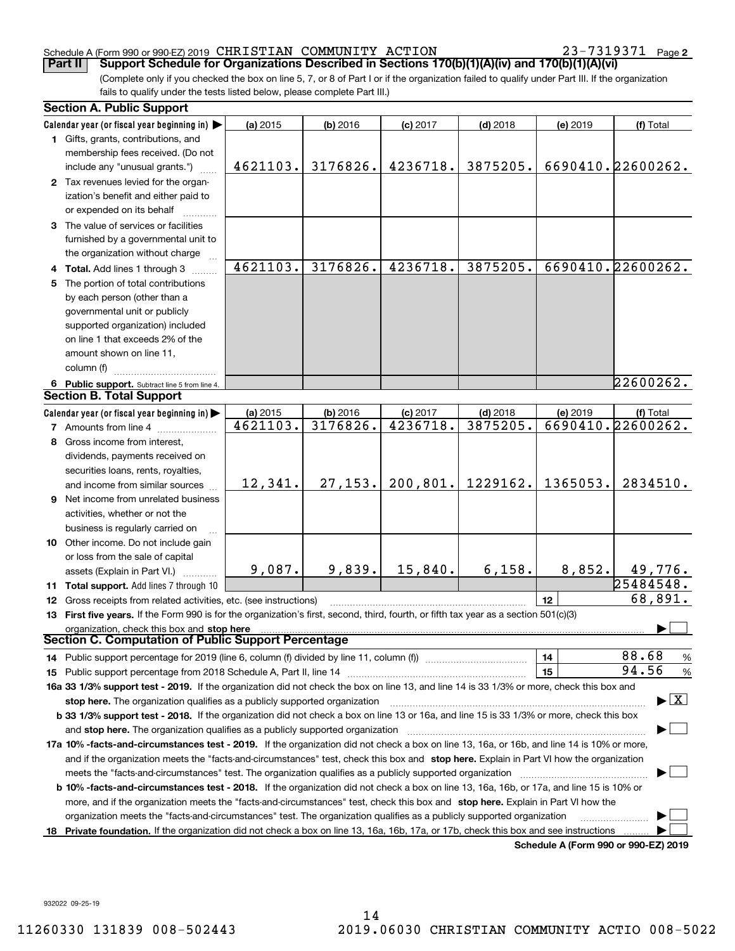#### Schedule A (Form 990 or 990-EZ) 2019 Page CHRISTIAN COMMUNITY ACTION 23-7319371

**Part II Support Schedule for Organizations Described in Sections 170(b)(1)(A)(iv) and 170(b)(1)(A)(vi)**

(Complete only if you checked the box on line 5, 7, or 8 of Part I or if the organization failed to qualify under Part III. If the organization fails to qualify under the tests listed below, please complete Part III.)

|    | <b>Section A. Public Support</b>                                                                                                                                          |          |          |            |                      |          |                                          |
|----|---------------------------------------------------------------------------------------------------------------------------------------------------------------------------|----------|----------|------------|----------------------|----------|------------------------------------------|
|    | Calendar year (or fiscal year beginning in)                                                                                                                               | (a) 2015 | (b) 2016 | (c) 2017   | $(d)$ 2018           | (e) 2019 | (f) Total                                |
|    | 1 Gifts, grants, contributions, and                                                                                                                                       |          |          |            |                      |          |                                          |
|    | membership fees received. (Do not                                                                                                                                         |          |          |            |                      |          |                                          |
|    | include any "unusual grants.")                                                                                                                                            | 4621103. | 3176826. | 4236718.   | 3875205.             |          | 6690410. 22600262.                       |
|    | 2 Tax revenues levied for the organ-                                                                                                                                      |          |          |            |                      |          |                                          |
|    | ization's benefit and either paid to                                                                                                                                      |          |          |            |                      |          |                                          |
|    | or expended on its behalf                                                                                                                                                 |          |          |            |                      |          |                                          |
|    | 3 The value of services or facilities                                                                                                                                     |          |          |            |                      |          |                                          |
|    | furnished by a governmental unit to                                                                                                                                       |          |          |            |                      |          |                                          |
|    | the organization without charge                                                                                                                                           |          |          |            |                      |          |                                          |
|    | Total. Add lines 1 through 3                                                                                                                                              | 4621103. | 3176826. | 4236718.   | 3875205.             |          | 6690410.22600262.                        |
| 5. | The portion of total contributions                                                                                                                                        |          |          |            |                      |          |                                          |
|    | by each person (other than a                                                                                                                                              |          |          |            |                      |          |                                          |
|    | governmental unit or publicly                                                                                                                                             |          |          |            |                      |          |                                          |
|    | supported organization) included                                                                                                                                          |          |          |            |                      |          |                                          |
|    | on line 1 that exceeds 2% of the                                                                                                                                          |          |          |            |                      |          |                                          |
|    | amount shown on line 11,                                                                                                                                                  |          |          |            |                      |          |                                          |
|    | column (f)                                                                                                                                                                |          |          |            |                      |          |                                          |
|    | 6 Public support. Subtract line 5 from line 4.                                                                                                                            |          |          |            |                      |          | 22600262.                                |
|    | <b>Section B. Total Support</b>                                                                                                                                           |          |          |            |                      |          |                                          |
|    | Calendar year (or fiscal year beginning in)                                                                                                                               | (a) 2015 | (b) 2016 | $(c)$ 2017 | $(d)$ 2018           | (e) 2019 | (f) Total                                |
|    | 7 Amounts from line 4                                                                                                                                                     | 4621103. | 3176826. | 4236718.   | 3875205.             |          | 6690410.22600262.                        |
|    | 8 Gross income from interest,                                                                                                                                             |          |          |            |                      |          |                                          |
|    | dividends, payments received on                                                                                                                                           |          |          |            |                      |          |                                          |
|    | securities loans, rents, royalties,                                                                                                                                       |          |          |            |                      |          |                                          |
|    | and income from similar sources                                                                                                                                           | 12,341.  | 27, 153. |            | $200, 801.$ 1229162. | 1365053. | 2834510.                                 |
| 9  | Net income from unrelated business                                                                                                                                        |          |          |            |                      |          |                                          |
|    | activities, whether or not the                                                                                                                                            |          |          |            |                      |          |                                          |
|    | business is regularly carried on                                                                                                                                          |          |          |            |                      |          |                                          |
|    | 10 Other income. Do not include gain                                                                                                                                      |          |          |            |                      |          |                                          |
|    | or loss from the sale of capital                                                                                                                                          |          |          |            |                      |          |                                          |
|    | assets (Explain in Part VI.)                                                                                                                                              | 9,087.   | 9,839.   | 15,840.    | 6,158.               | 8,852.   | 49,776.                                  |
|    | <b>11 Total support.</b> Add lines 7 through 10                                                                                                                           |          |          |            |                      |          | $\sqrt{25484548}$ .                      |
| 12 | Gross receipts from related activities, etc. (see instructions)                                                                                                           |          |          |            |                      | 12       | 68,891.                                  |
|    | 13 First five years. If the Form 990 is for the organization's first, second, third, fourth, or fifth tax year as a section 501(c)(3)                                     |          |          |            |                      |          |                                          |
|    |                                                                                                                                                                           |          |          |            |                      |          |                                          |
|    | Section C. Computation of Public Support Percentage                                                                                                                       |          |          |            |                      |          |                                          |
|    |                                                                                                                                                                           |          |          |            |                      | 14       | 88.68<br>$\frac{9}{6}$                   |
| 15 | Public support percentage from 2018 Schedule A, Part II, line 14 [2010] contains a material contract the Public support percentage from 2018 Schedule A, Part II, line 14 |          |          |            |                      | 15       | 94.56<br>%                               |
|    | 16a 33 1/3% support test - 2019. If the organization did not check the box on line 13, and line 14 is 33 1/3% or more, check this box and                                 |          |          |            |                      |          |                                          |
|    | stop here. The organization qualifies as a publicly supported organization                                                                                                |          |          |            |                      |          | $\blacktriangleright$ $\boxed{\text{X}}$ |
|    | b 33 1/3% support test - 2018. If the organization did not check a box on line 13 or 16a, and line 15 is 33 1/3% or more, check this box                                  |          |          |            |                      |          |                                          |
|    | and stop here. The organization qualifies as a publicly supported organization                                                                                            |          |          |            |                      |          |                                          |
|    | 17a 10% -facts-and-circumstances test - 2019. If the organization did not check a box on line 13, 16a, or 16b, and line 14 is 10% or more,                                |          |          |            |                      |          |                                          |
|    | and if the organization meets the "facts-and-circumstances" test, check this box and stop here. Explain in Part VI how the organization                                   |          |          |            |                      |          |                                          |
|    | meets the "facts and circumstances" test. The organization qualifies as a publicly supported organization <i>manumumumumumum</i>                                          |          |          |            |                      |          |                                          |
|    | <b>b 10% -facts-and-circumstances test - 2018.</b> If the organization did not check a box on line 13, 16a, 16b, or 17a, and line 15 is 10% or                            |          |          |            |                      |          |                                          |
|    | more, and if the organization meets the "facts-and-circumstances" test, check this box and stop here. Explain in Part VI how the                                          |          |          |            |                      |          |                                          |
|    | organization meets the "facts-and-circumstances" test. The organization qualifies as a publicly supported organization                                                    |          |          |            |                      |          |                                          |
|    | 18 Private foundation. If the organization did not check a box on line 13, 16a, 16b, 17a, or 17b, check this box and see instructions                                     |          |          |            |                      |          |                                          |
|    |                                                                                                                                                                           |          |          |            |                      |          | Schedule A (Form 990 or 990-F7) 2019     |

**Schedule A (Form 990 or 990-EZ) 2019**

932022 09-25-19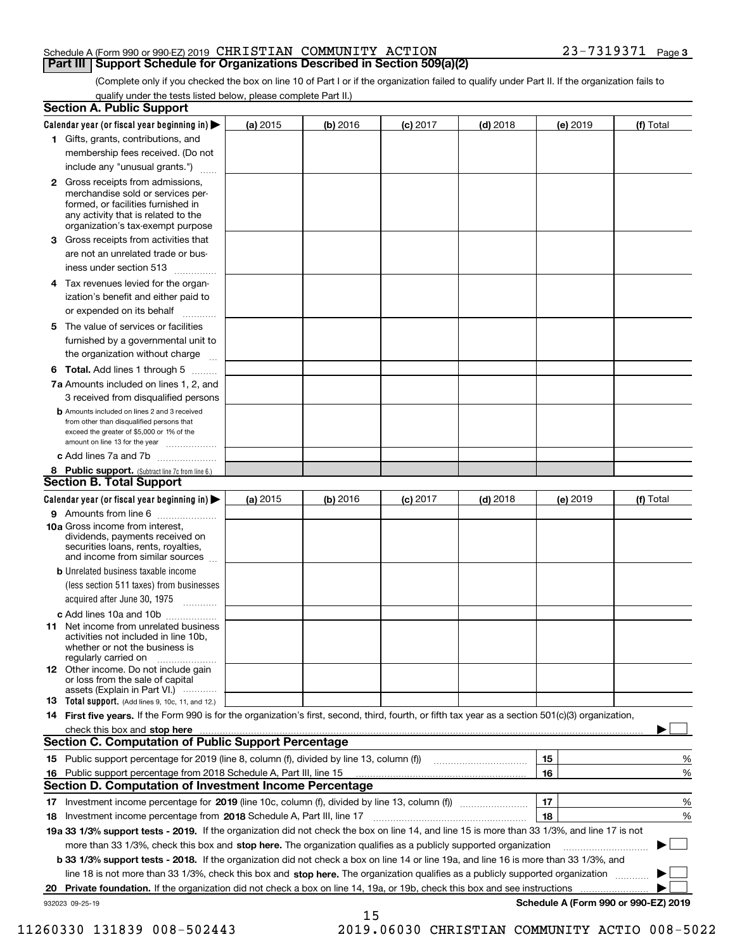### Schedule A (Form 990 or 990-EZ) 2019 Page CHRISTIAN COMMUNITY ACTION 23-7319371

(Complete only if you checked the box on line 10 of Part I or if the organization failed to qualify under Part II. If the organization fails to qualify under the tests listed below, please complete Part II.)

|    | <b>Section A. Public Support</b>                                                                                                                                                                                       |            |          |                 |            |          |                                      |
|----|------------------------------------------------------------------------------------------------------------------------------------------------------------------------------------------------------------------------|------------|----------|-----------------|------------|----------|--------------------------------------|
|    | Calendar year (or fiscal year beginning in) $\blacktriangleright$                                                                                                                                                      | (a) 2015   | (b) 2016 | <b>(c)</b> 2017 | $(d)$ 2018 | (e) 2019 | (f) Total                            |
|    | 1 Gifts, grants, contributions, and                                                                                                                                                                                    |            |          |                 |            |          |                                      |
|    | membership fees received. (Do not                                                                                                                                                                                      |            |          |                 |            |          |                                      |
|    | include any "unusual grants.")                                                                                                                                                                                         |            |          |                 |            |          |                                      |
|    | <b>2</b> Gross receipts from admissions,<br>merchandise sold or services per-<br>formed, or facilities furnished in<br>any activity that is related to the<br>organization's tax-exempt purpose                        |            |          |                 |            |          |                                      |
|    | 3 Gross receipts from activities that<br>are not an unrelated trade or bus-                                                                                                                                            |            |          |                 |            |          |                                      |
|    | iness under section 513                                                                                                                                                                                                |            |          |                 |            |          |                                      |
|    | 4 Tax revenues levied for the organ-                                                                                                                                                                                   |            |          |                 |            |          |                                      |
|    | ization's benefit and either paid to<br>or expended on its behalf<br>.                                                                                                                                                 |            |          |                 |            |          |                                      |
|    | 5 The value of services or facilities<br>furnished by a governmental unit to                                                                                                                                           |            |          |                 |            |          |                                      |
|    | the organization without charge                                                                                                                                                                                        |            |          |                 |            |          |                                      |
|    | <b>6 Total.</b> Add lines 1 through 5                                                                                                                                                                                  |            |          |                 |            |          |                                      |
|    | 7a Amounts included on lines 1, 2, and<br>3 received from disqualified persons                                                                                                                                         |            |          |                 |            |          |                                      |
|    | <b>b</b> Amounts included on lines 2 and 3 received<br>from other than disqualified persons that<br>exceed the greater of \$5,000 or 1% of the<br>amount on line 13 for the year                                       |            |          |                 |            |          |                                      |
|    | c Add lines 7a and 7b                                                                                                                                                                                                  |            |          |                 |            |          |                                      |
|    | 8 Public support. (Subtract line 7c from line 6.)<br><b>Section B. Total Support</b>                                                                                                                                   |            |          |                 |            |          |                                      |
|    | Calendar year (or fiscal year beginning in)                                                                                                                                                                            | (a) $2015$ | (b) 2016 | <b>(c)</b> 2017 | $(d)$ 2018 | (e) 2019 | (f) Total                            |
|    | 9 Amounts from line 6                                                                                                                                                                                                  |            |          |                 |            |          |                                      |
|    | <b>10a</b> Gross income from interest,<br>dividends, payments received on<br>securities loans, rents, royalties,<br>and income from similar sources                                                                    |            |          |                 |            |          |                                      |
|    | <b>b</b> Unrelated business taxable income<br>(less section 511 taxes) from businesses                                                                                                                                 |            |          |                 |            |          |                                      |
|    | acquired after June 30, 1975                                                                                                                                                                                           |            |          |                 |            |          |                                      |
|    | c Add lines 10a and 10b<br>11 Net income from unrelated business<br>activities not included in line 10b,<br>whether or not the business is<br>regularly carried on                                                     |            |          |                 |            |          |                                      |
|    | 12 Other income. Do not include gain<br>or loss from the sale of capital<br>assets (Explain in Part VI.)                                                                                                               |            |          |                 |            |          |                                      |
|    | 13 Total support. (Add lines 9, 10c, 11, and 12.)                                                                                                                                                                      |            |          |                 |            |          |                                      |
|    | 14 First five years. If the Form 990 is for the organization's first, second, third, fourth, or fifth tax year as a section 501(c)(3) organization,                                                                    |            |          |                 |            |          |                                      |
|    | check this box and stop here <b>contained and stop here contained and stop here contained a stop here contained a stop here contained a stop here contained a stop here contained a stop here contained a stop her</b> |            |          |                 |            |          |                                      |
|    | <b>Section C. Computation of Public Support Percentage</b>                                                                                                                                                             |            |          |                 |            |          |                                      |
|    |                                                                                                                                                                                                                        |            |          |                 |            | 15       | %                                    |
|    | 16 Public support percentage from 2018 Schedule A, Part III, line 15                                                                                                                                                   |            |          |                 |            | 16       | %                                    |
|    | <b>Section D. Computation of Investment Income Percentage</b>                                                                                                                                                          |            |          |                 |            |          |                                      |
| 17 | Investment income percentage for 2019 (line 10c, column (f), divided by line 13, column (f))                                                                                                                           |            |          |                 |            | 17       | $\%$                                 |
| 18 | Investment income percentage from 2018 Schedule A, Part III, line 17                                                                                                                                                   |            |          |                 |            | 18       | %                                    |
|    | 19a 33 1/3% support tests - 2019. If the organization did not check the box on line 14, and line 15 is more than 33 1/3%, and line 17 is not                                                                           |            |          |                 |            |          |                                      |
|    | more than 33 1/3%, check this box and stop here. The organization qualifies as a publicly supported organization                                                                                                       |            |          |                 |            |          | ▶                                    |
|    | b 33 1/3% support tests - 2018. If the organization did not check a box on line 14 or line 19a, and line 16 is more than 33 1/3%, and                                                                                  |            |          |                 |            |          |                                      |
|    | line 18 is not more than 33 1/3%, check this box and stop here. The organization qualifies as a publicly supported organization                                                                                        |            |          |                 |            |          |                                      |
| 20 | Private foundation. If the organization did not check a box on line 14, 19a, or 19b, check this box and see instructions                                                                                               |            |          |                 |            |          |                                      |
|    | 932023 09-25-19                                                                                                                                                                                                        |            | 15       |                 |            |          | Schedule A (Form 990 or 990-EZ) 2019 |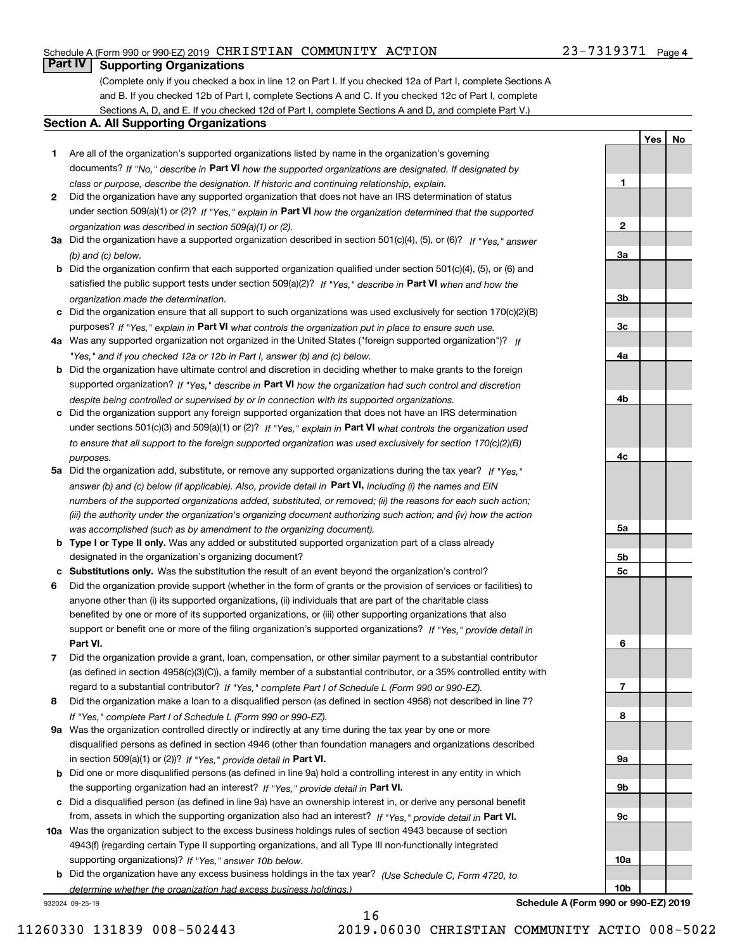#### Schedule A (Form 990 or 990-EZ) 2019 Page CHRISTIAN COMMUNITY ACTION 23-7319371

### **Part IV Supporting Organizations**

(Complete only if you checked a box in line 12 on Part I. If you checked 12a of Part I, complete Sections A and B. If you checked 12b of Part I, complete Sections A and C. If you checked 12c of Part I, complete Sections A, D, and E. If you checked 12d of Part I, complete Sections A and D, and complete Part V.)

#### **Section A. All Supporting Organizations**

- **1** Are all of the organization's supported organizations listed by name in the organization's governing documents? If "No," describe in **Part VI** how the supported organizations are designated. If designated by *class or purpose, describe the designation. If historic and continuing relationship, explain.*
- **2** Did the organization have any supported organization that does not have an IRS determination of status under section 509(a)(1) or (2)? If "Yes," explain in Part VI how the organization determined that the supported *organization was described in section 509(a)(1) or (2).*
- **3a** Did the organization have a supported organization described in section 501(c)(4), (5), or (6)? If "Yes," answer *(b) and (c) below.*
- **b** Did the organization confirm that each supported organization qualified under section 501(c)(4), (5), or (6) and satisfied the public support tests under section 509(a)(2)? If "Yes," describe in **Part VI** when and how the *organization made the determination.*
- **c**Did the organization ensure that all support to such organizations was used exclusively for section 170(c)(2)(B) purposes? If "Yes," explain in **Part VI** what controls the organization put in place to ensure such use.
- **4a***If* Was any supported organization not organized in the United States ("foreign supported organization")? *"Yes," and if you checked 12a or 12b in Part I, answer (b) and (c) below.*
- **b** Did the organization have ultimate control and discretion in deciding whether to make grants to the foreign supported organization? If "Yes," describe in **Part VI** how the organization had such control and discretion *despite being controlled or supervised by or in connection with its supported organizations.*
- **c** Did the organization support any foreign supported organization that does not have an IRS determination under sections 501(c)(3) and 509(a)(1) or (2)? If "Yes," explain in **Part VI** what controls the organization used *to ensure that all support to the foreign supported organization was used exclusively for section 170(c)(2)(B) purposes.*
- **5a** Did the organization add, substitute, or remove any supported organizations during the tax year? If "Yes," answer (b) and (c) below (if applicable). Also, provide detail in **Part VI,** including (i) the names and EIN *numbers of the supported organizations added, substituted, or removed; (ii) the reasons for each such action; (iii) the authority under the organization's organizing document authorizing such action; and (iv) how the action was accomplished (such as by amendment to the organizing document).*
- **b** Type I or Type II only. Was any added or substituted supported organization part of a class already designated in the organization's organizing document?
- **cSubstitutions only.**  Was the substitution the result of an event beyond the organization's control?
- **6** Did the organization provide support (whether in the form of grants or the provision of services or facilities) to **Part VI.** *If "Yes," provide detail in* support or benefit one or more of the filing organization's supported organizations? anyone other than (i) its supported organizations, (ii) individuals that are part of the charitable class benefited by one or more of its supported organizations, or (iii) other supporting organizations that also
- **7**Did the organization provide a grant, loan, compensation, or other similar payment to a substantial contributor *If "Yes," complete Part I of Schedule L (Form 990 or 990-EZ).* regard to a substantial contributor? (as defined in section 4958(c)(3)(C)), a family member of a substantial contributor, or a 35% controlled entity with
- **8** Did the organization make a loan to a disqualified person (as defined in section 4958) not described in line 7? *If "Yes," complete Part I of Schedule L (Form 990 or 990-EZ).*
- **9a** Was the organization controlled directly or indirectly at any time during the tax year by one or more in section 509(a)(1) or (2))? If "Yes," *provide detail in* <code>Part VI.</code> disqualified persons as defined in section 4946 (other than foundation managers and organizations described
- **b** Did one or more disqualified persons (as defined in line 9a) hold a controlling interest in any entity in which the supporting organization had an interest? If "Yes," provide detail in P**art VI**.
- **c**Did a disqualified person (as defined in line 9a) have an ownership interest in, or derive any personal benefit from, assets in which the supporting organization also had an interest? If "Yes," provide detail in P**art VI.**
- **10a** Was the organization subject to the excess business holdings rules of section 4943 because of section supporting organizations)? If "Yes," answer 10b below. 4943(f) (regarding certain Type II supporting organizations, and all Type III non-functionally integrated
- **b** Did the organization have any excess business holdings in the tax year? (Use Schedule C, Form 4720, to *determine whether the organization had excess business holdings.)*

932024 09-25-19

**Schedule A (Form 990 or 990-EZ) 2019**

**1**

**2**

**YesNo**

16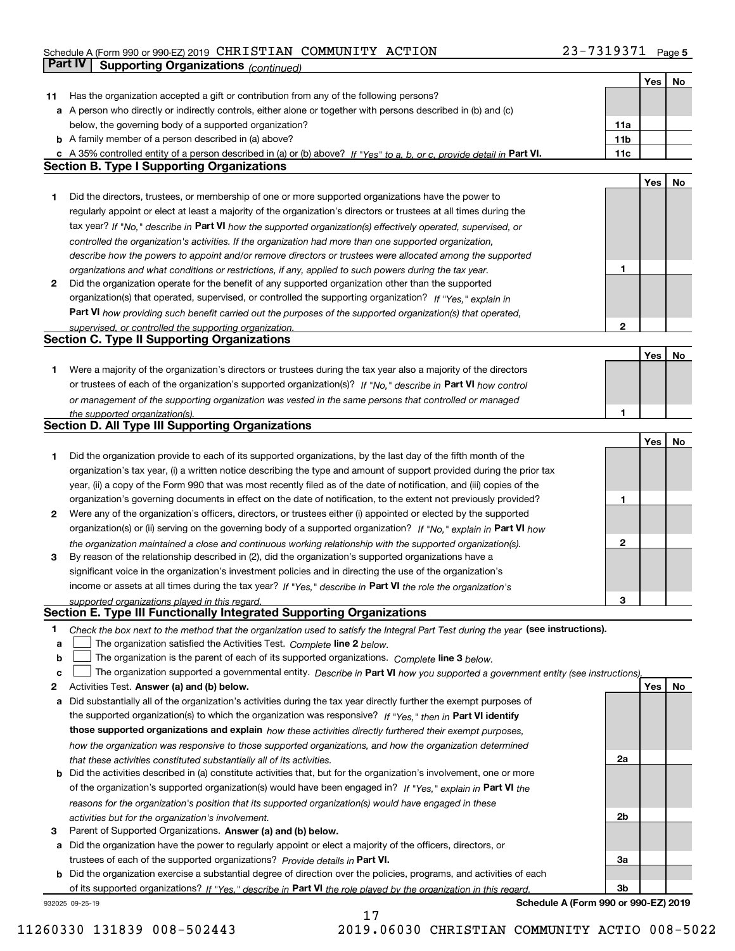#### Schedule A (Form 990 or 990-EZ) 2019 CHRISTIAN COMMUNITY ACTION 2 3 - 7 3 I 9 3 7 I Page CHRISTIAN COMMUNITY ACTION 23-7319371

|    | Part IV<br><b>Supporting Organizations (continued)</b>                                                                            |                 |     |    |
|----|-----------------------------------------------------------------------------------------------------------------------------------|-----------------|-----|----|
|    |                                                                                                                                   |                 | Yes | No |
| 11 | Has the organization accepted a gift or contribution from any of the following persons?                                           |                 |     |    |
|    | a A person who directly or indirectly controls, either alone or together with persons described in (b) and (c)                    |                 |     |    |
|    | below, the governing body of a supported organization?                                                                            | 11a             |     |    |
|    | <b>b</b> A family member of a person described in (a) above?                                                                      | 11 <sub>b</sub> |     |    |
|    | c A 35% controlled entity of a person described in (a) or (b) above? If "Yes" to a, b, or c, provide detail in Part VI.           | 11c             |     |    |
|    | <b>Section B. Type I Supporting Organizations</b>                                                                                 |                 |     |    |
|    |                                                                                                                                   |                 | Yes | No |
| 1. | Did the directors, trustees, or membership of one or more supported organizations have the power to                               |                 |     |    |
|    | regularly appoint or elect at least a majority of the organization's directors or trustees at all times during the                |                 |     |    |
|    | tax year? If "No," describe in Part VI how the supported organization(s) effectively operated, supervised, or                     |                 |     |    |
|    | controlled the organization's activities. If the organization had more than one supported organization,                           |                 |     |    |
|    | describe how the powers to appoint and/or remove directors or trustees were allocated among the supported                         |                 |     |    |
|    | organizations and what conditions or restrictions, if any, applied to such powers during the tax year.                            | 1               |     |    |
| 2  | Did the organization operate for the benefit of any supported organization other than the supported                               |                 |     |    |
|    | organization(s) that operated, supervised, or controlled the supporting organization? If "Yes," explain in                        |                 |     |    |
|    | Part VI how providing such benefit carried out the purposes of the supported organization(s) that operated,                       |                 |     |    |
|    | supervised, or controlled the supporting organization.                                                                            | $\mathbf{2}$    |     |    |
|    | <b>Section C. Type II Supporting Organizations</b>                                                                                |                 |     |    |
|    |                                                                                                                                   |                 | Yes | No |
| 1. | Were a majority of the organization's directors or trustees during the tax year also a majority of the directors                  |                 |     |    |
|    | or trustees of each of the organization's supported organization(s)? If "No," describe in Part VI how control                     |                 |     |    |
|    | or management of the supporting organization was vested in the same persons that controlled or managed                            |                 |     |    |
|    | the supported organization(s).                                                                                                    | 1               |     |    |
|    | <b>Section D. All Type III Supporting Organizations</b>                                                                           |                 |     |    |
|    |                                                                                                                                   |                 | Yes | No |
| 1  | Did the organization provide to each of its supported organizations, by the last day of the fifth month of the                    |                 |     |    |
|    | organization's tax year, (i) a written notice describing the type and amount of support provided during the prior tax             |                 |     |    |
|    | year, (ii) a copy of the Form 990 that was most recently filed as of the date of notification, and (iii) copies of the            |                 |     |    |
|    | organization's governing documents in effect on the date of notification, to the extent not previously provided?                  | 1               |     |    |
| 2  | Were any of the organization's officers, directors, or trustees either (i) appointed or elected by the supported                  |                 |     |    |
|    | organization(s) or (ii) serving on the governing body of a supported organization? If "No," explain in Part VI how                |                 |     |    |
|    | the organization maintained a close and continuous working relationship with the supported organization(s).                       | $\mathbf{2}$    |     |    |
| 3  | By reason of the relationship described in (2), did the organization's supported organizations have a                             |                 |     |    |
|    | significant voice in the organization's investment policies and in directing the use of the organization's                        |                 |     |    |
|    | income or assets at all times during the tax year? If "Yes," describe in Part VI the role the organization's                      |                 |     |    |
|    | supported organizations played in this regard.                                                                                    | 3               |     |    |
|    | Section E. Type III Functionally Integrated Supporting Organizations                                                              |                 |     |    |
| 1  | Check the box next to the method that the organization used to satisfy the Integral Part Test during the year (see instructions). |                 |     |    |
| a  | The organization satisfied the Activities Test. Complete line 2 below.                                                            |                 |     |    |
| b  | The organization is the parent of each of its supported organizations. Complete line 3 below.                                     |                 |     |    |
| c  | The organization supported a governmental entity. Describe in Part VI how you supported a government entity (see instructions),   |                 |     |    |
| 2  | Activities Test. Answer (a) and (b) below.                                                                                        |                 | Yes | No |
| а  | Did substantially all of the organization's activities during the tax year directly further the exempt purposes of                |                 |     |    |
|    | the supported organization(s) to which the organization was responsive? If "Yes," then in Part VI identify                        |                 |     |    |
|    | those supported organizations and explain how these activities directly furthered their exempt purposes,                          |                 |     |    |
|    | how the organization was responsive to those supported organizations, and how the organization determined                         |                 |     |    |
|    | that these activities constituted substantially all of its activities.                                                            | 2a              |     |    |
| b  | Did the activities described in (a) constitute activities that, but for the organization's involvement, one or more               |                 |     |    |
|    | of the organization's supported organization(s) would have been engaged in? If "Yes," explain in Part VI the                      |                 |     |    |
|    | reasons for the organization's position that its supported organization(s) would have engaged in these                            |                 |     |    |
|    | activities but for the organization's involvement.                                                                                | 2b              |     |    |
| 3  | Parent of Supported Organizations. Answer (a) and (b) below.                                                                      |                 |     |    |
| а  | Did the organization have the power to regularly appoint or elect a majority of the officers, directors, or                       |                 |     |    |
|    | trustees of each of the supported organizations? Provide details in Part VI.                                                      | За              |     |    |
|    | <b>b</b> Did the organization exercise a substantial degree of direction over the policies, programs, and activities of each      | 3b              |     |    |
|    | of its supported organizations? If "Yes." describe in Part VI the role played by the organization in this regard.                 |                 |     |    |

17

932025 09-25-19

**Schedule A (Form 990 or 990-EZ) 2019**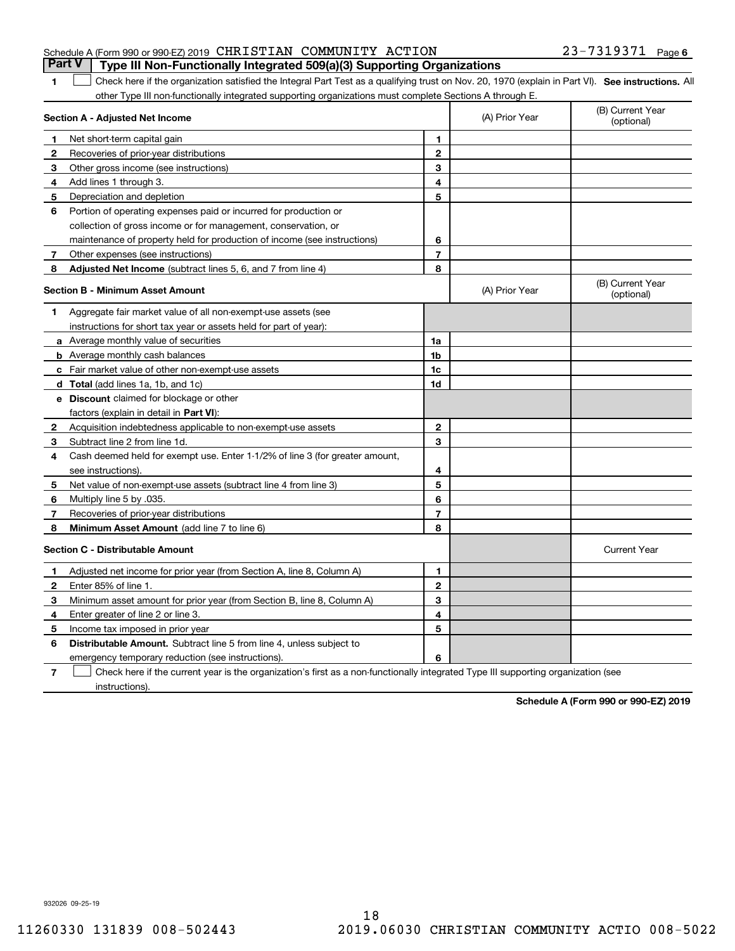#### Schedule A (Form 990 or 990-EZ) 2019 Page CHRISTIAN COMMUNITY ACTION 23-7319371 **Part V Type III Non-Functionally Integrated 509(a)(3) Supporting Organizations**

1 Check here if the organization satisfied the Integral Part Test as a qualifying trust on Nov. 20, 1970 (explain in Part VI). See instructions. All other Type III non-functionally integrated supporting organizations must complete Sections A through E.

|              | Section A - Adjusted Net Income                                                                                                   |                | (A) Prior Year | (B) Current Year<br>(optional) |
|--------------|-----------------------------------------------------------------------------------------------------------------------------------|----------------|----------------|--------------------------------|
| 1            | Net short-term capital gain                                                                                                       | 1              |                |                                |
| 2            | Recoveries of prior-year distributions                                                                                            | $\overline{2}$ |                |                                |
| 3            | Other gross income (see instructions)                                                                                             | 3              |                |                                |
| 4            | Add lines 1 through 3.                                                                                                            | 4              |                |                                |
| 5            | Depreciation and depletion                                                                                                        | 5              |                |                                |
| 6            | Portion of operating expenses paid or incurred for production or                                                                  |                |                |                                |
|              | collection of gross income or for management, conservation, or                                                                    |                |                |                                |
|              | maintenance of property held for production of income (see instructions)                                                          | 6              |                |                                |
| 7            | Other expenses (see instructions)                                                                                                 | $\overline{7}$ |                |                                |
| 8            | Adjusted Net Income (subtract lines 5, 6, and 7 from line 4)                                                                      | 8              |                |                                |
|              | <b>Section B - Minimum Asset Amount</b>                                                                                           |                | (A) Prior Year | (B) Current Year<br>(optional) |
| 1            | Aggregate fair market value of all non-exempt-use assets (see                                                                     |                |                |                                |
|              | instructions for short tax year or assets held for part of year):                                                                 |                |                |                                |
|              | <b>a</b> Average monthly value of securities                                                                                      | 1a             |                |                                |
|              | <b>b</b> Average monthly cash balances                                                                                            | 1b             |                |                                |
|              | c Fair market value of other non-exempt-use assets                                                                                | 1c             |                |                                |
|              | d Total (add lines 1a, 1b, and 1c)                                                                                                | 1d             |                |                                |
|              | e Discount claimed for blockage or other                                                                                          |                |                |                                |
|              | factors (explain in detail in Part VI):                                                                                           |                |                |                                |
| $\mathbf{2}$ | Acquisition indebtedness applicable to non-exempt-use assets                                                                      | $\mathbf 2$    |                |                                |
| 3            | Subtract line 2 from line 1d.                                                                                                     | 3              |                |                                |
| 4            | Cash deemed held for exempt use. Enter 1-1/2% of line 3 (for greater amount,                                                      |                |                |                                |
|              | see instructions)                                                                                                                 | 4              |                |                                |
| 5            | Net value of non-exempt-use assets (subtract line 4 from line 3)                                                                  | 5              |                |                                |
| 6            | Multiply line 5 by .035.                                                                                                          | 6              |                |                                |
| 7            | Recoveries of prior-year distributions                                                                                            | $\overline{7}$ |                |                                |
| 8            | Minimum Asset Amount (add line 7 to line 6)                                                                                       | 8              |                |                                |
|              | <b>Section C - Distributable Amount</b>                                                                                           |                |                | <b>Current Year</b>            |
| 1            | Adjusted net income for prior year (from Section A, line 8, Column A)                                                             | 1              |                |                                |
| 2            | Enter 85% of line 1.                                                                                                              | $\overline{2}$ |                |                                |
| 3            | Minimum asset amount for prior year (from Section B, line 8, Column A)                                                            | 3              |                |                                |
| 4            | Enter greater of line 2 or line 3.                                                                                                | 4              |                |                                |
| 5            | Income tax imposed in prior year                                                                                                  | 5              |                |                                |
| 6            | <b>Distributable Amount.</b> Subtract line 5 from line 4, unless subject to                                                       |                |                |                                |
|              | emergency temporary reduction (see instructions).                                                                                 | 6              |                |                                |
| 7            | Check here if the current year is the organization's first as a non-functionally integrated Type III supporting organization (see |                |                |                                |

instructions).

**1**

**Schedule A (Form 990 or 990-EZ) 2019**

932026 09-25-19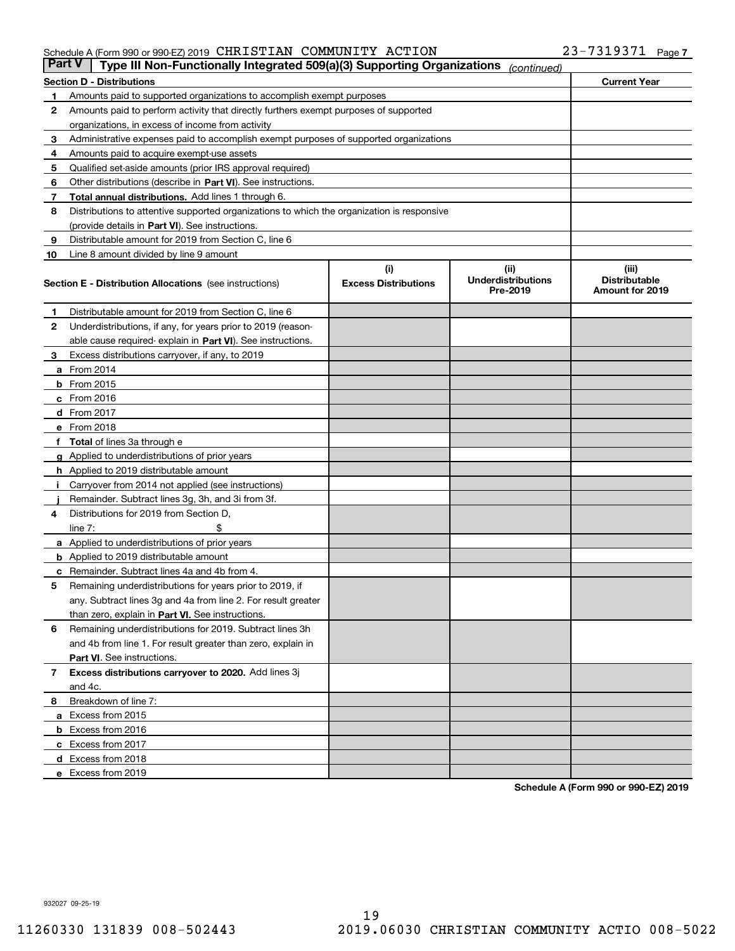#### Schedule A (Form 990 or 990-EZ) 2019 CHRISTIAN COMMUNITY ACTION 2 3 - 7 3 I 9 3 7 I Page CHRISTIAN COMMUNITY ACTION 23-7319371

| <b>Part V</b> | Type III Non-Functionally Integrated 509(a)(3) Supporting Organizations                    |                             | (continued)                           |                                         |
|---------------|--------------------------------------------------------------------------------------------|-----------------------------|---------------------------------------|-----------------------------------------|
|               | <b>Section D - Distributions</b>                                                           |                             |                                       | <b>Current Year</b>                     |
| 1             | Amounts paid to supported organizations to accomplish exempt purposes                      |                             |                                       |                                         |
| 2             | Amounts paid to perform activity that directly furthers exempt purposes of supported       |                             |                                       |                                         |
|               | organizations, in excess of income from activity                                           |                             |                                       |                                         |
| 3             | Administrative expenses paid to accomplish exempt purposes of supported organizations      |                             |                                       |                                         |
| 4             | Amounts paid to acquire exempt-use assets                                                  |                             |                                       |                                         |
| 5             | Qualified set-aside amounts (prior IRS approval required)                                  |                             |                                       |                                         |
| 6             | Other distributions (describe in Part VI). See instructions.                               |                             |                                       |                                         |
| 7             | <b>Total annual distributions.</b> Add lines 1 through 6.                                  |                             |                                       |                                         |
| 8             | Distributions to attentive supported organizations to which the organization is responsive |                             |                                       |                                         |
|               | (provide details in Part VI). See instructions.                                            |                             |                                       |                                         |
| 9             | Distributable amount for 2019 from Section C, line 6                                       |                             |                                       |                                         |
| 10            | Line 8 amount divided by line 9 amount                                                     |                             |                                       |                                         |
|               |                                                                                            | (i)                         | (iii)                                 | (iii)                                   |
|               | <b>Section E - Distribution Allocations</b> (see instructions)                             | <b>Excess Distributions</b> | <b>Underdistributions</b><br>Pre-2019 | <b>Distributable</b><br>Amount for 2019 |
| 1             | Distributable amount for 2019 from Section C, line 6                                       |                             |                                       |                                         |
| 2             | Underdistributions, if any, for years prior to 2019 (reason-                               |                             |                                       |                                         |
|               | able cause required- explain in Part VI). See instructions.                                |                             |                                       |                                         |
| З             | Excess distributions carryover, if any, to 2019                                            |                             |                                       |                                         |
|               | <b>a</b> From 2014                                                                         |                             |                                       |                                         |
|               | <b>b</b> From 2015                                                                         |                             |                                       |                                         |
|               | $c$ From 2016                                                                              |                             |                                       |                                         |
|               | d From 2017                                                                                |                             |                                       |                                         |
|               | e From 2018                                                                                |                             |                                       |                                         |
|               | Total of lines 3a through e                                                                |                             |                                       |                                         |
| g             | Applied to underdistributions of prior years                                               |                             |                                       |                                         |
|               | <b>h</b> Applied to 2019 distributable amount                                              |                             |                                       |                                         |
|               | Carryover from 2014 not applied (see instructions)                                         |                             |                                       |                                         |
|               | Remainder. Subtract lines 3g, 3h, and 3i from 3f.                                          |                             |                                       |                                         |
| 4             | Distributions for 2019 from Section D,                                                     |                             |                                       |                                         |
|               | line $7:$                                                                                  |                             |                                       |                                         |
|               | <b>a</b> Applied to underdistributions of prior years                                      |                             |                                       |                                         |
|               | <b>b</b> Applied to 2019 distributable amount                                              |                             |                                       |                                         |
|               | c Remainder. Subtract lines 4a and 4b from 4.                                              |                             |                                       |                                         |
| 5             | Remaining underdistributions for years prior to 2019, if                                   |                             |                                       |                                         |
|               | any. Subtract lines 3g and 4a from line 2. For result greater                              |                             |                                       |                                         |
|               | than zero, explain in Part VI. See instructions.                                           |                             |                                       |                                         |
| 6             | Remaining underdistributions for 2019. Subtract lines 3h                                   |                             |                                       |                                         |
|               | and 4b from line 1. For result greater than zero, explain in                               |                             |                                       |                                         |
|               | Part VI. See instructions.                                                                 |                             |                                       |                                         |
| 7             | Excess distributions carryover to 2020. Add lines 3j                                       |                             |                                       |                                         |
|               | and 4c.                                                                                    |                             |                                       |                                         |
| 8             | Breakdown of line 7:                                                                       |                             |                                       |                                         |
|               | a Excess from 2015                                                                         |                             |                                       |                                         |
|               | <b>b</b> Excess from 2016                                                                  |                             |                                       |                                         |
|               | c Excess from 2017                                                                         |                             |                                       |                                         |
|               | d Excess from 2018                                                                         |                             |                                       |                                         |
|               | e Excess from 2019                                                                         |                             |                                       |                                         |
|               |                                                                                            |                             |                                       |                                         |

**Schedule A (Form 990 or 990-EZ) 2019**

932027 09-25-19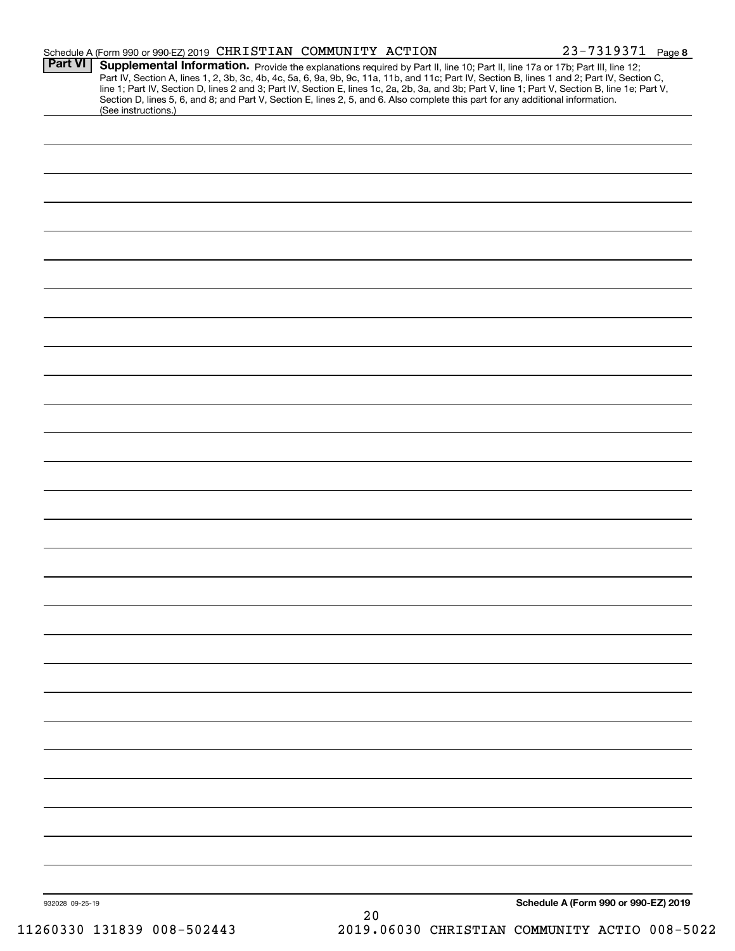|                 | Schedule A (Form 990 or 990-EZ) 2019 CHRISTIAN COMMUNITY ACTION                                                                                                                                                                                                                                                                                                                                                                   |      | 23-7319371 Page 8                    |
|-----------------|-----------------------------------------------------------------------------------------------------------------------------------------------------------------------------------------------------------------------------------------------------------------------------------------------------------------------------------------------------------------------------------------------------------------------------------|------|--------------------------------------|
| <b>Part VI</b>  | Supplemental Information. Provide the explanations required by Part II, line 10; Part II, line 17a or 17b; Part III, line 12;<br>Part IV, Section A, lines 1, 2, 3b, 3c, 4b, 4c, 5a, 6, 9a, 9b, 9c, 11a, 11b, and 11c; Part IV, Section B, lines 1 and 2; Part IV, Section C,<br>line 1; Part IV, Section D, lines 2 and 3; Part IV, Section E, lines 1c, 2a, 2b, 3a, and 3b; Part V, line 1; Part V, Section B, line 1e; Part V, |      |                                      |
|                 | Section D, lines 5, 6, and 8; and Part V, Section E, lines 2, 5, and 6. Also complete this part for any additional information.<br>(See instructions.)                                                                                                                                                                                                                                                                            |      |                                      |
|                 |                                                                                                                                                                                                                                                                                                                                                                                                                                   |      |                                      |
|                 |                                                                                                                                                                                                                                                                                                                                                                                                                                   |      |                                      |
|                 |                                                                                                                                                                                                                                                                                                                                                                                                                                   |      |                                      |
|                 |                                                                                                                                                                                                                                                                                                                                                                                                                                   |      |                                      |
|                 |                                                                                                                                                                                                                                                                                                                                                                                                                                   |      |                                      |
|                 |                                                                                                                                                                                                                                                                                                                                                                                                                                   |      |                                      |
|                 |                                                                                                                                                                                                                                                                                                                                                                                                                                   |      |                                      |
|                 |                                                                                                                                                                                                                                                                                                                                                                                                                                   |      |                                      |
|                 |                                                                                                                                                                                                                                                                                                                                                                                                                                   |      |                                      |
|                 |                                                                                                                                                                                                                                                                                                                                                                                                                                   |      |                                      |
|                 |                                                                                                                                                                                                                                                                                                                                                                                                                                   |      |                                      |
|                 |                                                                                                                                                                                                                                                                                                                                                                                                                                   |      |                                      |
|                 |                                                                                                                                                                                                                                                                                                                                                                                                                                   |      |                                      |
|                 |                                                                                                                                                                                                                                                                                                                                                                                                                                   |      |                                      |
|                 |                                                                                                                                                                                                                                                                                                                                                                                                                                   |      |                                      |
|                 |                                                                                                                                                                                                                                                                                                                                                                                                                                   |      |                                      |
|                 |                                                                                                                                                                                                                                                                                                                                                                                                                                   |      |                                      |
|                 |                                                                                                                                                                                                                                                                                                                                                                                                                                   |      |                                      |
|                 |                                                                                                                                                                                                                                                                                                                                                                                                                                   |      |                                      |
|                 |                                                                                                                                                                                                                                                                                                                                                                                                                                   |      |                                      |
|                 |                                                                                                                                                                                                                                                                                                                                                                                                                                   |      |                                      |
|                 |                                                                                                                                                                                                                                                                                                                                                                                                                                   |      |                                      |
|                 |                                                                                                                                                                                                                                                                                                                                                                                                                                   |      |                                      |
|                 |                                                                                                                                                                                                                                                                                                                                                                                                                                   |      |                                      |
|                 |                                                                                                                                                                                                                                                                                                                                                                                                                                   |      |                                      |
|                 |                                                                                                                                                                                                                                                                                                                                                                                                                                   |      |                                      |
|                 |                                                                                                                                                                                                                                                                                                                                                                                                                                   |      |                                      |
|                 |                                                                                                                                                                                                                                                                                                                                                                                                                                   |      |                                      |
|                 |                                                                                                                                                                                                                                                                                                                                                                                                                                   |      |                                      |
|                 |                                                                                                                                                                                                                                                                                                                                                                                                                                   |      |                                      |
|                 |                                                                                                                                                                                                                                                                                                                                                                                                                                   |      |                                      |
|                 |                                                                                                                                                                                                                                                                                                                                                                                                                                   |      |                                      |
|                 |                                                                                                                                                                                                                                                                                                                                                                                                                                   |      |                                      |
|                 |                                                                                                                                                                                                                                                                                                                                                                                                                                   |      |                                      |
| 932028 09-25-19 |                                                                                                                                                                                                                                                                                                                                                                                                                                   | $20$ | Schedule A (Form 990 or 990-EZ) 2019 |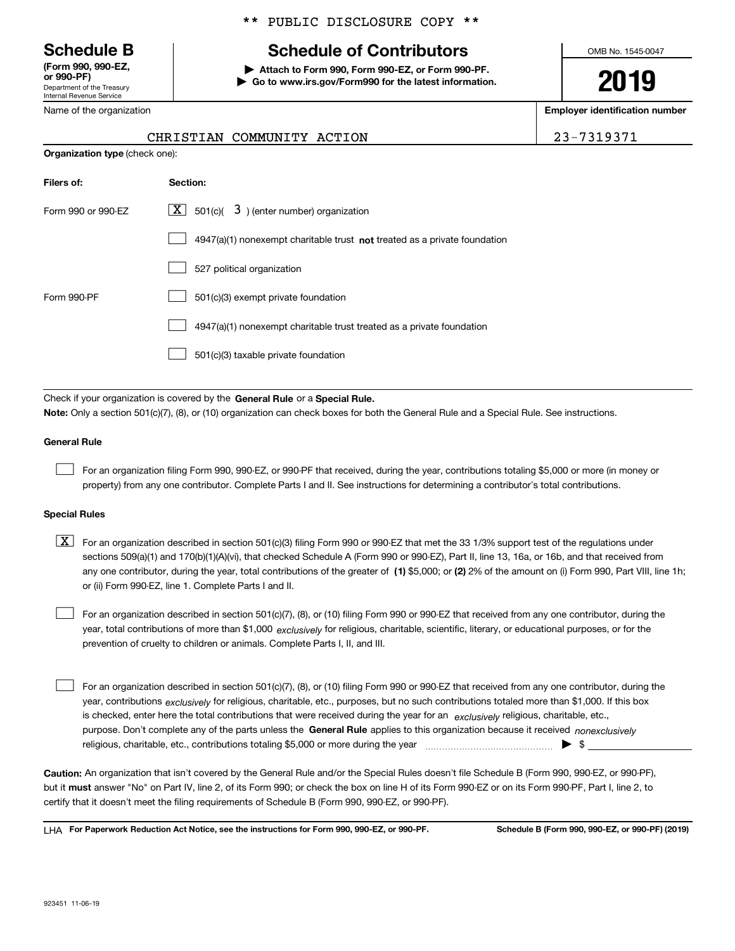Department of the Treasury Internal Revenue Service **(Form 990, 990-EZ, or 990-PF)**

Name of the organization

**Organization type** (check one):

#### \*\* PUBLIC DISCLOSURE COPY \*\*

## **Schedule B Schedule of Contributors**

**| Attach to Form 990, Form 990-EZ, or Form 990-PF. | Go to www.irs.gov/Form990 for the latest information.** OMB No. 1545-0047

**2019**

**Employer identification number**

|  |  | ב ס |  |  |
|--|--|-----|--|--|
|  |  |     |  |  |

|                            | ----------------------- |
|----------------------------|-------------------------|
| CHRISTIAN COMMUNITY ACTION | 23-7319371              |

| Filers of:         | Section:                                                                    |
|--------------------|-----------------------------------------------------------------------------|
| Form 990 or 990-EZ | $\lfloor x \rfloor$ 501(c)( 3) (enter number) organization                  |
|                    | $4947(a)(1)$ nonexempt charitable trust not treated as a private foundation |
|                    | 527 political organization                                                  |
| Form 990-PF        | 501(c)(3) exempt private foundation                                         |
|                    | 4947(a)(1) nonexempt charitable trust treated as a private foundation       |
|                    | 501(c)(3) taxable private foundation                                        |

Check if your organization is covered by the **General Rule** or a **Special Rule. Note:**  Only a section 501(c)(7), (8), or (10) organization can check boxes for both the General Rule and a Special Rule. See instructions.

#### **General Rule**

 $\mathcal{L}^{\text{max}}$ 

For an organization filing Form 990, 990-EZ, or 990-PF that received, during the year, contributions totaling \$5,000 or more (in money or property) from any one contributor. Complete Parts I and II. See instructions for determining a contributor's total contributions.

#### **Special Rules**

any one contributor, during the year, total contributions of the greater of  $\,$  (1) \$5,000; or **(2)** 2% of the amount on (i) Form 990, Part VIII, line 1h;  $\boxed{\textbf{X}}$  For an organization described in section 501(c)(3) filing Form 990 or 990-EZ that met the 33 1/3% support test of the regulations under sections 509(a)(1) and 170(b)(1)(A)(vi), that checked Schedule A (Form 990 or 990-EZ), Part II, line 13, 16a, or 16b, and that received from or (ii) Form 990-EZ, line 1. Complete Parts I and II.

year, total contributions of more than \$1,000 *exclusively* for religious, charitable, scientific, literary, or educational purposes, or for the For an organization described in section 501(c)(7), (8), or (10) filing Form 990 or 990-EZ that received from any one contributor, during the prevention of cruelty to children or animals. Complete Parts I, II, and III.  $\mathcal{L}^{\text{max}}$ 

purpose. Don't complete any of the parts unless the **General Rule** applies to this organization because it received *nonexclusively* year, contributions <sub>exclusively</sub> for religious, charitable, etc., purposes, but no such contributions totaled more than \$1,000. If this box is checked, enter here the total contributions that were received during the year for an  $\;$ exclusively religious, charitable, etc., For an organization described in section 501(c)(7), (8), or (10) filing Form 990 or 990-EZ that received from any one contributor, during the religious, charitable, etc., contributions totaling \$5,000 or more during the year  $\Box$ — $\Box$   $\Box$  $\mathcal{L}^{\text{max}}$ 

**Caution:**  An organization that isn't covered by the General Rule and/or the Special Rules doesn't file Schedule B (Form 990, 990-EZ, or 990-PF),  **must** but it answer "No" on Part IV, line 2, of its Form 990; or check the box on line H of its Form 990-EZ or on its Form 990-PF, Part I, line 2, to certify that it doesn't meet the filing requirements of Schedule B (Form 990, 990-EZ, or 990-PF).

**For Paperwork Reduction Act Notice, see the instructions for Form 990, 990-EZ, or 990-PF. Schedule B (Form 990, 990-EZ, or 990-PF) (2019)** LHA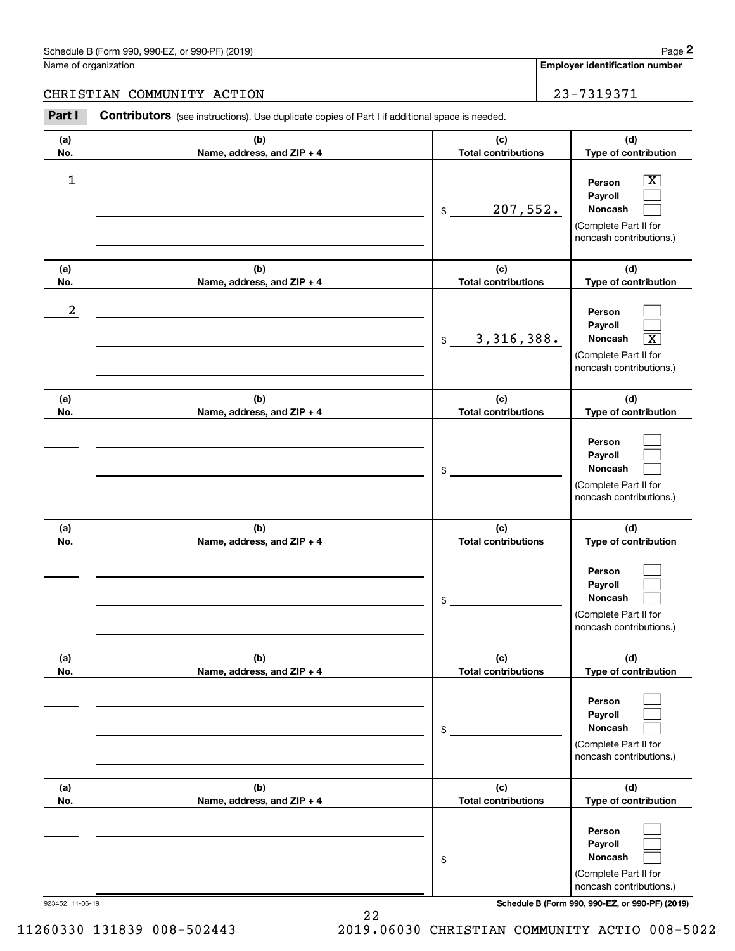#### Schedule B (Form 990, 990-EZ, or 990-PF) (2019) **Page 2** Page 1 and 2011 **Page 2** Page 2 **Page 2** Page 1 and 2011 **Page 2**

Name of organization

**Employer identification number**

#### CHRISTIAN COMMUNITY ACTION 23-7319371

**(a)No.(b)Name, address, and ZIP + 4 (c)Total contributions (d)Type of contribution PersonPayrollNoncash (a)No.(b)Name, address, and ZIP + 4 (c)Total contributions (d)Type of contribution PersonPayrollNoncash (a)No.(b)Name, address, and ZIP + 4 (c)Total contributions (d)Type of contribution PersonPayrollNoncash (a) No.(b) Name, address, and ZIP + 4 (c) Total contributions (d) Type of contribution PersonPayrollNoncash (a) No.(b) Name, address, and ZIP + 4 (c) Total contributions (d) Type of contribution PersonPayrollNoncash(a) No.(b)Name, address, and ZIP + 4 (c) Total contributions (d)Type of contribution PersonPayrollNoncash Contributors** (see instructions). Use duplicate copies of Part I if additional space is needed. \$(Complete Part II for noncash contributions.) \$(Complete Part II for noncash contributions.) \$(Complete Part II for noncash contributions.) \$(Complete Part II for noncash contributions.) \$(Complete Part II for noncash contributions.) \$(Complete Part II for noncash contributions.) Chedule B (Form 990, 990-EZ, or 990-PF) (2019)<br>Iame of organization<br>**2PARISTIAN COMMUNITY ACTION** 23-7319371<br>**Part I** Contributors (see instructions). Use duplicate copies of Part I if additional space is needed.  $|X|$  $\mathcal{L}^{\text{max}}$  $\mathcal{L}^{\text{max}}$  $\mathcal{L}^{\text{max}}$  $\mathcal{L}^{\text{max}}$  $\overline{\mathbf{X}}$  $\mathcal{L}^{\text{max}}$  $\mathcal{L}^{\text{max}}$  $\mathcal{L}^{\text{max}}$  $\mathcal{L}^{\text{max}}$  $\mathcal{L}^{\text{max}}$  $\mathcal{L}^{\text{max}}$  $\mathcal{L}^{\text{max}}$  $\mathcal{L}^{\text{max}}$  $\mathcal{L}^{\text{max}}$  $\mathcal{L}^{\text{max}}$  $\mathcal{L}^{\text{max}}$  $\mathcal{L}^{\text{max}}$  $\begin{array}{c|c|c|c|c|c} 1 & \hspace{1.5cm} & \hspace{1.5cm} & \hspace{1.5cm} & \hspace{1.5cm} & \hspace{1.5cm} & \hspace{1.5cm} & \hspace{1.5cm} & \hspace{1.5cm} & \hspace{1.5cm} & \hspace{1.5cm} & \hspace{1.5cm} & \hspace{1.5cm} & \hspace{1.5cm} & \hspace{1.5cm} & \hspace{1.5cm} & \hspace{1.5cm} & \hspace{1.5cm} & \hspace{1.5cm} & \hspace{1.5cm} & \hspace{1.5cm} &$ 207,552. 2 3,316,388. X

923452 11-06-19 **Schedule B (Form 990, 990-EZ, or 990-PF) (2019)**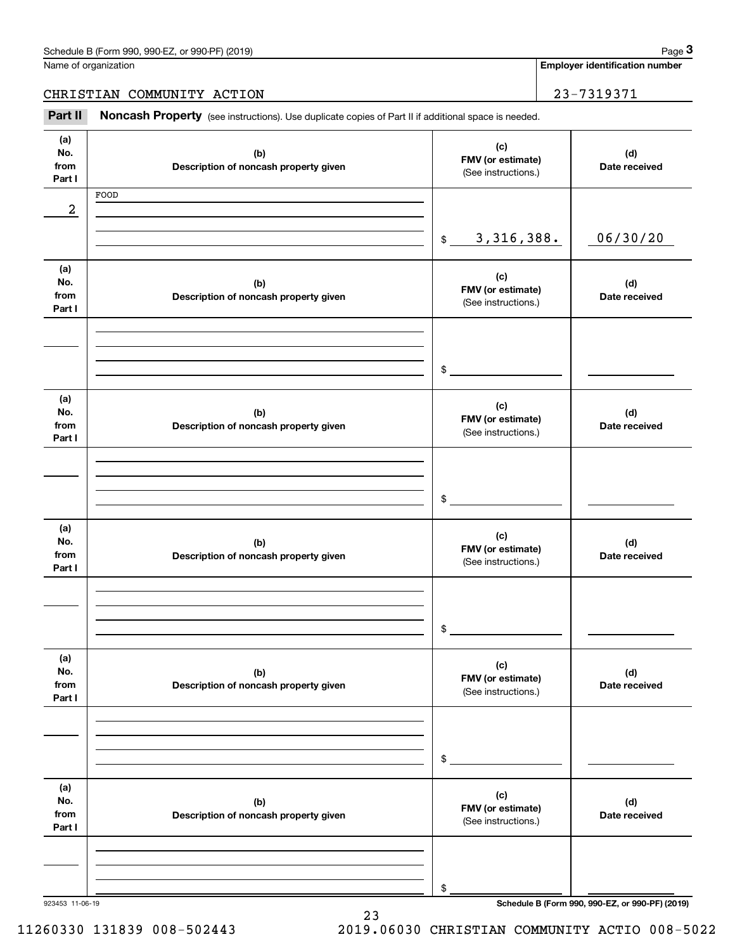**Employer identification number**

CHRISTIAN COMMUNITY ACTION 23-7319371

(see instructions). Use duplicate copies of Part II if additional space is needed.<br> **29-7319371**<br> **Part II Noncash Property** (see instructions). Use duplicate copies of Part II if additional space is needed.

| (a)<br>No.<br>from<br>Part I | (b)<br>Description of noncash property given | (c)<br>FMV (or estimate)<br>(See instructions.) | (d)<br>Date received                            |
|------------------------------|----------------------------------------------|-------------------------------------------------|-------------------------------------------------|
|                              | FOOD                                         |                                                 |                                                 |
| 2                            |                                              |                                                 |                                                 |
|                              |                                              |                                                 |                                                 |
|                              |                                              |                                                 |                                                 |
|                              |                                              | 3, 316, 388.<br>$\$\$                           | 06/30/20                                        |
|                              |                                              |                                                 |                                                 |
| (a)                          |                                              | (c)                                             |                                                 |
| No.                          | (b)                                          | FMV (or estimate)                               | (d)                                             |
| from                         | Description of noncash property given        | (See instructions.)                             | Date received                                   |
| Part I                       |                                              |                                                 |                                                 |
|                              |                                              |                                                 |                                                 |
|                              |                                              |                                                 |                                                 |
|                              |                                              |                                                 |                                                 |
|                              |                                              | $\mathfrak s$                                   |                                                 |
|                              |                                              |                                                 |                                                 |
| (a)                          |                                              |                                                 |                                                 |
| No.                          | (b)                                          | (c)                                             | (d)                                             |
| from                         | Description of noncash property given        | FMV (or estimate)                               | Date received                                   |
| Part I                       |                                              | (See instructions.)                             |                                                 |
|                              |                                              |                                                 |                                                 |
|                              |                                              |                                                 |                                                 |
|                              |                                              |                                                 |                                                 |
|                              |                                              |                                                 |                                                 |
|                              |                                              | $\mathfrak s$                                   |                                                 |
|                              |                                              |                                                 |                                                 |
| (a)                          |                                              | (c)                                             |                                                 |
| No.                          | (b)                                          | FMV (or estimate)                               | (d)                                             |
| from                         | Description of noncash property given        | (See instructions.)                             | Date received                                   |
| Part I                       |                                              |                                                 |                                                 |
|                              |                                              |                                                 |                                                 |
|                              |                                              |                                                 |                                                 |
|                              |                                              |                                                 |                                                 |
|                              |                                              | \$                                              |                                                 |
|                              |                                              |                                                 |                                                 |
| (a)                          |                                              |                                                 |                                                 |
| No.                          | (b)                                          | (c)                                             | (d)                                             |
| from                         | Description of noncash property given        | FMV (or estimate)                               | Date received                                   |
| Part I                       |                                              | (See instructions.)                             |                                                 |
|                              |                                              |                                                 |                                                 |
|                              |                                              |                                                 |                                                 |
|                              |                                              |                                                 |                                                 |
|                              |                                              |                                                 |                                                 |
|                              |                                              | \$                                              |                                                 |
|                              |                                              |                                                 |                                                 |
| (a)                          |                                              | (c)                                             |                                                 |
| No.                          | (b)                                          | FMV (or estimate)                               | (d)                                             |
| from                         | Description of noncash property given        | (See instructions.)                             | Date received                                   |
| Part I                       |                                              |                                                 |                                                 |
|                              |                                              |                                                 |                                                 |
|                              |                                              |                                                 |                                                 |
|                              |                                              |                                                 |                                                 |
|                              |                                              | \$                                              |                                                 |
| 923453 11-06-19              |                                              |                                                 | Schedule B (Form 990, 990-EZ, or 990-PF) (2019) |

23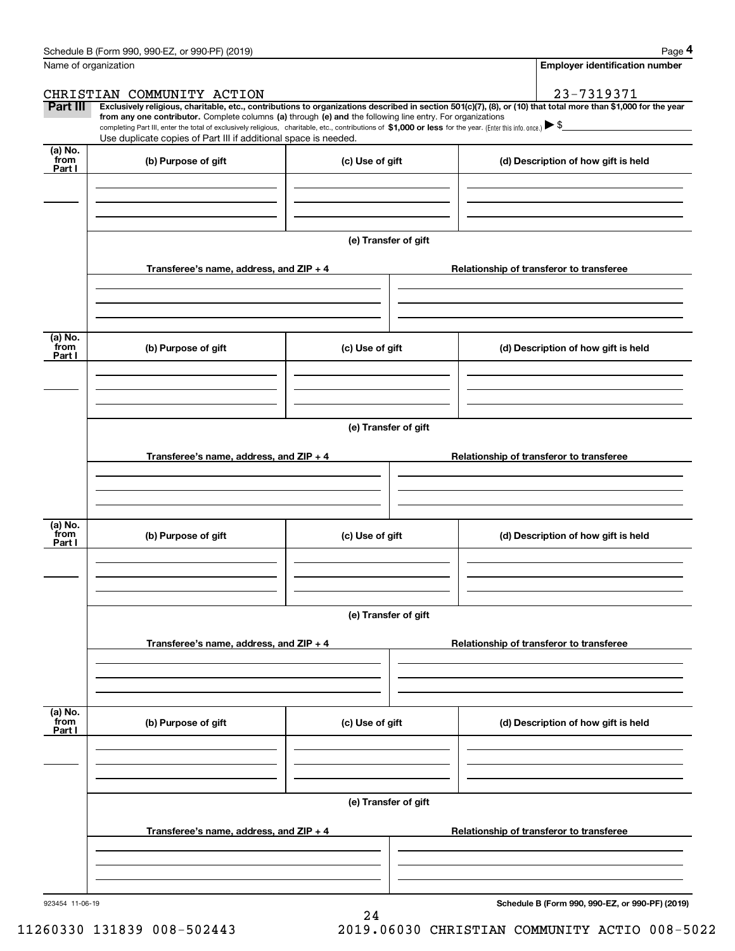|                 | Schedule B (Form 990, 990-EZ, or 990-PF) (2019)                                                                                                                                                                                                      |                                       | Page 4                                                                                                                                                         |  |  |  |  |  |
|-----------------|------------------------------------------------------------------------------------------------------------------------------------------------------------------------------------------------------------------------------------------------------|---------------------------------------|----------------------------------------------------------------------------------------------------------------------------------------------------------------|--|--|--|--|--|
|                 | Name of organization                                                                                                                                                                                                                                 | <b>Employer identification number</b> |                                                                                                                                                                |  |  |  |  |  |
|                 | CHRISTIAN COMMUNITY ACTION                                                                                                                                                                                                                           |                                       | 23-7319371                                                                                                                                                     |  |  |  |  |  |
| Part III        | from any one contributor. Complete columns (a) through (e) and the following line entry. For organizations                                                                                                                                           |                                       | Exclusively religious, charitable, etc., contributions to organizations described in section 501(c)(7), (8), or (10) that total more than \$1,000 for the year |  |  |  |  |  |
|                 | completing Part III, enter the total of exclusively religious, charitable, etc., contributions of \$1,000 or less for the year. (Enter this info. once.) $\blacktriangleright$ \$<br>Use duplicate copies of Part III if additional space is needed. |                                       |                                                                                                                                                                |  |  |  |  |  |
| (a) No.<br>from | (b) Purpose of gift                                                                                                                                                                                                                                  | (c) Use of gift                       | (d) Description of how gift is held                                                                                                                            |  |  |  |  |  |
| Part I          |                                                                                                                                                                                                                                                      |                                       |                                                                                                                                                                |  |  |  |  |  |
|                 |                                                                                                                                                                                                                                                      |                                       |                                                                                                                                                                |  |  |  |  |  |
|                 |                                                                                                                                                                                                                                                      |                                       |                                                                                                                                                                |  |  |  |  |  |
|                 |                                                                                                                                                                                                                                                      |                                       |                                                                                                                                                                |  |  |  |  |  |
|                 |                                                                                                                                                                                                                                                      | (e) Transfer of gift                  |                                                                                                                                                                |  |  |  |  |  |
|                 | Transferee's name, address, and ZIP + 4                                                                                                                                                                                                              |                                       | Relationship of transferor to transferee                                                                                                                       |  |  |  |  |  |
|                 |                                                                                                                                                                                                                                                      |                                       |                                                                                                                                                                |  |  |  |  |  |
|                 |                                                                                                                                                                                                                                                      |                                       |                                                                                                                                                                |  |  |  |  |  |
|                 |                                                                                                                                                                                                                                                      |                                       |                                                                                                                                                                |  |  |  |  |  |
| (a) No.<br>from |                                                                                                                                                                                                                                                      |                                       |                                                                                                                                                                |  |  |  |  |  |
| Part I          | (b) Purpose of gift                                                                                                                                                                                                                                  | (c) Use of gift                       | (d) Description of how gift is held                                                                                                                            |  |  |  |  |  |
|                 |                                                                                                                                                                                                                                                      |                                       |                                                                                                                                                                |  |  |  |  |  |
|                 |                                                                                                                                                                                                                                                      |                                       |                                                                                                                                                                |  |  |  |  |  |
|                 |                                                                                                                                                                                                                                                      |                                       |                                                                                                                                                                |  |  |  |  |  |
|                 | (e) Transfer of gift                                                                                                                                                                                                                                 |                                       |                                                                                                                                                                |  |  |  |  |  |
|                 | Transferee's name, address, and ZIP + 4                                                                                                                                                                                                              |                                       | Relationship of transferor to transferee                                                                                                                       |  |  |  |  |  |
|                 |                                                                                                                                                                                                                                                      |                                       |                                                                                                                                                                |  |  |  |  |  |
|                 |                                                                                                                                                                                                                                                      |                                       |                                                                                                                                                                |  |  |  |  |  |
|                 |                                                                                                                                                                                                                                                      |                                       |                                                                                                                                                                |  |  |  |  |  |
| (a) No.<br>from |                                                                                                                                                                                                                                                      |                                       |                                                                                                                                                                |  |  |  |  |  |
| Part I          | (b) Purpose of gift                                                                                                                                                                                                                                  | (c) Use of gift                       | (d) Description of how gift is held                                                                                                                            |  |  |  |  |  |
|                 |                                                                                                                                                                                                                                                      |                                       |                                                                                                                                                                |  |  |  |  |  |
|                 |                                                                                                                                                                                                                                                      |                                       |                                                                                                                                                                |  |  |  |  |  |
|                 |                                                                                                                                                                                                                                                      |                                       |                                                                                                                                                                |  |  |  |  |  |
|                 |                                                                                                                                                                                                                                                      | (e) Transfer of gift                  |                                                                                                                                                                |  |  |  |  |  |
|                 | Transferee's name, address, and ZIP + 4                                                                                                                                                                                                              |                                       | Relationship of transferor to transferee                                                                                                                       |  |  |  |  |  |
|                 |                                                                                                                                                                                                                                                      |                                       |                                                                                                                                                                |  |  |  |  |  |
|                 |                                                                                                                                                                                                                                                      |                                       |                                                                                                                                                                |  |  |  |  |  |
|                 |                                                                                                                                                                                                                                                      |                                       |                                                                                                                                                                |  |  |  |  |  |
| (a) No.<br>from | (b) Purpose of gift                                                                                                                                                                                                                                  | (c) Use of gift                       | (d) Description of how gift is held                                                                                                                            |  |  |  |  |  |
| Part I          |                                                                                                                                                                                                                                                      |                                       |                                                                                                                                                                |  |  |  |  |  |
|                 |                                                                                                                                                                                                                                                      |                                       |                                                                                                                                                                |  |  |  |  |  |
|                 |                                                                                                                                                                                                                                                      |                                       |                                                                                                                                                                |  |  |  |  |  |
|                 |                                                                                                                                                                                                                                                      |                                       |                                                                                                                                                                |  |  |  |  |  |
|                 | (e) Transfer of gift                                                                                                                                                                                                                                 |                                       |                                                                                                                                                                |  |  |  |  |  |
|                 | Transferee's name, address, and ZIP + 4                                                                                                                                                                                                              |                                       | Relationship of transferor to transferee                                                                                                                       |  |  |  |  |  |
|                 |                                                                                                                                                                                                                                                      |                                       |                                                                                                                                                                |  |  |  |  |  |
|                 |                                                                                                                                                                                                                                                      |                                       |                                                                                                                                                                |  |  |  |  |  |
|                 |                                                                                                                                                                                                                                                      |                                       |                                                                                                                                                                |  |  |  |  |  |

24

**Schedule B (Form 990, 990-EZ, or 990-PF) (2019)**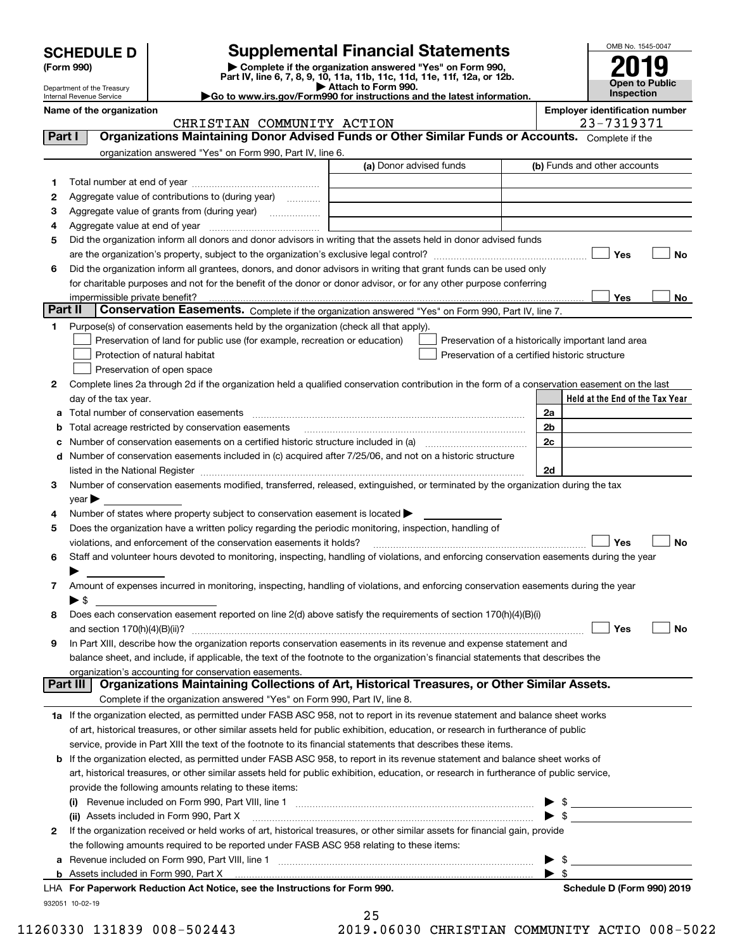| <b>SCHEDULE D</b> |  |
|-------------------|--|
|-------------------|--|

Department of the Treasury

## **SCHEDULE D Supplemental Financial Statements**

(Form 990)<br>
Pepartment of the Treasury<br>
Department of the Treasury<br>
Department of the Treasury<br>
Department of the Treasury<br> **Co to www.irs.gov/Form990 for instructions and the latest information.**<br> **Co to www.irs.gov/Form9** 



| Internal Revenue Service | $\blacktriangleright$ Go to www.irs.gov/Form990 for instructions and the latest information. | <b>Inspection</b>                     |
|--------------------------|----------------------------------------------------------------------------------------------|---------------------------------------|
| Name of the organization |                                                                                              | <b>Employer identification number</b> |
|                          | CHRISTIN COMMINITTY ACTION                                                                   | $73 - 7319371$                        |

|         | CHRISTIAN COMMUNITY ACTION                                                                                                                                                                                                    | 23-7319371                                         |
|---------|-------------------------------------------------------------------------------------------------------------------------------------------------------------------------------------------------------------------------------|----------------------------------------------------|
| Part I  | Organizations Maintaining Donor Advised Funds or Other Similar Funds or Accounts. Complete if the                                                                                                                             |                                                    |
|         | organization answered "Yes" on Form 990, Part IV, line 6.                                                                                                                                                                     |                                                    |
|         | (a) Donor advised funds                                                                                                                                                                                                       | (b) Funds and other accounts                       |
| 1.      |                                                                                                                                                                                                                               |                                                    |
| 2       | Aggregate value of contributions to (during year)                                                                                                                                                                             |                                                    |
| з       | Aggregate value of grants from (during year)                                                                                                                                                                                  |                                                    |
| 4       |                                                                                                                                                                                                                               |                                                    |
| 5       | Did the organization inform all donors and donor advisors in writing that the assets held in donor advised funds                                                                                                              |                                                    |
|         |                                                                                                                                                                                                                               | Yes<br>No                                          |
| 6       | Did the organization inform all grantees, donors, and donor advisors in writing that grant funds can be used only                                                                                                             |                                                    |
|         | for charitable purposes and not for the benefit of the donor or donor advisor, or for any other purpose conferring                                                                                                            |                                                    |
|         | impermissible private benefit?                                                                                                                                                                                                | Yes<br>No                                          |
| Part II | Conservation Easements. Complete if the organization answered "Yes" on Form 990, Part IV, line 7.                                                                                                                             |                                                    |
| 1       | Purpose(s) of conservation easements held by the organization (check all that apply).                                                                                                                                         |                                                    |
|         | Preservation of land for public use (for example, recreation or education)                                                                                                                                                    | Preservation of a historically important land area |
|         | Protection of natural habitat                                                                                                                                                                                                 | Preservation of a certified historic structure     |
|         | Preservation of open space                                                                                                                                                                                                    |                                                    |
| 2       | Complete lines 2a through 2d if the organization held a qualified conservation contribution in the form of a conservation easement on the last                                                                                |                                                    |
|         | day of the tax year.                                                                                                                                                                                                          | Held at the End of the Tax Year                    |
| a       | Total number of conservation easements                                                                                                                                                                                        | 2a                                                 |
| b       | Total acreage restricted by conservation easements                                                                                                                                                                            | 2 <sub>b</sub>                                     |
| c       | Number of conservation easements on a certified historic structure included in (a) manufacture included in (a)                                                                                                                | 2c                                                 |
| d       | Number of conservation easements included in (c) acquired after 7/25/06, and not on a historic structure                                                                                                                      |                                                    |
|         | listed in the National Register [11, 1200] [12] The National Register [11, 1200] [12] The National Register [11, 1200] [12] The National Register [11, 1200] [12] The National Register [11, 1200] [12] The National Register | 2d                                                 |
| 3       | Number of conservation easements modified, transferred, released, extinguished, or terminated by the organization during the tax                                                                                              |                                                    |
|         | $year \triangleright$                                                                                                                                                                                                         |                                                    |
| 4       | Number of states where property subject to conservation easement is located >                                                                                                                                                 |                                                    |
| 5       | Does the organization have a written policy regarding the periodic monitoring, inspection, handling of                                                                                                                        |                                                    |
|         | violations, and enforcement of the conservation easements it holds?                                                                                                                                                           | Yes<br>No                                          |
| 6       | Staff and volunteer hours devoted to monitoring, inspecting, handling of violations, and enforcing conservation easements during the year                                                                                     |                                                    |
|         |                                                                                                                                                                                                                               |                                                    |
| 7       | Amount of expenses incurred in monitoring, inspecting, handling of violations, and enforcing conservation easements during the year                                                                                           |                                                    |
|         | $\blacktriangleright$ \$                                                                                                                                                                                                      |                                                    |
| 8       | Does each conservation easement reported on line 2(d) above satisfy the requirements of section 170(h)(4)(B)(i)                                                                                                               |                                                    |
|         |                                                                                                                                                                                                                               | Yes<br>No                                          |
| 9       | In Part XIII, describe how the organization reports conservation easements in its revenue and expense statement and                                                                                                           |                                                    |
|         | balance sheet, and include, if applicable, the text of the footnote to the organization's financial statements that describes the                                                                                             |                                                    |
|         | organization's accounting for conservation easements.                                                                                                                                                                         |                                                    |
|         | Organizations Maintaining Collections of Art, Historical Treasures, or Other Similar Assets.<br>Part III                                                                                                                      |                                                    |
|         | Complete if the organization answered "Yes" on Form 990, Part IV, line 8.                                                                                                                                                     |                                                    |
|         | 1a If the organization elected, as permitted under FASB ASC 958, not to report in its revenue statement and balance sheet works                                                                                               |                                                    |
|         | of art, historical treasures, or other similar assets held for public exhibition, education, or research in furtherance of public                                                                                             |                                                    |
|         | service, provide in Part XIII the text of the footnote to its financial statements that describes these items.                                                                                                                |                                                    |
| b       | If the organization elected, as permitted under FASB ASC 958, to report in its revenue statement and balance sheet works of                                                                                                   |                                                    |
|         | art, historical treasures, or other similar assets held for public exhibition, education, or research in furtherance of public service,                                                                                       |                                                    |
|         | provide the following amounts relating to these items:                                                                                                                                                                        |                                                    |
|         |                                                                                                                                                                                                                               | \$                                                 |
|         | (ii) Assets included in Form 990, Part X                                                                                                                                                                                      | $\blacktriangleright$ \$                           |
| 2       | If the organization received or held works of art, historical treasures, or other similar assets for financial gain, provide                                                                                                  |                                                    |
|         | the following amounts required to be reported under FASB ASC 958 relating to these items:                                                                                                                                     |                                                    |
| а       |                                                                                                                                                                                                                               | \$                                                 |
|         |                                                                                                                                                                                                                               | $\blacktriangleright$ s                            |
|         | LHA For Paperwork Reduction Act Notice, see the Instructions for Form 990.                                                                                                                                                    | Schedule D (Form 990) 2019                         |

932051 10-02-19

25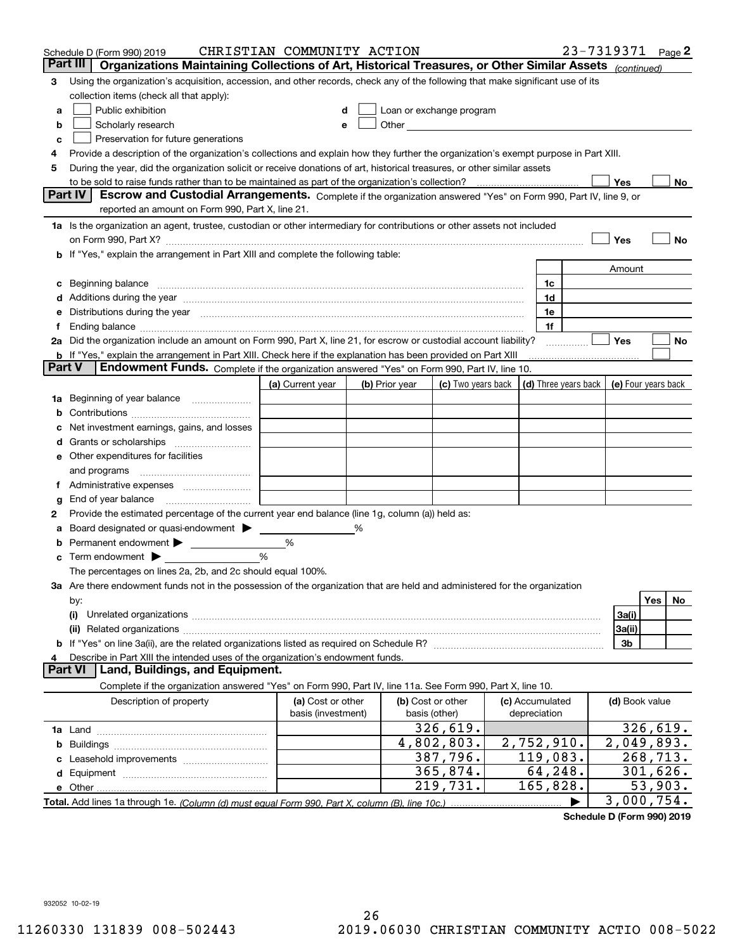|        | Schedule D (Form 990) 2019                                                                                                                                                                                                                  | CHRISTIAN COMMUNITY ACTION |   |                |                                                                                                                                                                                                                                |                      | 23-7319371     | Page 2                             |
|--------|---------------------------------------------------------------------------------------------------------------------------------------------------------------------------------------------------------------------------------------------|----------------------------|---|----------------|--------------------------------------------------------------------------------------------------------------------------------------------------------------------------------------------------------------------------------|----------------------|----------------|------------------------------------|
|        | Organizations Maintaining Collections of Art, Historical Treasures, or Other Similar Assets (continued)<br>Part III                                                                                                                         |                            |   |                |                                                                                                                                                                                                                                |                      |                |                                    |
| 3      | Using the organization's acquisition, accession, and other records, check any of the following that make significant use of its                                                                                                             |                            |   |                |                                                                                                                                                                                                                                |                      |                |                                    |
|        | collection items (check all that apply):                                                                                                                                                                                                    |                            |   |                |                                                                                                                                                                                                                                |                      |                |                                    |
| a      | Public exhibition                                                                                                                                                                                                                           |                            |   |                | Loan or exchange program                                                                                                                                                                                                       |                      |                |                                    |
| b      | Scholarly research                                                                                                                                                                                                                          | е                          |   |                | Other and the control of the control of the control of the control of the control of the control of the control of the control of the control of the control of the control of the control of the control of the control of th |                      |                |                                    |
| c      | Preservation for future generations                                                                                                                                                                                                         |                            |   |                |                                                                                                                                                                                                                                |                      |                |                                    |
| 4      | Provide a description of the organization's collections and explain how they further the organization's exempt purpose in Part XIII.                                                                                                        |                            |   |                |                                                                                                                                                                                                                                |                      |                |                                    |
| 5      | During the year, did the organization solicit or receive donations of art, historical treasures, or other similar assets                                                                                                                    |                            |   |                |                                                                                                                                                                                                                                |                      |                |                                    |
|        | to be sold to raise funds rather than to be maintained as part of the organization's collection?                                                                                                                                            |                            |   |                |                                                                                                                                                                                                                                |                      | Yes            | No                                 |
|        | Part IV<br>Escrow and Custodial Arrangements. Complete if the organization answered "Yes" on Form 990, Part IV, line 9, or                                                                                                                  |                            |   |                |                                                                                                                                                                                                                                |                      |                |                                    |
|        | reported an amount on Form 990, Part X, line 21.                                                                                                                                                                                            |                            |   |                |                                                                                                                                                                                                                                |                      |                |                                    |
|        | 1a Is the organization an agent, trustee, custodian or other intermediary for contributions or other assets not included                                                                                                                    |                            |   |                |                                                                                                                                                                                                                                |                      |                |                                    |
|        |                                                                                                                                                                                                                                             |                            |   |                |                                                                                                                                                                                                                                |                      | Yes            | No                                 |
|        | b If "Yes," explain the arrangement in Part XIII and complete the following table:                                                                                                                                                          |                            |   |                |                                                                                                                                                                                                                                |                      |                |                                    |
|        |                                                                                                                                                                                                                                             |                            |   |                |                                                                                                                                                                                                                                |                      | Amount         |                                    |
|        | Beginning balance                                                                                                                                                                                                                           |                            |   |                |                                                                                                                                                                                                                                | 1c                   |                |                                    |
|        | Additions during the year manufactured and an anti-manufactured and the year manufactured and all the year manufactured and all the year manufactured and all the year manufactured and all the year manufactured and all the               |                            |   |                |                                                                                                                                                                                                                                | 1d                   |                |                                    |
|        | Distributions during the year manufactured and continuum and contained and the year manufactured and contained                                                                                                                              |                            |   |                |                                                                                                                                                                                                                                | 1e                   |                |                                    |
|        |                                                                                                                                                                                                                                             |                            |   |                |                                                                                                                                                                                                                                | 1f                   | Yes            |                                    |
|        | 2a Did the organization include an amount on Form 990, Part X, line 21, for escrow or custodial account liability?<br><b>b</b> If "Yes," explain the arrangement in Part XIII. Check here if the explanation has been provided on Part XIII |                            |   |                |                                                                                                                                                                                                                                |                      |                | No                                 |
| Part V | Endowment Funds. Complete if the organization answered "Yes" on Form 990, Part IV, line 10.                                                                                                                                                 |                            |   |                |                                                                                                                                                                                                                                |                      |                |                                    |
|        |                                                                                                                                                                                                                                             | (a) Current year           |   | (b) Prior year | (c) Two years back                                                                                                                                                                                                             | (d) Three years back |                | (e) Four years back                |
| 1a     | Beginning of year balance                                                                                                                                                                                                                   |                            |   |                |                                                                                                                                                                                                                                |                      |                |                                    |
|        |                                                                                                                                                                                                                                             |                            |   |                |                                                                                                                                                                                                                                |                      |                |                                    |
|        | Net investment earnings, gains, and losses                                                                                                                                                                                                  |                            |   |                |                                                                                                                                                                                                                                |                      |                |                                    |
|        |                                                                                                                                                                                                                                             |                            |   |                |                                                                                                                                                                                                                                |                      |                |                                    |
| е      | Other expenditures for facilities                                                                                                                                                                                                           |                            |   |                |                                                                                                                                                                                                                                |                      |                |                                    |
|        | and programs                                                                                                                                                                                                                                |                            |   |                |                                                                                                                                                                                                                                |                      |                |                                    |
|        |                                                                                                                                                                                                                                             |                            |   |                |                                                                                                                                                                                                                                |                      |                |                                    |
| g      | End of year balance                                                                                                                                                                                                                         |                            |   |                |                                                                                                                                                                                                                                |                      |                |                                    |
| 2      | Provide the estimated percentage of the current year end balance (line 1g, column (a)) held as:                                                                                                                                             |                            |   |                |                                                                                                                                                                                                                                |                      |                |                                    |
|        | Board designated or quasi-endowment                                                                                                                                                                                                         |                            | % |                |                                                                                                                                                                                                                                |                      |                |                                    |
|        | Permanent endowment > <u>example</u>                                                                                                                                                                                                        | %                          |   |                |                                                                                                                                                                                                                                |                      |                |                                    |
| с      | Term endowment $\blacktriangleright$                                                                                                                                                                                                        | %                          |   |                |                                                                                                                                                                                                                                |                      |                |                                    |
|        | The percentages on lines 2a, 2b, and 2c should equal 100%.                                                                                                                                                                                  |                            |   |                |                                                                                                                                                                                                                                |                      |                |                                    |
|        | 3a Are there endowment funds not in the possession of the organization that are held and administered for the organization                                                                                                                  |                            |   |                |                                                                                                                                                                                                                                |                      |                |                                    |
|        | by:                                                                                                                                                                                                                                         |                            |   |                |                                                                                                                                                                                                                                |                      |                | Yes<br>No                          |
|        | (i)                                                                                                                                                                                                                                         |                            |   |                |                                                                                                                                                                                                                                |                      | 3a(i)          |                                    |
|        |                                                                                                                                                                                                                                             |                            |   |                |                                                                                                                                                                                                                                |                      | 3a(ii)         |                                    |
|        |                                                                                                                                                                                                                                             |                            |   |                |                                                                                                                                                                                                                                |                      | 3b             |                                    |
|        | Describe in Part XIII the intended uses of the organization's endowment funds.                                                                                                                                                              |                            |   |                |                                                                                                                                                                                                                                |                      |                |                                    |
|        | Land, Buildings, and Equipment.<br>Part VI                                                                                                                                                                                                  |                            |   |                |                                                                                                                                                                                                                                |                      |                |                                    |
|        | Complete if the organization answered "Yes" on Form 990, Part IV, line 11a. See Form 990, Part X, line 10.                                                                                                                                  |                            |   |                |                                                                                                                                                                                                                                |                      |                |                                    |
|        | Description of property                                                                                                                                                                                                                     | (a) Cost or other          |   |                | (b) Cost or other                                                                                                                                                                                                              | (c) Accumulated      | (d) Book value |                                    |
|        |                                                                                                                                                                                                                                             | basis (investment)         |   |                | basis (other)                                                                                                                                                                                                                  | depreciation         |                |                                    |
|        |                                                                                                                                                                                                                                             |                            |   |                | 326,619.                                                                                                                                                                                                                       |                      |                | 326,619.                           |
| b      |                                                                                                                                                                                                                                             |                            |   |                | 4,802,803.                                                                                                                                                                                                                     | 2,752,910.           |                | 2,049,893.                         |
|        |                                                                                                                                                                                                                                             |                            |   |                | 387,796.                                                                                                                                                                                                                       | 119,083.             |                | $\overline{2}68, 7\underline{1}3.$ |
|        |                                                                                                                                                                                                                                             |                            |   |                | 365,874.                                                                                                                                                                                                                       | 64,248.              |                | 301,626.                           |
|        |                                                                                                                                                                                                                                             |                            |   |                | 219,731.                                                                                                                                                                                                                       | 165,828.             |                | 53,903.                            |
|        |                                                                                                                                                                                                                                             |                            |   |                |                                                                                                                                                                                                                                |                      |                | 3,000,754.                         |

**Schedule D (Form 990) 2019**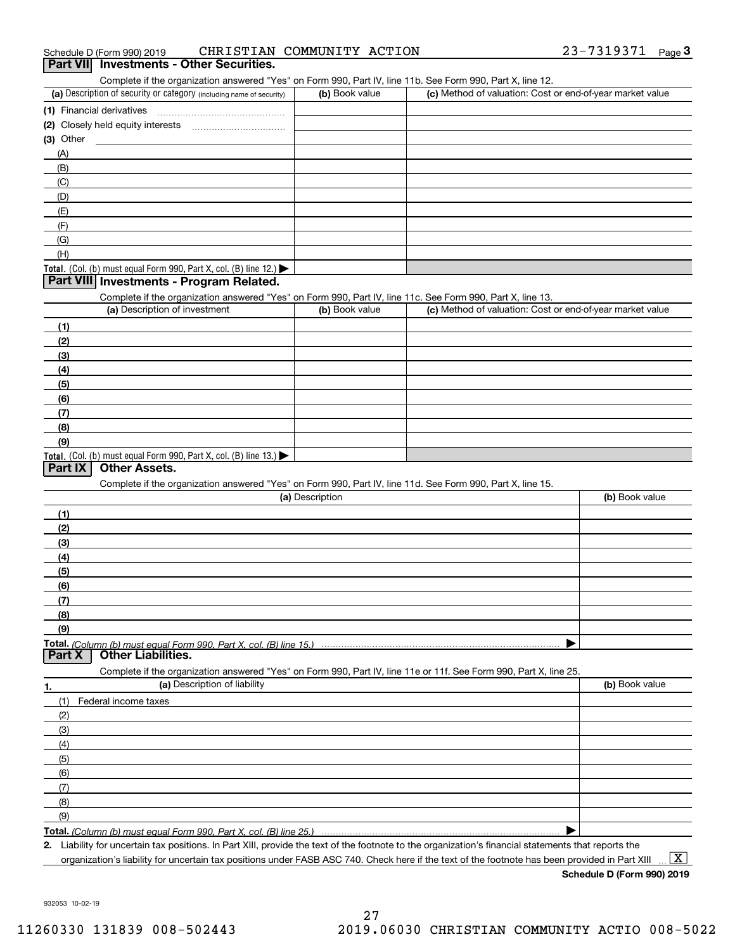| 23-7319371<br>CHRISTIAN COMMUNITY ACTION<br>Schedule D (Form 990) 2019 |  | Page |
|------------------------------------------------------------------------|--|------|
|------------------------------------------------------------------------|--|------|

#### **Part VII Investments - Other Securities.**

Complete if the organization answered "Yes" on Form 990, Part IV, line 11b. See Form 990, Part X, line 12.

| (a) Description of security or category (including name of security)                          | (b) Book value | (c) Method of valuation: Cost or end-of-year market value |
|-----------------------------------------------------------------------------------------------|----------------|-----------------------------------------------------------|
| (1) Financial derivatives                                                                     |                |                                                           |
| (2) Closely held equity interests                                                             |                |                                                           |
| (3) Other                                                                                     |                |                                                           |
| (A)                                                                                           |                |                                                           |
| (B)                                                                                           |                |                                                           |
| (C)                                                                                           |                |                                                           |
| (D)                                                                                           |                |                                                           |
| (E)                                                                                           |                |                                                           |
| (F)                                                                                           |                |                                                           |
| (G)                                                                                           |                |                                                           |
| (H)                                                                                           |                |                                                           |
| <b>Total.</b> (Col. (b) must equal Form 990, Part X, col. (B) line 12.) $\blacktriangleright$ |                |                                                           |

#### **Part VIII Investments - Program Related.**

Complete if the organization answered "Yes" on Form 990, Part IV, line 11c. See Form 990, Part X, line 13.

| (a) Description of investment                                       | (b) Book value | (c) Method of valuation: Cost or end-of-year market value |
|---------------------------------------------------------------------|----------------|-----------------------------------------------------------|
| (1)                                                                 |                |                                                           |
| (2)                                                                 |                |                                                           |
| $\frac{1}{2}$                                                       |                |                                                           |
| (4)                                                                 |                |                                                           |
| $\left(5\right)$                                                    |                |                                                           |
| (6)                                                                 |                |                                                           |
| (7)                                                                 |                |                                                           |
| (8)                                                                 |                |                                                           |
| (9)                                                                 |                |                                                           |
| Total. (Col. (b) must equal Form 990, Part X, col. (B) line $13.$ ) |                |                                                           |

#### **Part IX Other Assets.**

Complete if the organization answered "Yes" on Form 990, Part IV, line 11d. See Form 990, Part X, line 15.

| (a) Description                                                                                                   | (b) Book value |
|-------------------------------------------------------------------------------------------------------------------|----------------|
| (1)                                                                                                               |                |
| (2)                                                                                                               |                |
| (3)                                                                                                               |                |
| (4)                                                                                                               |                |
| (5)                                                                                                               |                |
| (6)                                                                                                               |                |
| (7)                                                                                                               |                |
| (8)                                                                                                               |                |
| (9)                                                                                                               |                |
|                                                                                                                   |                |
| <b>Part X</b> Other Liabilities.                                                                                  |                |
| Complete if the organization answered "Yes" on Form 990, Part IV, line 11e or 11f. See Form 990, Part X, line 25, |                |

**1. (a)** Description of liability **Book value** Book value Book value Book value Book value **Total.**  *(Column (b) must equal Form 990, Part X, col. (B) line 25.)* (1)Federal income taxes (2)(3)(4)(5) (6)(7)(8)(9) $\blacktriangleright$ 

**2.**Liability for uncertain tax positions. In Part XIII, provide the text of the footnote to the organization's financial statements that reports the organization's liability for uncertain tax positions under FASB ASC 740. Check here if the text of the footnote has been provided in Part XIII

**Schedule D (Form 990) 2019**

 $\boxed{\text{X}}$ 

932053 10-02-19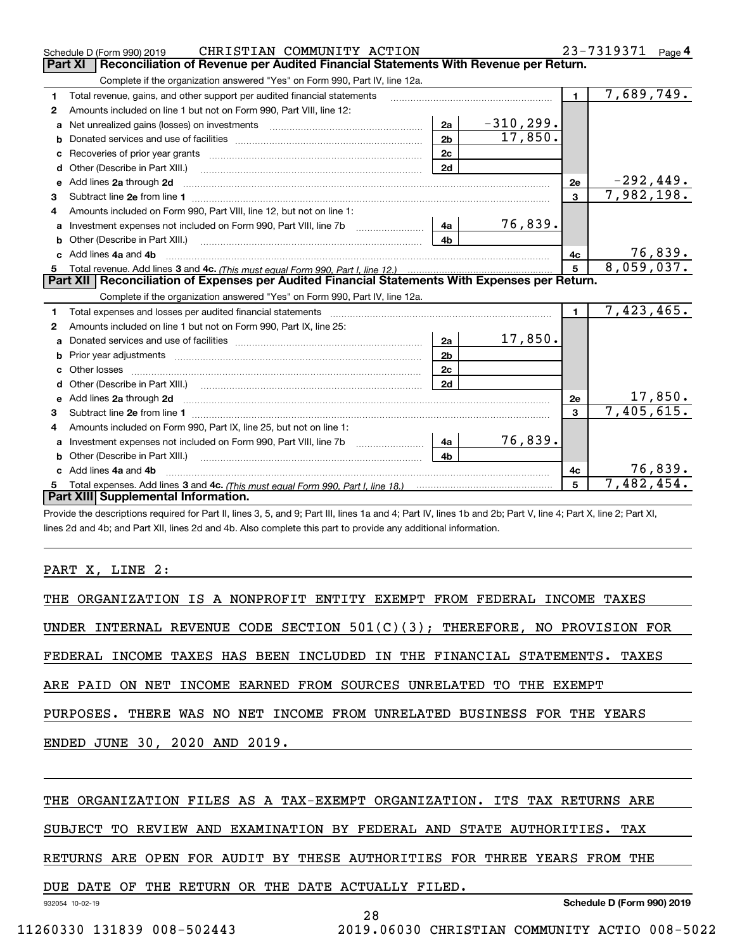|              | CHRISTIAN COMMUNITY ACTION<br>Schedule D (Form 990) 2019                                                                                                                                                                       |                |              |              | 23-7319371 Page 4              |
|--------------|--------------------------------------------------------------------------------------------------------------------------------------------------------------------------------------------------------------------------------|----------------|--------------|--------------|--------------------------------|
|              | Reconciliation of Revenue per Audited Financial Statements With Revenue per Return.<br>Part XI                                                                                                                                 |                |              |              |                                |
|              | Complete if the organization answered "Yes" on Form 990, Part IV, line 12a.                                                                                                                                                    |                |              |              |                                |
| 1            | Total revenue, gains, and other support per audited financial statements                                                                                                                                                       |                |              | $\mathbf{1}$ | 7,689,749.                     |
| $\mathbf{2}$ | Amounts included on line 1 but not on Form 990, Part VIII, line 12:                                                                                                                                                            |                |              |              |                                |
| a            |                                                                                                                                                                                                                                | 2a             | $-310, 299.$ |              |                                |
|              |                                                                                                                                                                                                                                | 2 <sub>b</sub> | 17,850.      |              |                                |
|              |                                                                                                                                                                                                                                | 2 <sub>c</sub> |              |              |                                |
|              |                                                                                                                                                                                                                                | 2d             |              |              |                                |
| е            | Add lines 2a through 2d                                                                                                                                                                                                        |                |              | 2e           | <u>-292,449.</u><br>7,982,198. |
| 3            |                                                                                                                                                                                                                                |                |              | 3            |                                |
| 4            | Amounts included on Form 990, Part VIII, line 12, but not on line 1:                                                                                                                                                           |                |              |              |                                |
|              | Investment expenses not included on Form 990, Part VIII, line 7b [14a]                                                                                                                                                         |                | 76,839.      |              |                                |
|              |                                                                                                                                                                                                                                | 4 <sub>b</sub> |              |              |                                |
| c.           | Add lines 4a and 4b                                                                                                                                                                                                            |                |              | 4c           | $\frac{76,839.}{8,059,037.}$   |
|              |                                                                                                                                                                                                                                |                |              | 5            |                                |
|              | Part XII   Reconciliation of Expenses per Audited Financial Statements With Expenses per Return.                                                                                                                               |                |              |              |                                |
|              | Complete if the organization answered "Yes" on Form 990, Part IV, line 12a.                                                                                                                                                    |                |              |              |                                |
| 1            | Total expenses and losses per audited financial statements [11] [12] contraction control of the statements [11] [12] and the statements [12] and the statements [12] and the statements [12] and the statements and the statem |                |              | $\mathbf{1}$ | 7,423,465.                     |
| 2            | Amounts included on line 1 but not on Form 990, Part IX, line 25:                                                                                                                                                              |                |              |              |                                |
| a            |                                                                                                                                                                                                                                | 2a             | 17,850.      |              |                                |
| b            |                                                                                                                                                                                                                                | 2 <sub>b</sub> |              |              |                                |
|              |                                                                                                                                                                                                                                | 2c             |              |              |                                |
|              |                                                                                                                                                                                                                                | 2d             |              |              |                                |
|              | e Add lines 2a through 2d                                                                                                                                                                                                      |                |              | 2e           | $\frac{17,850}{7,405,615}$     |
| з            |                                                                                                                                                                                                                                |                |              | $\mathbf{a}$ |                                |
| 4            | Amounts included on Form 990, Part IX, line 25, but not on line 1:                                                                                                                                                             |                |              |              |                                |
|              |                                                                                                                                                                                                                                |                | 76,839.      |              |                                |
| a            |                                                                                                                                                                                                                                | 4a             |              |              |                                |
| b            | Other (Describe in Part XIII.)                                                                                                                                                                                                 | 4 <sub>b</sub> |              |              |                                |
|              | c Add lines 4a and 4b                                                                                                                                                                                                          |                |              | 4c           | 76,839.                        |
|              | Part XIII Supplemental Information.                                                                                                                                                                                            |                |              | 5            | 7,482,454.                     |

Provide the descriptions required for Part II, lines 3, 5, and 9; Part III, lines 1a and 4; Part IV, lines 1b and 2b; Part V, line 4; Part X, line 2; Part XI, lines 2d and 4b; and Part XII, lines 2d and 4b. Also complete this part to provide any additional information.

### PART X, LINE 2:

| THE ORGANIZATION IS A NONPROFIT ENTITY EXEMPT FROM FEDERAL INCOME TAXES       |
|-------------------------------------------------------------------------------|
| UNDER INTERNAL REVENUE CODE SECTION $501(C)(3)$ ; THEREFORE, NO PROVISION FOR |
| FEDERAL INCOME TAXES HAS BEEN INCLUDED IN THE FINANCIAL STATEMENTS. TAXES     |
| ARE PAID ON NET INCOME EARNED FROM SOURCES UNRELATED TO THE EXEMPT            |
| PURPOSES. THERE WAS NO NET INCOME FROM UNRELATED BUSINESS FOR THE YEARS       |
| ENDED JUNE 30, 2020 AND 2019.                                                 |
|                                                                               |
| THE ORGANIZATION FILES AS A TAX-EXEMPT ORGANIZATION. ITS TAX RETURNS ARE      |

SUBJECT TO REVIEW AND EXAMINATION BY FEDERAL AND STATE AUTHORITIES. TAX

RETURNS ARE OPEN FOR AUDIT BY THESE AUTHORITIES FOR THREE YEARS FROM THE

DUE DATE OF THE RETURN OR THE DATE ACTUALLY FILED.

932054 10-02-19

**Schedule D (Form 990) 2019**

28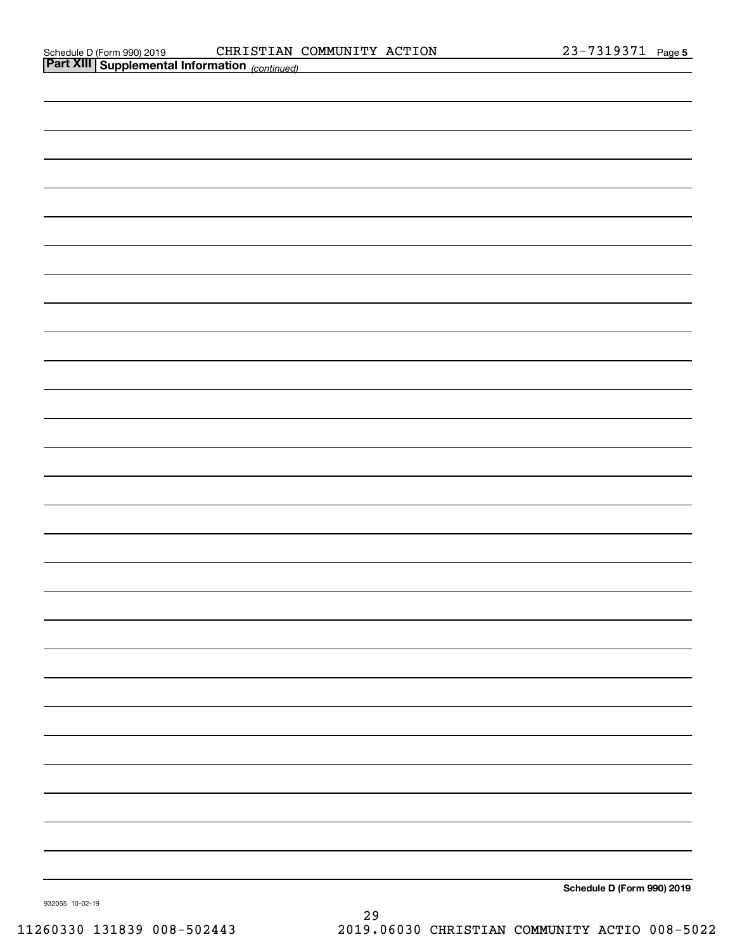| <b>Part XIII Supplemental Information</b> (continued) |                            |
|-------------------------------------------------------|----------------------------|
|                                                       |                            |
|                                                       |                            |
|                                                       |                            |
|                                                       |                            |
|                                                       |                            |
|                                                       |                            |
|                                                       |                            |
|                                                       |                            |
|                                                       |                            |
|                                                       |                            |
|                                                       |                            |
|                                                       |                            |
|                                                       |                            |
|                                                       |                            |
|                                                       |                            |
|                                                       |                            |
|                                                       |                            |
|                                                       |                            |
|                                                       |                            |
|                                                       |                            |
|                                                       |                            |
|                                                       |                            |
|                                                       |                            |
|                                                       |                            |
|                                                       |                            |
|                                                       |                            |
|                                                       |                            |
|                                                       |                            |
|                                                       |                            |
|                                                       |                            |
|                                                       | Schedule D (Form 990) 2019 |

932055 10-02-19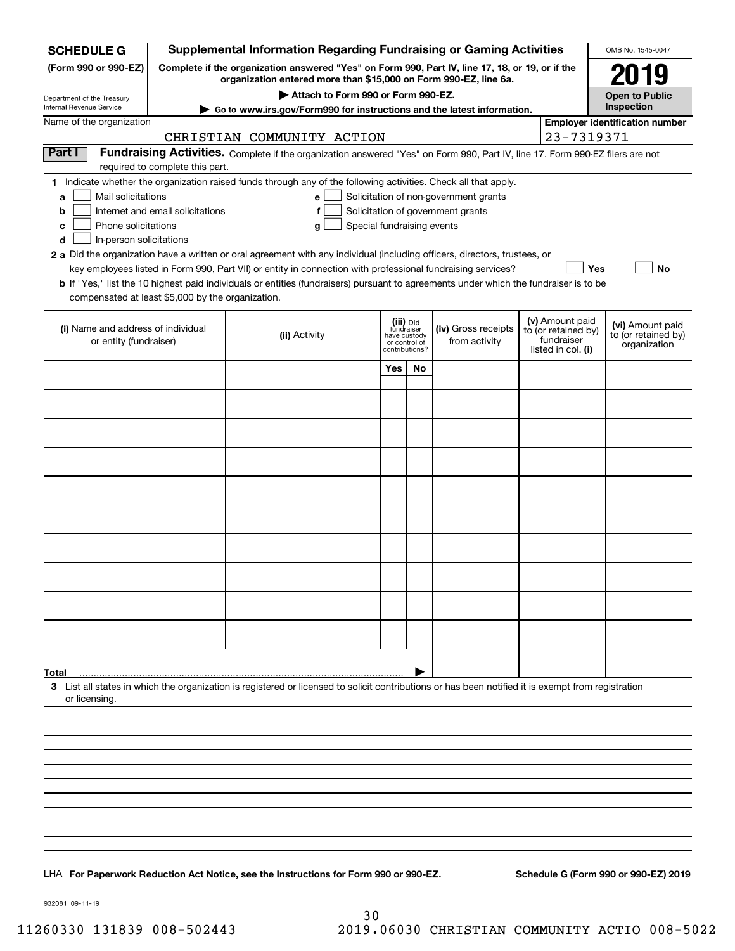| <b>SCHEDULE G</b>                                                                                                                             |                                                                                                                                                                            | <b>Supplemental Information Regarding Fundraising or Gaming Activities</b>                                                                                                                                                                                                                                                                                                                                                                                                                                                                                           |                                                                            |    |                                                                            |  |                                                                            | OMB No. 1545-0047                                       |  |
|-----------------------------------------------------------------------------------------------------------------------------------------------|----------------------------------------------------------------------------------------------------------------------------------------------------------------------------|----------------------------------------------------------------------------------------------------------------------------------------------------------------------------------------------------------------------------------------------------------------------------------------------------------------------------------------------------------------------------------------------------------------------------------------------------------------------------------------------------------------------------------------------------------------------|----------------------------------------------------------------------------|----|----------------------------------------------------------------------------|--|----------------------------------------------------------------------------|---------------------------------------------------------|--|
| (Form 990 or 990-EZ)                                                                                                                          | Complete if the organization answered "Yes" on Form 990, Part IV, line 17, 18, or 19, or if the<br>119<br>organization entered more than \$15,000 on Form 990-EZ, line 6a. |                                                                                                                                                                                                                                                                                                                                                                                                                                                                                                                                                                      |                                                                            |    |                                                                            |  |                                                                            |                                                         |  |
|                                                                                                                                               | Attach to Form 990 or Form 990-EZ.<br><b>Open to Public</b>                                                                                                                |                                                                                                                                                                                                                                                                                                                                                                                                                                                                                                                                                                      |                                                                            |    |                                                                            |  |                                                                            |                                                         |  |
| Department of the Treasury<br>Internal Revenue Service                                                                                        | Inspection<br>Go to www.irs.gov/Form990 for instructions and the latest information.                                                                                       |                                                                                                                                                                                                                                                                                                                                                                                                                                                                                                                                                                      |                                                                            |    |                                                                            |  |                                                                            |                                                         |  |
| Name of the organization                                                                                                                      | <b>Employer identification number</b><br>23-7319371<br>CHRISTIAN COMMUNITY ACTION                                                                                          |                                                                                                                                                                                                                                                                                                                                                                                                                                                                                                                                                                      |                                                                            |    |                                                                            |  |                                                                            |                                                         |  |
| Part I                                                                                                                                        | required to complete this part.                                                                                                                                            | Fundraising Activities. Complete if the organization answered "Yes" on Form 990, Part IV, line 17. Form 990-EZ filers are not                                                                                                                                                                                                                                                                                                                                                                                                                                        |                                                                            |    |                                                                            |  |                                                                            |                                                         |  |
| Mail solicitations<br>a<br>b<br>Phone solicitations<br>с<br>d<br>In-person solicitations<br>compensated at least \$5,000 by the organization. | Internet and email solicitations                                                                                                                                           | 1 Indicate whether the organization raised funds through any of the following activities. Check all that apply.<br>$\mathbf{e}$<br>f<br>Special fundraising events<br>g<br>2 a Did the organization have a written or oral agreement with any individual (including officers, directors, trustees, or<br>key employees listed in Form 990, Part VII) or entity in connection with professional fundraising services?<br><b>b</b> If "Yes," list the 10 highest paid individuals or entities (fundraisers) pursuant to agreements under which the fundraiser is to be |                                                                            |    | Solicitation of non-government grants<br>Solicitation of government grants |  | Yes                                                                        | No                                                      |  |
| (i) Name and address of individual<br>or entity (fundraiser)                                                                                  |                                                                                                                                                                            | (ii) Activity                                                                                                                                                                                                                                                                                                                                                                                                                                                                                                                                                        | (iii) Did<br>fundraiser<br>have custody<br>or control of<br>contributions? |    | (iv) Gross receipts<br>from activity                                       |  | (v) Amount paid<br>to (or retained by)<br>fundraiser<br>listed in col. (i) | (vi) Amount paid<br>to (or retained by)<br>organization |  |
|                                                                                                                                               |                                                                                                                                                                            |                                                                                                                                                                                                                                                                                                                                                                                                                                                                                                                                                                      | Yes                                                                        | No |                                                                            |  |                                                                            |                                                         |  |
|                                                                                                                                               |                                                                                                                                                                            |                                                                                                                                                                                                                                                                                                                                                                                                                                                                                                                                                                      |                                                                            |    |                                                                            |  |                                                                            |                                                         |  |
|                                                                                                                                               |                                                                                                                                                                            |                                                                                                                                                                                                                                                                                                                                                                                                                                                                                                                                                                      |                                                                            |    |                                                                            |  |                                                                            |                                                         |  |
|                                                                                                                                               |                                                                                                                                                                            |                                                                                                                                                                                                                                                                                                                                                                                                                                                                                                                                                                      |                                                                            |    |                                                                            |  |                                                                            |                                                         |  |
|                                                                                                                                               |                                                                                                                                                                            |                                                                                                                                                                                                                                                                                                                                                                                                                                                                                                                                                                      |                                                                            |    |                                                                            |  |                                                                            |                                                         |  |
|                                                                                                                                               |                                                                                                                                                                            |                                                                                                                                                                                                                                                                                                                                                                                                                                                                                                                                                                      |                                                                            |    |                                                                            |  |                                                                            |                                                         |  |
|                                                                                                                                               |                                                                                                                                                                            |                                                                                                                                                                                                                                                                                                                                                                                                                                                                                                                                                                      |                                                                            |    |                                                                            |  |                                                                            |                                                         |  |
|                                                                                                                                               |                                                                                                                                                                            |                                                                                                                                                                                                                                                                                                                                                                                                                                                                                                                                                                      |                                                                            |    |                                                                            |  |                                                                            |                                                         |  |
|                                                                                                                                               |                                                                                                                                                                            |                                                                                                                                                                                                                                                                                                                                                                                                                                                                                                                                                                      |                                                                            |    |                                                                            |  |                                                                            |                                                         |  |
|                                                                                                                                               |                                                                                                                                                                            |                                                                                                                                                                                                                                                                                                                                                                                                                                                                                                                                                                      |                                                                            |    |                                                                            |  |                                                                            |                                                         |  |
|                                                                                                                                               |                                                                                                                                                                            |                                                                                                                                                                                                                                                                                                                                                                                                                                                                                                                                                                      |                                                                            |    |                                                                            |  |                                                                            |                                                         |  |
|                                                                                                                                               |                                                                                                                                                                            |                                                                                                                                                                                                                                                                                                                                                                                                                                                                                                                                                                      |                                                                            |    |                                                                            |  |                                                                            |                                                         |  |
| Total<br>or licensing.                                                                                                                        |                                                                                                                                                                            | 3 List all states in which the organization is registered or licensed to solicit contributions or has been notified it is exempt from registration                                                                                                                                                                                                                                                                                                                                                                                                                   |                                                                            |    |                                                                            |  |                                                                            |                                                         |  |
|                                                                                                                                               |                                                                                                                                                                            |                                                                                                                                                                                                                                                                                                                                                                                                                                                                                                                                                                      |                                                                            |    |                                                                            |  |                                                                            |                                                         |  |
|                                                                                                                                               |                                                                                                                                                                            |                                                                                                                                                                                                                                                                                                                                                                                                                                                                                                                                                                      |                                                                            |    |                                                                            |  |                                                                            |                                                         |  |
|                                                                                                                                               |                                                                                                                                                                            |                                                                                                                                                                                                                                                                                                                                                                                                                                                                                                                                                                      |                                                                            |    |                                                                            |  |                                                                            |                                                         |  |
|                                                                                                                                               |                                                                                                                                                                            |                                                                                                                                                                                                                                                                                                                                                                                                                                                                                                                                                                      |                                                                            |    |                                                                            |  |                                                                            |                                                         |  |
|                                                                                                                                               |                                                                                                                                                                            |                                                                                                                                                                                                                                                                                                                                                                                                                                                                                                                                                                      |                                                                            |    |                                                                            |  |                                                                            |                                                         |  |
|                                                                                                                                               |                                                                                                                                                                            |                                                                                                                                                                                                                                                                                                                                                                                                                                                                                                                                                                      |                                                                            |    |                                                                            |  |                                                                            |                                                         |  |
|                                                                                                                                               |                                                                                                                                                                            |                                                                                                                                                                                                                                                                                                                                                                                                                                                                                                                                                                      |                                                                            |    |                                                                            |  |                                                                            |                                                         |  |
|                                                                                                                                               |                                                                                                                                                                            | LHA For Paperwork Reduction Act Notice, see the Instructions for Form 990 or 990-EZ.                                                                                                                                                                                                                                                                                                                                                                                                                                                                                 |                                                                            |    |                                                                            |  |                                                                            | Schedule G (Form 990 or 990-EZ) 2019                    |  |
|                                                                                                                                               |                                                                                                                                                                            |                                                                                                                                                                                                                                                                                                                                                                                                                                                                                                                                                                      |                                                                            |    |                                                                            |  |                                                                            |                                                         |  |

932081 09-11-19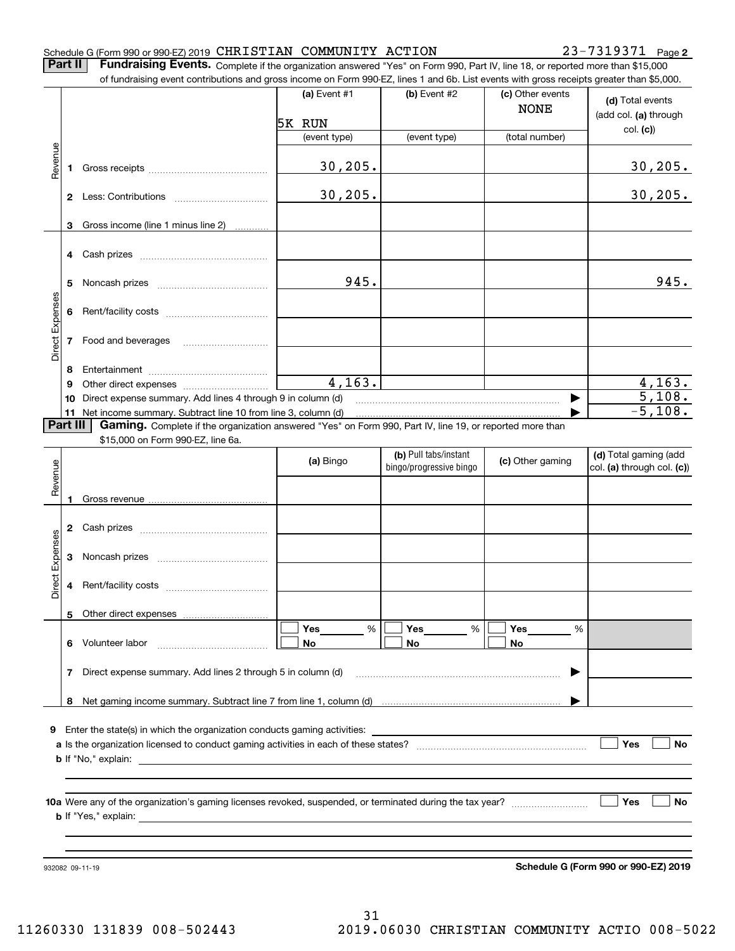#### Schedule G (Form 990 or 990-EZ) 2019 Page CHRISTIAN COMMUNITY ACTION 23-7319371

**2**

**Part II** | Fundraising Events. Complete if the organization answered "Yes" on Form 990, Part IV, line 18, or reported more than \$15,000

|                 |          | of fundraising event contributions and gross income on Form 990-EZ, lines 1 and 6b. List events with gross receipts greater than \$5,000. |                |                                                  |                                 |                                                     |
|-----------------|----------|-------------------------------------------------------------------------------------------------------------------------------------------|----------------|--------------------------------------------------|---------------------------------|-----------------------------------------------------|
|                 |          |                                                                                                                                           | (a) Event $#1$ | (b) Event #2                                     | (c) Other events<br><b>NONE</b> | (d) Total events<br>(add col. (a) through           |
|                 |          |                                                                                                                                           | 5K RUN         |                                                  |                                 | col. (c)                                            |
|                 |          |                                                                                                                                           | (event type)   | (event type)                                     | (total number)                  |                                                     |
| Revenue         | 1        |                                                                                                                                           | 30, 205.       |                                                  |                                 | <u>30,205.</u>                                      |
|                 |          |                                                                                                                                           | 30, 205.       |                                                  |                                 | 30, 205.                                            |
|                 | 3        | Gross income (line 1 minus line 2)                                                                                                        |                |                                                  |                                 |                                                     |
|                 | 4        |                                                                                                                                           |                |                                                  |                                 |                                                     |
|                 | 5        |                                                                                                                                           | 945.           |                                                  |                                 | 945.                                                |
|                 | 6        |                                                                                                                                           |                |                                                  |                                 |                                                     |
| Direct Expenses | 7        | Food and beverages                                                                                                                        |                |                                                  |                                 |                                                     |
|                 | 8        |                                                                                                                                           |                |                                                  |                                 |                                                     |
|                 | 9        |                                                                                                                                           | 4, 163.        |                                                  |                                 | 4,163.                                              |
|                 | 10       | Direct expense summary. Add lines 4 through 9 in column (d)                                                                               |                |                                                  |                                 | 5,108.                                              |
|                 |          | 11 Net income summary. Subtract line 10 from line 3, column (d)                                                                           |                |                                                  |                                 | $-5,108.$                                           |
|                 | Part III | Gaming. Complete if the organization answered "Yes" on Form 990, Part IV, line 19, or reported more than                                  |                |                                                  |                                 |                                                     |
|                 |          | \$15,000 on Form 990-EZ, line 6a.                                                                                                         |                |                                                  |                                 |                                                     |
| Revenue         |          |                                                                                                                                           | (a) Bingo      | (b) Pull tabs/instant<br>bingo/progressive bingo | (c) Other gaming                | (d) Total gaming (add<br>col. (a) through col. (c)) |
|                 | 1        |                                                                                                                                           |                |                                                  |                                 |                                                     |
|                 | 2        |                                                                                                                                           |                |                                                  |                                 |                                                     |
| Expenses        | 3        |                                                                                                                                           |                |                                                  |                                 |                                                     |
| Direct          | 4        |                                                                                                                                           |                |                                                  |                                 |                                                     |
|                 |          | 5 Other direct expenses                                                                                                                   |                |                                                  |                                 |                                                     |
|                 | 6.       | Volunteer labor                                                                                                                           | %<br>Yes<br>No | Yes<br>%<br>No                                   | Yes<br>%<br>No                  |                                                     |
|                 |          |                                                                                                                                           |                |                                                  |                                 |                                                     |
|                 | 7        | Direct expense summary. Add lines 2 through 5 in column (d)                                                                               |                |                                                  |                                 |                                                     |
|                 |          |                                                                                                                                           |                |                                                  |                                 |                                                     |
|                 |          |                                                                                                                                           |                |                                                  |                                 |                                                     |
| 9.              |          |                                                                                                                                           |                |                                                  |                                 | Yes<br>No                                           |
|                 |          |                                                                                                                                           |                |                                                  |                                 |                                                     |
|                 |          |                                                                                                                                           |                |                                                  |                                 |                                                     |
|                 |          |                                                                                                                                           |                |                                                  |                                 | Yes<br>No                                           |
|                 |          |                                                                                                                                           |                |                                                  |                                 |                                                     |
|                 |          |                                                                                                                                           |                |                                                  |                                 |                                                     |
|                 |          |                                                                                                                                           |                |                                                  |                                 |                                                     |
|                 |          | 932082 09-11-19                                                                                                                           |                |                                                  |                                 | Schedule G (Form 990 or 990-EZ) 2019                |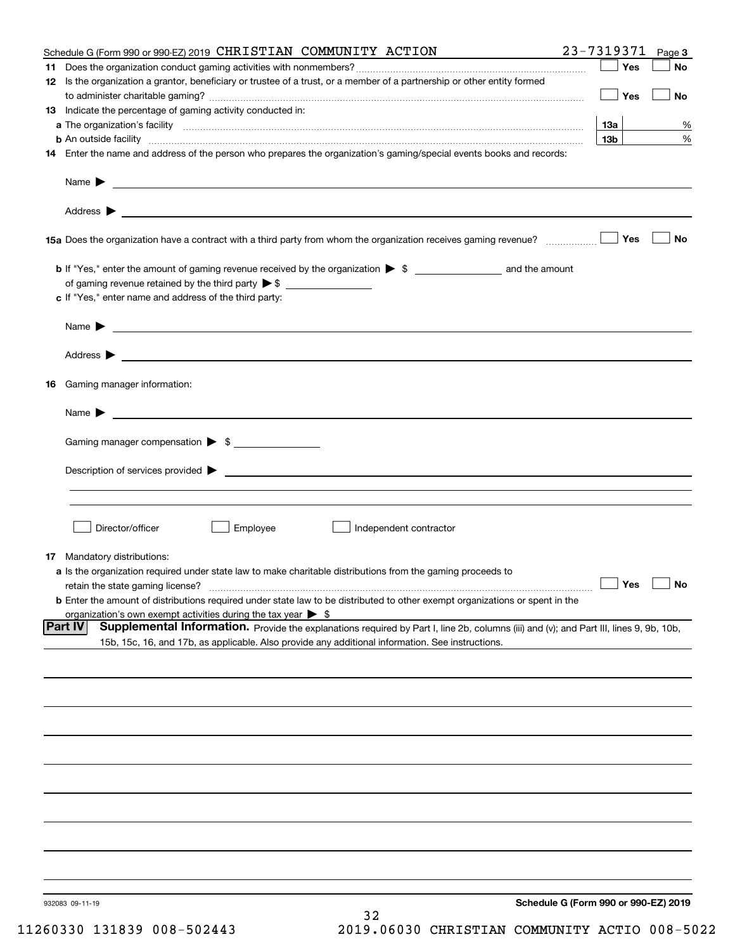| Schedule G (Form 990 or 990-EZ) 2019 CHRISTIAN COMMUNITY ACTION                                                                                                                                                                                              | 23-7319371      | Page 3 |
|--------------------------------------------------------------------------------------------------------------------------------------------------------------------------------------------------------------------------------------------------------------|-----------------|--------|
|                                                                                                                                                                                                                                                              | Yes             | No     |
| 12 Is the organization a grantor, beneficiary or trustee of a trust, or a member of a partnership or other entity formed                                                                                                                                     | Yes             | No     |
| 13 Indicate the percentage of gaming activity conducted in:                                                                                                                                                                                                  |                 |        |
|                                                                                                                                                                                                                                                              | <u>13a</u>      | %      |
| <b>b</b> An outside facility <i>www.communicality www.communicality.communicality www.communicality www.communicality.communicality www.communicality.com</i>                                                                                                | 13 <sub>b</sub> | %      |
| 14 Enter the name and address of the person who prepares the organization's gaming/special events books and records:                                                                                                                                         |                 |        |
|                                                                                                                                                                                                                                                              |                 |        |
|                                                                                                                                                                                                                                                              |                 |        |
| 15a Does the organization have a contract with a third party from whom the organization receives gaming revenue?                                                                                                                                             | Yes             | No     |
| <b>b</b> If "Yes," enter the amount of gaming revenue received by the organization $\triangleright$ \$ ____________________ and the amount                                                                                                                   |                 |        |
|                                                                                                                                                                                                                                                              |                 |        |
| c If "Yes," enter name and address of the third party:                                                                                                                                                                                                       |                 |        |
| Name $\blacktriangleright$ $\_\_\_\_\_\_\_\_\_\$                                                                                                                                                                                                             |                 |        |
|                                                                                                                                                                                                                                                              |                 |        |
| 16 Gaming manager information:                                                                                                                                                                                                                               |                 |        |
|                                                                                                                                                                                                                                                              |                 |        |
| Name $\triangleright$ $\square$                                                                                                                                                                                                                              |                 |        |
| Gaming manager compensation > \$                                                                                                                                                                                                                             |                 |        |
|                                                                                                                                                                                                                                                              |                 |        |
|                                                                                                                                                                                                                                                              |                 |        |
|                                                                                                                                                                                                                                                              |                 |        |
| Director/officer<br>Employee<br>Independent contractor                                                                                                                                                                                                       |                 |        |
| 17 Mandatory distributions:                                                                                                                                                                                                                                  |                 |        |
| a Is the organization required under state law to make charitable distributions from the gaming proceeds to                                                                                                                                                  |                 |        |
| $\Box$ Yes $\Box$ No<br>retain the state gaming license?<br><b>b</b> Enter the amount of distributions required under state law to be distributed to other exempt organizations or spent in the                                                              |                 |        |
| organization's own exempt activities during the tax year $\triangleright$ \$                                                                                                                                                                                 |                 |        |
| <b>Part IV</b><br>Supplemental Information. Provide the explanations required by Part I, line 2b, columns (iii) and (v); and Part III, lines 9, 9b, 10b,<br>15b, 15c, 16, and 17b, as applicable. Also provide any additional information. See instructions. |                 |        |
|                                                                                                                                                                                                                                                              |                 |        |
|                                                                                                                                                                                                                                                              |                 |        |
|                                                                                                                                                                                                                                                              |                 |        |
|                                                                                                                                                                                                                                                              |                 |        |
|                                                                                                                                                                                                                                                              |                 |        |
|                                                                                                                                                                                                                                                              |                 |        |
|                                                                                                                                                                                                                                                              |                 |        |
|                                                                                                                                                                                                                                                              |                 |        |
|                                                                                                                                                                                                                                                              |                 |        |
|                                                                                                                                                                                                                                                              |                 |        |
| Schedule G (Form 990 or 990-EZ) 2019<br>932083 09-11-19                                                                                                                                                                                                      |                 |        |
| 32                                                                                                                                                                                                                                                           |                 |        |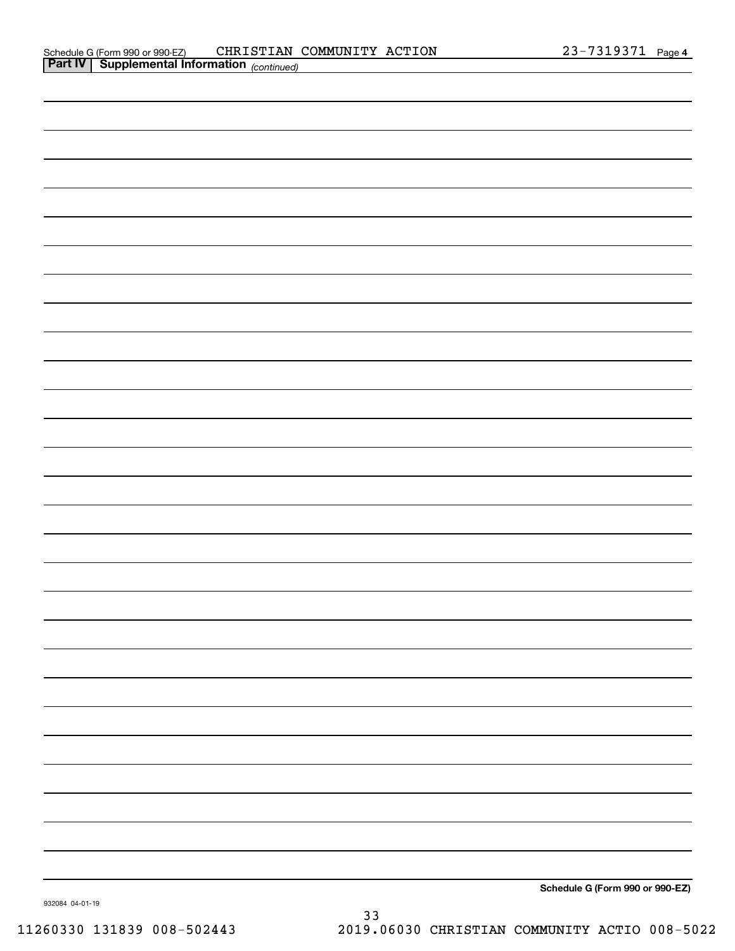| <b>Part IV   Supplemental Information</b> (continued) |  |
|-------------------------------------------------------|--|
|                                                       |  |
|                                                       |  |
|                                                       |  |
|                                                       |  |
|                                                       |  |
|                                                       |  |
|                                                       |  |
|                                                       |  |
|                                                       |  |
|                                                       |  |
|                                                       |  |
|                                                       |  |
|                                                       |  |
|                                                       |  |
|                                                       |  |
|                                                       |  |
|                                                       |  |
|                                                       |  |
|                                                       |  |
|                                                       |  |
|                                                       |  |
|                                                       |  |
|                                                       |  |
|                                                       |  |
|                                                       |  |
|                                                       |  |
|                                                       |  |
|                                                       |  |

**Schedule G (Form 990 or 990-EZ)**

932084 04-01-19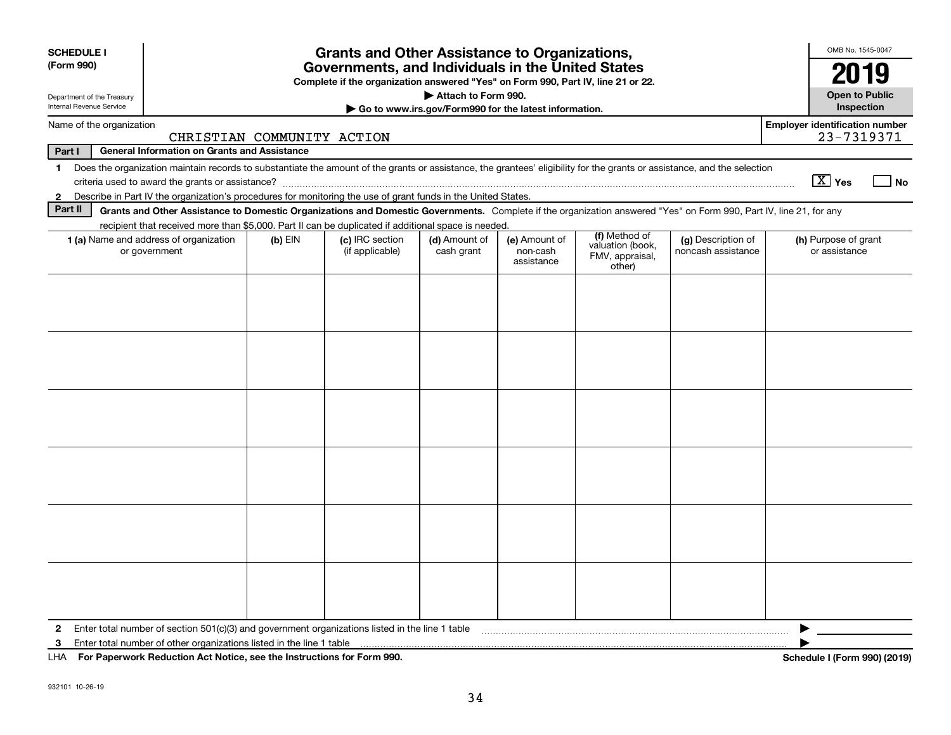| <b>SCHEDULE I</b><br><b>Grants and Other Assistance to Organizations,</b><br>(Form 990)<br>Governments, and Individuals in the United States<br>Complete if the organization answered "Yes" on Form 990, Part IV, line 21 or 22.                            |                                                                                                                                                                    |           |                                    |                             |                                         |                                               |                                          |                                                     |  |
|-------------------------------------------------------------------------------------------------------------------------------------------------------------------------------------------------------------------------------------------------------------|--------------------------------------------------------------------------------------------------------------------------------------------------------------------|-----------|------------------------------------|-----------------------------|-----------------------------------------|-----------------------------------------------|------------------------------------------|-----------------------------------------------------|--|
| Department of the Treasury<br>Internal Revenue Service                                                                                                                                                                                                      | Attach to Form 990.<br>Go to www.irs.gov/Form990 for the latest information.                                                                                       |           |                                    |                             |                                         | <b>Open to Public</b><br><b>Inspection</b>    |                                          |                                                     |  |
|                                                                                                                                                                                                                                                             | Name of the organization<br>CHRISTIAN COMMUNITY ACTION                                                                                                             |           |                                    |                             |                                         |                                               |                                          | <b>Employer identification number</b><br>23-7319371 |  |
| Part I                                                                                                                                                                                                                                                      | <b>General Information on Grants and Assistance</b>                                                                                                                |           |                                    |                             |                                         |                                               |                                          |                                                     |  |
| Does the organization maintain records to substantiate the amount of the grants or assistance, the grantees' eligibility for the grants or assistance, and the selection<br>1<br>$\boxed{\text{X}}$ Yes<br>criteria used to award the grants or assistance? |                                                                                                                                                                    |           |                                    |                             |                                         |                                               |                                          |                                                     |  |
| $\mathbf{2}$                                                                                                                                                                                                                                                | Describe in Part IV the organization's procedures for monitoring the use of grant funds in the United States.                                                      |           |                                    |                             |                                         |                                               |                                          |                                                     |  |
| Part II                                                                                                                                                                                                                                                     | Grants and Other Assistance to Domestic Organizations and Domestic Governments. Complete if the organization answered "Yes" on Form 990, Part IV, line 21, for any |           |                                    |                             |                                         |                                               |                                          |                                                     |  |
|                                                                                                                                                                                                                                                             | recipient that received more than \$5,000. Part II can be duplicated if additional space is needed.                                                                |           |                                    |                             |                                         | (f) Method of                                 |                                          |                                                     |  |
|                                                                                                                                                                                                                                                             | 1 (a) Name and address of organization<br>or government                                                                                                            | $(b)$ EIN | (c) IRC section<br>(if applicable) | (d) Amount of<br>cash grant | (e) Amount of<br>non-cash<br>assistance | valuation (book,<br>FMV, appraisal,<br>other) | (g) Description of<br>noncash assistance | (h) Purpose of grant<br>or assistance               |  |
|                                                                                                                                                                                                                                                             |                                                                                                                                                                    |           |                                    |                             |                                         |                                               |                                          |                                                     |  |
|                                                                                                                                                                                                                                                             |                                                                                                                                                                    |           |                                    |                             |                                         |                                               |                                          |                                                     |  |
| $\mathbf{2}$                                                                                                                                                                                                                                                | Enter total number of section 501(c)(3) and government organizations listed in the line 1 table                                                                    |           |                                    |                             |                                         |                                               |                                          |                                                     |  |
| 3<br>LHA                                                                                                                                                                                                                                                    | Enter total number of other organizations listed in the line 1 table<br>For Paperwork Reduction Act Notice, see the Instructions for Form 990.                     |           |                                    |                             |                                         |                                               |                                          | Schedule I (Form 990) (2019)                        |  |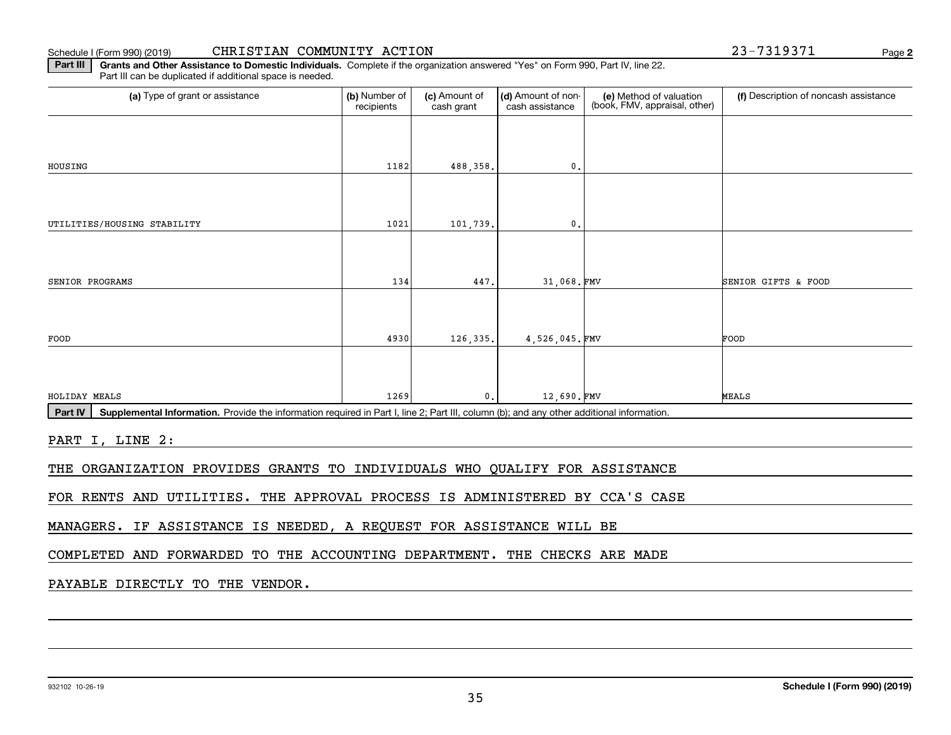932102 10-26-19

35

#### **Schedule I (Form 990) (2019)**

**2**

| (a) Type of grant or assistance | (b) Number of<br>recipients | (c) Amount of<br>cash grant | (d) Amount of non-<br>cash assistance | (e) Method of valuation<br>(book, FMV, appraisal, other) | (f) Description of noncash assistance |
|---------------------------------|-----------------------------|-----------------------------|---------------------------------------|----------------------------------------------------------|---------------------------------------|
|                                 |                             |                             |                                       |                                                          |                                       |
| HOUSING                         | 1182                        | 488,358.                    | $\mathbf{0}$ .                        |                                                          |                                       |
|                                 |                             |                             |                                       |                                                          |                                       |
| UTILITIES/HOUSING STABILITY     | 1021                        | 101,739.                    | $\mathfrak{o}$ .                      |                                                          |                                       |
|                                 |                             |                             |                                       |                                                          |                                       |
| SENIOR PROGRAMS                 | 134                         | 447.                        | 31,068.FMV                            |                                                          | SENIOR GIFTS & FOOD                   |
| FOOD                            | 4930                        | 126,335.                    | 4,526,045.FMV                         |                                                          | FOOD                                  |
|                                 |                             |                             |                                       |                                                          |                                       |
|                                 | 1269                        | $\mathbf{0}$ .              | 12,690.FMV                            |                                                          | MEALS                                 |

Schedule I (Form 990) (2019) Page CHRISTIAN COMMUNITY ACTION 23-7319371

PART I, LINE 2:

THE ORGANIZATION PROVIDES GRANTS TO INDIVIDUALS WHO QUALIFY FOR ASSISTANCE

**Part III | Grants and Other Assistance to Domestic Individuals. Complete if the organization answered "Yes" on Form 990, Part IV, line 22.** 

FOR RENTS AND UTILITIES. THE APPROVAL PROCESS IS ADMINISTERED BY CCA'S CASE

MANAGERS. IF ASSISTANCE IS NEEDED, A REQUEST FOR ASSISTANCE WILL BE

COMPLETED AND FORWARDED TO THE ACCOUNTING DEPARTMENT. THE CHECKS ARE MADE

### PAYABLE DIRECTLY TO THE VENDOR.

Part III can be duplicated if additional space is needed.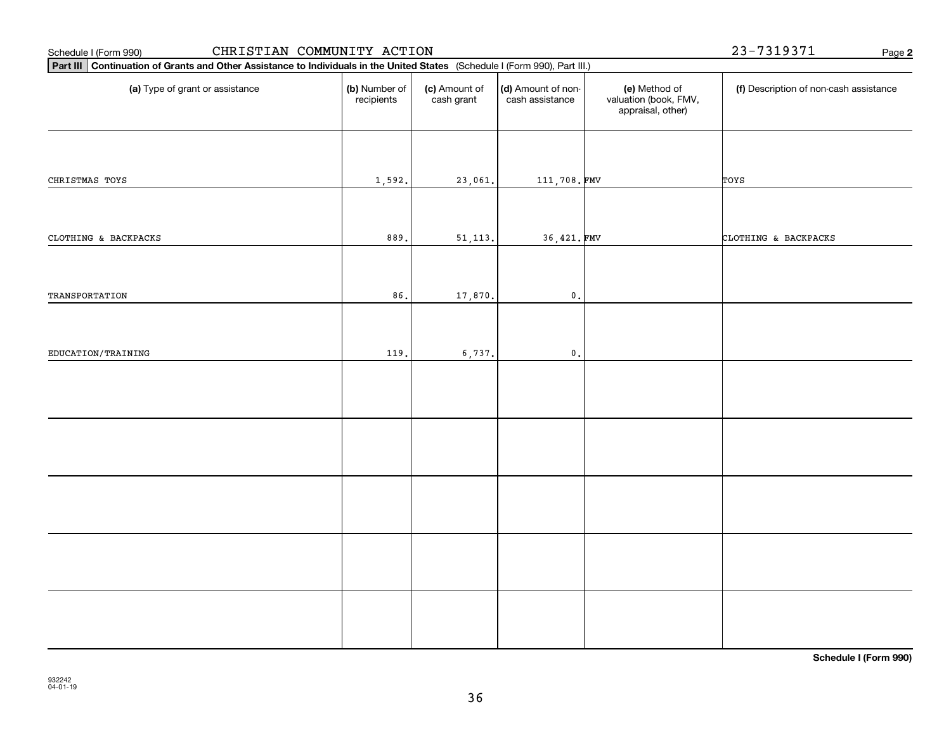| CHRISTIAN COMMUNITY ACTION<br>Schedule I (Form 990)                                                                         |                             |                             |                                       |                                                             | 23-7319371<br>Page 2                   |
|-----------------------------------------------------------------------------------------------------------------------------|-----------------------------|-----------------------------|---------------------------------------|-------------------------------------------------------------|----------------------------------------|
| Part III Continuation of Grants and Other Assistance to Individuals in the United States (Schedule I (Form 990), Part III.) |                             |                             |                                       |                                                             |                                        |
| (a) Type of grant or assistance                                                                                             | (b) Number of<br>recipients | (c) Amount of<br>cash grant | (d) Amount of non-<br>cash assistance | (e) Method of<br>valuation (book, FMV,<br>appraisal, other) | (f) Description of non-cash assistance |
| CHRISTMAS TOYS                                                                                                              | 1,592.                      | 23,061.                     | 111,708.FMV                           |                                                             | TOYS                                   |
| CLOTHING & BACKPACKS                                                                                                        | 889.                        | 51, 113.                    | 36,421.FMV                            |                                                             | CLOTHING & BACKPACKS                   |
| TRANSPORTATION                                                                                                              | 86.                         | 17,870.                     | $\mathbf 0$ .                         |                                                             |                                        |
| EDUCATION/TRAINING                                                                                                          | 119.                        | 6,737.                      | $\mathfrak o$ .                       |                                                             |                                        |
|                                                                                                                             |                             |                             |                                       |                                                             |                                        |
|                                                                                                                             |                             |                             |                                       |                                                             |                                        |
|                                                                                                                             |                             |                             |                                       |                                                             |                                        |
|                                                                                                                             |                             |                             |                                       |                                                             |                                        |
|                                                                                                                             |                             |                             |                                       |                                                             |                                        |

**Schedule I (Form 990)**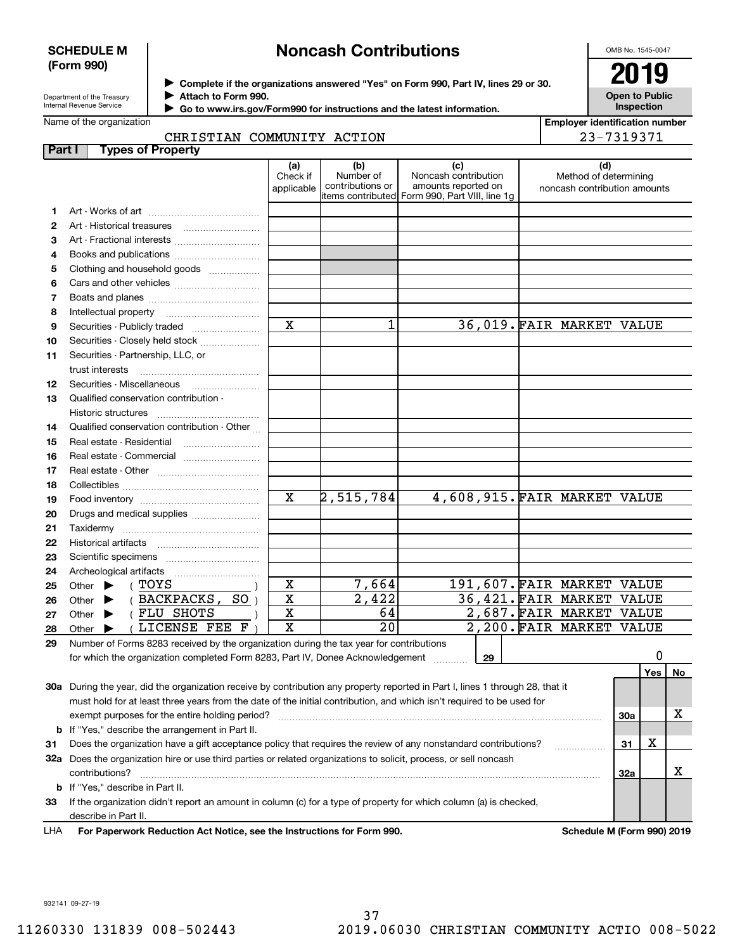#### **SCHEDULE M (Form 990)**

# **Noncash Contributions**

OMB No. 1545-0047

**Open to Public Inspection**

| Department of the Treasury |
|----------------------------|
| Internal Revenue Service   |

**Complete if the organizations answered "Yes" on Form 990, Part IV, lines 29 or 30.** <sup>J</sup>**2019 Attach to Form 990.** J

 **Go to www.irs.gov/Form990 for instructions and the latest information.** J

Name of the organization

| <b>Employer identification number</b> |
|---------------------------------------|
| 23-7319371                            |

#### CHRISTIAN COMMUNITY ACTION

| Part I | <b>Types of Property</b>                                                                                                       |                               |                                      |                                                                                                      |                                                              |     |     |    |
|--------|--------------------------------------------------------------------------------------------------------------------------------|-------------------------------|--------------------------------------|------------------------------------------------------------------------------------------------------|--------------------------------------------------------------|-----|-----|----|
|        |                                                                                                                                | (a)<br>Check if<br>applicable | (b)<br>Number of<br>contributions or | (c)<br>Noncash contribution<br>amounts reported on<br>items contributed Form 990, Part VIII, line 1g | (d)<br>Method of determining<br>noncash contribution amounts |     |     |    |
| 1      |                                                                                                                                |                               |                                      |                                                                                                      |                                                              |     |     |    |
| 2      |                                                                                                                                |                               |                                      |                                                                                                      |                                                              |     |     |    |
| 3      | Art - Fractional interests                                                                                                     |                               |                                      |                                                                                                      |                                                              |     |     |    |
| 4      | Books and publications                                                                                                         |                               |                                      |                                                                                                      |                                                              |     |     |    |
| 5      | Clothing and household goods                                                                                                   |                               |                                      |                                                                                                      |                                                              |     |     |    |
| 6      |                                                                                                                                |                               |                                      |                                                                                                      |                                                              |     |     |    |
| 7      |                                                                                                                                |                               |                                      |                                                                                                      |                                                              |     |     |    |
| 8      | Intellectual property                                                                                                          |                               |                                      |                                                                                                      |                                                              |     |     |    |
| 9      |                                                                                                                                | $\mathbf x$                   | 1                                    |                                                                                                      | 36,019. FAIR MARKET VALUE                                    |     |     |    |
| 10     | Securities - Closely held stock                                                                                                |                               |                                      |                                                                                                      |                                                              |     |     |    |
| 11     | Securities - Partnership, LLC, or<br>trust interests                                                                           |                               |                                      |                                                                                                      |                                                              |     |     |    |
| 12     |                                                                                                                                |                               |                                      |                                                                                                      |                                                              |     |     |    |
| 13     | Qualified conservation contribution -                                                                                          |                               |                                      |                                                                                                      |                                                              |     |     |    |
|        | Historic structures                                                                                                            |                               |                                      |                                                                                                      |                                                              |     |     |    |
| 14     | Qualified conservation contribution - Other                                                                                    |                               |                                      |                                                                                                      |                                                              |     |     |    |
| 15     | Real estate - Residential                                                                                                      |                               |                                      |                                                                                                      |                                                              |     |     |    |
| 16     | Real estate - Commercial                                                                                                       |                               |                                      |                                                                                                      |                                                              |     |     |    |
| 17     |                                                                                                                                |                               |                                      |                                                                                                      |                                                              |     |     |    |
| 18     |                                                                                                                                |                               |                                      |                                                                                                      |                                                              |     |     |    |
| 19     |                                                                                                                                | $\overline{\mathbf{x}}$       | 2,515,784                            |                                                                                                      | 4,608,915. FAIR MARKET VALUE                                 |     |     |    |
| 20     | Drugs and medical supplies                                                                                                     |                               |                                      |                                                                                                      |                                                              |     |     |    |
| 21     |                                                                                                                                |                               |                                      |                                                                                                      |                                                              |     |     |    |
| 22     |                                                                                                                                |                               |                                      |                                                                                                      |                                                              |     |     |    |
| 23     |                                                                                                                                |                               |                                      |                                                                                                      |                                                              |     |     |    |
| 24     | Archeological artifacts                                                                                                        |                               |                                      |                                                                                                      |                                                              |     |     |    |
| 25     | ( TOYS<br>Other $\blacktriangleright$                                                                                          | X                             | 7,664                                |                                                                                                      | 191,607. FAIR MARKET VALUE                                   |     |     |    |
| 26     | (BACKPACKS, SO)<br>Other $\blacktriangleright$                                                                                 | $\mathbf x$                   | 2,422                                |                                                                                                      | 36,421. FAIR MARKET VALUE                                    |     |     |    |
| 27     | (FLU SHOTS<br>Other $\blacktriangleright$                                                                                      | X                             | 64                                   |                                                                                                      | 2,687. FAIR MARKET VALUE                                     |     |     |    |
| 28     | LICENSE FEE F<br>Other                                                                                                         | $\mathbf x$                   | $\overline{20}$                      |                                                                                                      | 2,200. FAIR MARKET VALUE                                     |     |     |    |
| 29     | Number of Forms 8283 received by the organization during the tax year for contributions                                        |                               |                                      |                                                                                                      |                                                              |     |     |    |
|        | for which the organization completed Form 8283, Part IV, Donee Acknowledgement                                                 |                               |                                      | 29                                                                                                   |                                                              |     | 0   |    |
|        |                                                                                                                                |                               |                                      |                                                                                                      |                                                              |     | Yes | No |
|        | 30a During the year, did the organization receive by contribution any property reported in Part I, lines 1 through 28, that it |                               |                                      |                                                                                                      |                                                              |     |     |    |
|        | must hold for at least three years from the date of the initial contribution, and which isn't required to be used for          |                               |                                      |                                                                                                      |                                                              |     |     |    |
|        | exempt purposes for the entire holding period?                                                                                 |                               |                                      |                                                                                                      |                                                              | 30a |     | х  |
|        | <b>b</b> If "Yes," describe the arrangement in Part II.                                                                        |                               |                                      |                                                                                                      |                                                              |     |     |    |
| 31     | Does the organization have a gift acceptance policy that requires the review of any nonstandard contributions?                 |                               |                                      |                                                                                                      |                                                              | 31  | х   |    |
|        | 32a Does the organization hire or use third parties or related organizations to solicit, process, or sell noncash              |                               |                                      |                                                                                                      |                                                              |     |     |    |
|        | contributions?                                                                                                                 |                               |                                      |                                                                                                      |                                                              | 32a |     | х  |
|        | <b>b</b> If "Yes," describe in Part II.                                                                                        |                               |                                      |                                                                                                      |                                                              |     |     |    |
| 33     | If the organization didn't report an amount in column (c) for a type of property for which column (a) is checked,              |                               |                                      |                                                                                                      |                                                              |     |     |    |

describe in Part II.

**For Paperwork Reduction Act Notice, see the Instructions for Form 990. Schedule M (Form 990) 2019** LHA

932141 09-27-19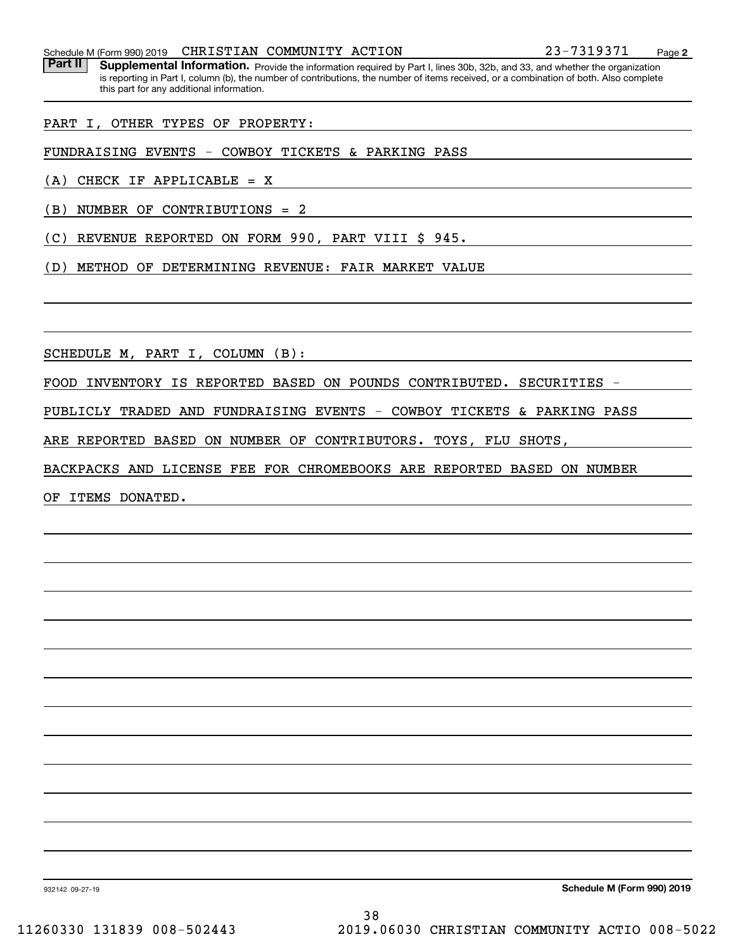Schedule M (Form 990) 2019 **CHRISTIAN COMMUNITY ACTION** 23-7319371 Page

Part II | Supplemental Information. Provide the information required by Part I, lines 30b, 32b, and 33, and whether the organization is reporting in Part I, column (b), the number of contributions, the number of items received, or a combination of both. Also complete this part for any additional information.

PART I, OTHER TYPES OF PROPERTY:

FUNDRAISING EVENTS - COWBOY TICKETS & PARKING PASS

(A) CHECK IF APPLICABLE = X

(B) NUMBER OF CONTRIBUTIONS = 2

(C) REVENUE REPORTED ON FORM 990, PART VIII \$ 945.

(D) METHOD OF DETERMINING REVENUE: FAIR MARKET VALUE

SCHEDULE M, PART I, COLUMN (B):

FOOD INVENTORY IS REPORTED BASED ON POUNDS CONTRIBUTED. SECURITIES -

PUBLICLY TRADED AND FUNDRAISING EVENTS - COWBOY TICKETS & PARKING PASS

ARE REPORTED BASED ON NUMBER OF CONTRIBUTORS. TOYS, FLU SHOTS,

BACKPACKS AND LICENSE FEE FOR CHROMEBOOKS ARE REPORTED BASED ON NUMBER

OF ITEMS DONATED.

**Schedule M (Form 990) 2019**

932142 09-27-19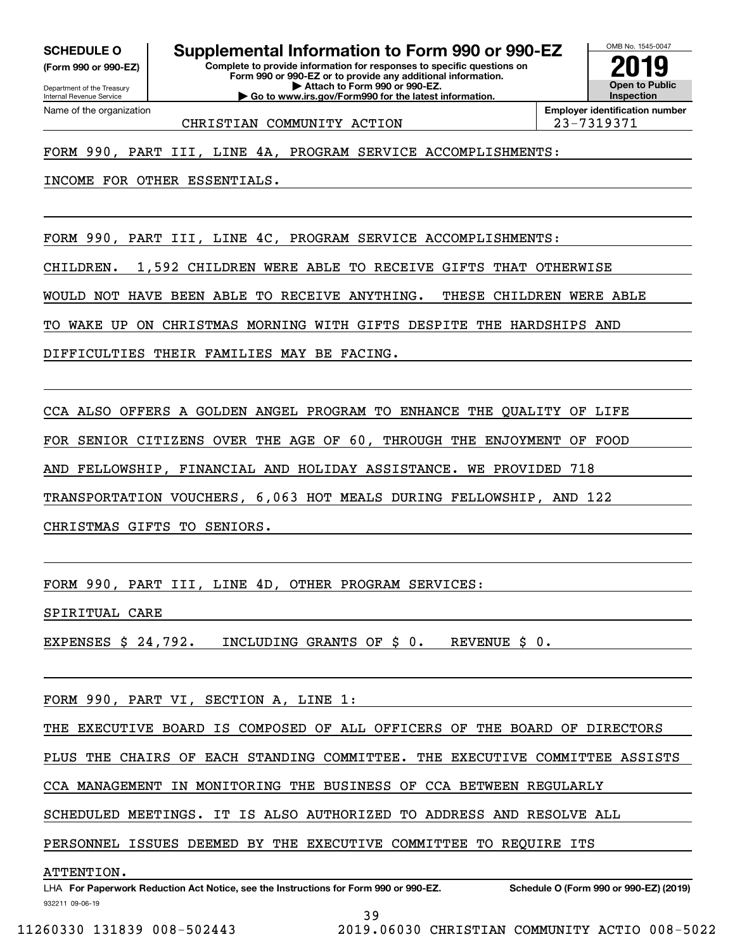**(Form 990 or 990-EZ)**

Department of the Treasury Internal Revenue Service Name of the organization

**SCHEDULE O Supplemental Information to Form 990 or 990-EZ**

**Complete to provide information for responses to specific questions on Form 990 or 990-EZ or to provide any additional information. | Attach to Form 990 or 990-EZ. | Go to www.irs.gov/Form990 for the latest information.**



CHRISTIAN COMMUNITY ACTION 23-7319371

#### FORM 990, PART III, LINE 4A, PROGRAM SERVICE ACCOMPLISHMENTS:

INCOME FOR OTHER ESSENTIALS.

FORM 990, PART III, LINE 4C, PROGRAM SERVICE ACCOMPLISHMENTS:

CHILDREN. 1,592 CHILDREN WERE ABLE TO RECEIVE GIFTS THAT OTHERWISE

WOULD NOT HAVE BEEN ABLE TO RECEIVE ANYTHING. THESE CHILDREN WERE ABLE

TO WAKE UP ON CHRISTMAS MORNING WITH GIFTS DESPITE THE HARDSHIPS AND

DIFFICULTIES THEIR FAMILIES MAY BE FACING.

CCA ALSO OFFERS A GOLDEN ANGEL PROGRAM TO ENHANCE THE QUALITY OF LIFE

FOR SENIOR CITIZENS OVER THE AGE OF 60, THROUGH THE ENJOYMENT OF FOOD

AND FELLOWSHIP, FINANCIAL AND HOLIDAY ASSISTANCE. WE PROVIDED 718

TRANSPORTATION VOUCHERS, 6,063 HOT MEALS DURING FELLOWSHIP, AND 122

CHRISTMAS GIFTS TO SENIORS.

FORM 990, PART III, LINE 4D, OTHER PROGRAM SERVICES:

SPIRITUAL CARE

EXPENSES \$ 24,792. INCLUDING GRANTS OF \$ 0. REVENUE \$ 0.

FORM 990, PART VI, SECTION A, LINE 1:

THE EXECUTIVE BOARD IS COMPOSED OF ALL OFFICERS OF THE BOARD OF DIRECTORS

PLUS THE CHAIRS OF EACH STANDING COMMITTEE. THE EXECUTIVE COMMITTEE ASSISTS

CCA MANAGEMENT IN MONITORING THE BUSINESS OF CCA BETWEEN REGULARLY

SCHEDULED MEETINGS. IT IS ALSO AUTHORIZED TO ADDRESS AND RESOLVE ALL

PERSONNEL ISSUES DEEMED BY THE EXECUTIVE COMMITTEE TO REQUIRE ITS

ATTENTION.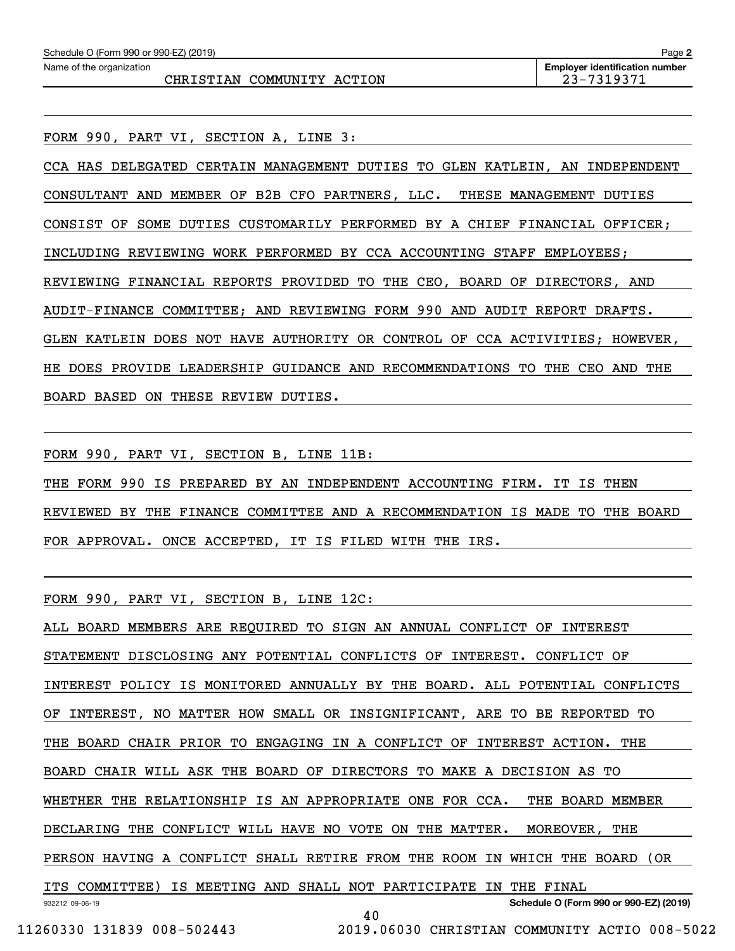FORM 990, PART VI, SECTION A, LINE 3:

CCA HAS DELEGATED CERTAIN MANAGEMENT DUTIES TO GLEN KATLEIN, AN INDEPENDENT CONSULTANT AND MEMBER OF B2B CFO PARTNERS, LLC. THESE MANAGEMENT DUTIES CONSIST OF SOME DUTIES CUSTOMARILY PERFORMED BY A CHIEF FINANCIAL OFFICER; INCLUDING REVIEWING WORK PERFORMED BY CCA ACCOUNTING STAFF EMPLOYEES; REVIEWING FINANCIAL REPORTS PROVIDED TO THE CEO, BOARD OF DIRECTORS, AND AUDIT-FINANCE COMMITTEE; AND REVIEWING FORM 990 AND AUDIT REPORT DRAFTS. GLEN KATLEIN DOES NOT HAVE AUTHORITY OR CONTROL OF CCA ACTIVITIES; HOWEVER, HE DOES PROVIDE LEADERSHIP GUIDANCE AND RECOMMENDATIONS TO THE CEO AND THE BOARD BASED ON THESE REVIEW DUTIES.

FORM 990, PART VI, SECTION B, LINE 11B:

THE FORM 990 IS PREPARED BY AN INDEPENDENT ACCOUNTING FIRM. IT IS THEN REVIEWED BY THE FINANCE COMMITTEE AND A RECOMMENDATION IS MADE TO THE BOARD FOR APPROVAL. ONCE ACCEPTED, IT IS FILED WITH THE IRS.

FORM 990, PART VI, SECTION B, LINE 12C:

932212 09-06-19 **Schedule O (Form 990 or 990-EZ) (2019)** ALL BOARD MEMBERS ARE REQUIRED TO SIGN AN ANNUAL CONFLICT OF INTEREST STATEMENT DISCLOSING ANY POTENTIAL CONFLICTS OF INTEREST. CONFLICT OF INTEREST POLICY IS MONITORED ANNUALLY BY THE BOARD. ALL POTENTIAL CONFLICTS OF INTEREST, NO MATTER HOW SMALL OR INSIGNIFICANT, ARE TO BE REPORTED TO THE BOARD CHAIR PRIOR TO ENGAGING IN A CONFLICT OF INTEREST ACTION. THE BOARD CHAIR WILL ASK THE BOARD OF DIRECTORS TO MAKE A DECISION AS TO WHETHER THE RELATIONSHIP IS AN APPROPRIATE ONE FOR CCA. THE BOARD MEMBER DECLARING THE CONFLICT WILL HAVE NO VOTE ON THE MATTER. MOREOVER, THE PERSON HAVING A CONFLICT SHALL RETIRE FROM THE ROOM IN WHICH THE BOARD (OR ITS COMMITTEE) IS MEETING AND SHALL NOT PARTICIPATE IN THE FINAL 40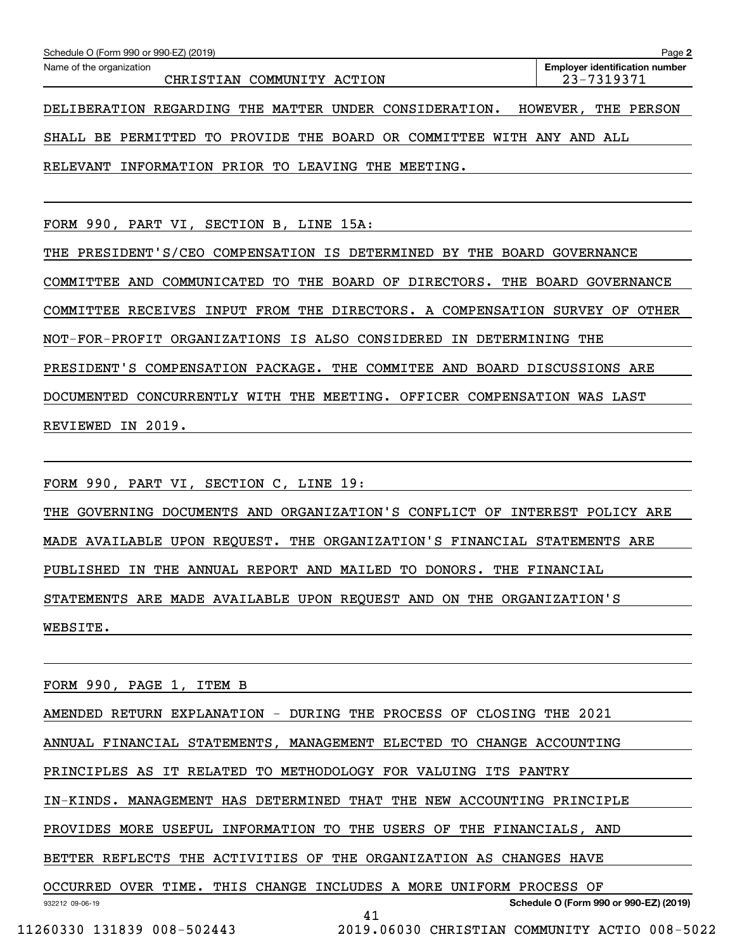| Schedule O (Form 990 or 990-EZ) (2019)                                | Page 2                                |
|-----------------------------------------------------------------------|---------------------------------------|
| Name of the organization                                              | <b>Employer identification number</b> |
| CHRISTIAN COMMUNITY ACTION                                            | 23-7319371                            |
| DELIBERATION REGARDING THE MATTER UNDER CONSIDERATION.                | THE<br>PERSON<br>HOWEVER,             |
|                                                                       |                                       |
| SHALL BE PERMITTED TO PROVIDE THE BOARD OR COMMITTEE WITH ANY AND ALL |                                       |
| RELEVANT INFORMATION PRIOR TO LEAVING<br>THE MEETING.                 |                                       |
|                                                                       |                                       |
|                                                                       |                                       |
|                                                                       |                                       |
| FORM 990, PART VI, SECTION B, LINE 15A:                               |                                       |

THE PRESIDENT'S/CEO COMPENSATION IS DETERMINED BY THE BOARD GOVERNANCE COMMITTEE AND COMMUNICATED TO THE BOARD OF DIRECTORS. THE BOARD GOVERNANCE COMMITTEE RECEIVES INPUT FROM THE DIRECTORS. A COMPENSATION SURVEY OF OTHER NOT-FOR-PROFIT ORGANIZATIONS IS ALSO CONSIDERED IN DETERMINING THE PRESIDENT'S COMPENSATION PACKAGE. THE COMMITEE AND BOARD DISCUSSIONS ARE DOCUMENTED CONCURRENTLY WITH THE MEETING. OFFICER COMPENSATION WAS LAST REVIEWED IN 2019.

FORM 990, PART VI, SECTION C, LINE 19:

THE GOVERNING DOCUMENTS AND ORGANIZATION'S CONFLICT OF INTEREST POLICY ARE MADE AVAILABLE UPON REQUEST. THE ORGANIZATION'S FINANCIAL STATEMENTS ARE PUBLISHED IN THE ANNUAL REPORT AND MAILED TO DONORS. THE FINANCIAL STATEMENTS ARE MADE AVAILABLE UPON REQUEST AND ON THE ORGANIZATION'S WEBSITE.

932212 09-06-19 **Schedule O (Form 990 or 990-EZ) (2019)** FORM 990, PAGE 1, ITEM B AMENDED RETURN EXPLANATION - DURING THE PROCESS OF CLOSING THE 2021 ANNUAL FINANCIAL STATEMENTS, MANAGEMENT ELECTED TO CHANGE ACCOUNTING PRINCIPLES AS IT RELATED TO METHODOLOGY FOR VALUING ITS PANTRY IN-KINDS. MANAGEMENT HAS DETERMINED THAT THE NEW ACCOUNTING PRINCIPLE PROVIDES MORE USEFUL INFORMATION TO THE USERS OF THE FINANCIALS, AND BETTER REFLECTS THE ACTIVITIES OF THE ORGANIZATION AS CHANGES HAVE OCCURRED OVER TIME. THIS CHANGE INCLUDES A MORE UNIFORM PROCESS OF 41 11260330 131839 008-502443 2019.06030 CHRISTIAN COMMUNITY ACTIO 008-5022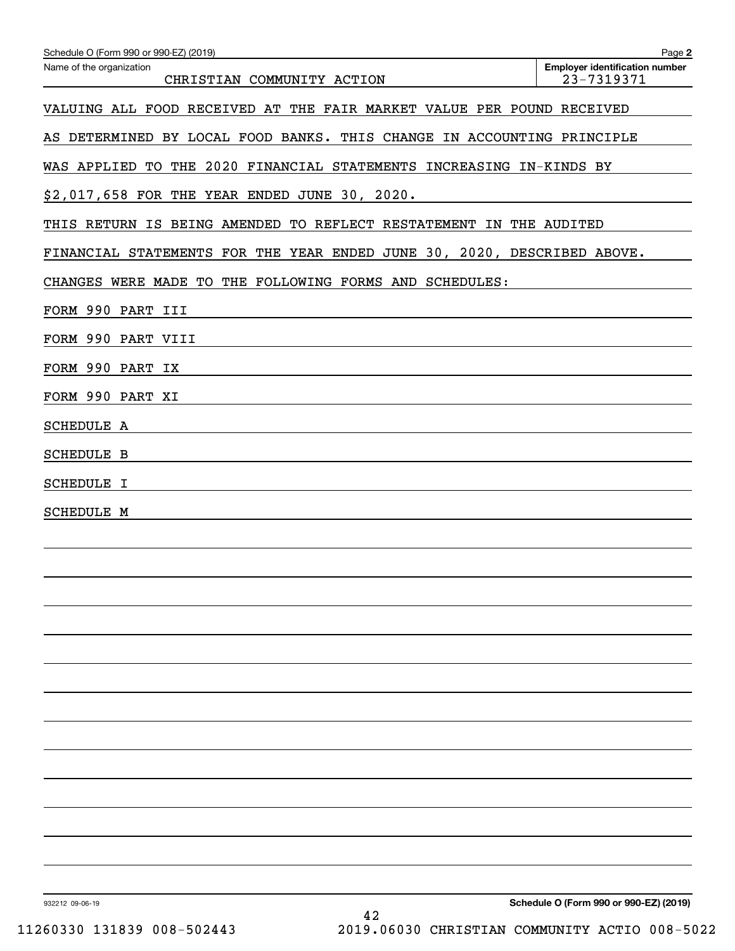| Schedule O (Form 990 or 990-EZ) (2019)                                  | Page 2                                              |
|-------------------------------------------------------------------------|-----------------------------------------------------|
| Name of the organization<br>CHRISTIAN COMMUNITY ACTION                  | <b>Employer identification number</b><br>23-7319371 |
| VALUING ALL FOOD RECEIVED AT THE FAIR MARKET VALUE PER POUND RECEIVED   |                                                     |
| AS DETERMINED BY LOCAL FOOD BANKS. THIS CHANGE IN ACCOUNTING PRINCIPLE  |                                                     |
| WAS APPLIED TO THE 2020 FINANCIAL STATEMENTS INCREASING IN-KINDS BY     |                                                     |
| \$2,017,658 FOR THE YEAR ENDED JUNE 30, 2020.                           |                                                     |
| THIS RETURN IS BEING AMENDED TO REFLECT RESTATEMENT IN THE AUDITED      |                                                     |
| FINANCIAL STATEMENTS FOR THE YEAR ENDED JUNE 30, 2020, DESCRIBED ABOVE. |                                                     |
| CHANGES WERE MADE TO THE FOLLOWING FORMS AND SCHEDULES:                 |                                                     |
| FORM 990 PART III                                                       |                                                     |
| FORM 990 PART VIII                                                      |                                                     |
| FORM 990 PART IX                                                        |                                                     |
| FORM 990 PART XI                                                        |                                                     |
| SCHEDULE A                                                              |                                                     |
| <b>SCHEDULE B</b>                                                       |                                                     |
| <b>SCHEDULE I</b>                                                       |                                                     |
| <b>SCHEDULE M</b>                                                       |                                                     |
|                                                                         |                                                     |
|                                                                         |                                                     |
|                                                                         |                                                     |
|                                                                         |                                                     |
|                                                                         |                                                     |
|                                                                         |                                                     |
|                                                                         |                                                     |
|                                                                         |                                                     |
|                                                                         |                                                     |
|                                                                         |                                                     |
|                                                                         |                                                     |
|                                                                         |                                                     |
|                                                                         |                                                     |
| 932212 09-06-19                                                         | Schedule O (Form 990 or 990-EZ) (2019)              |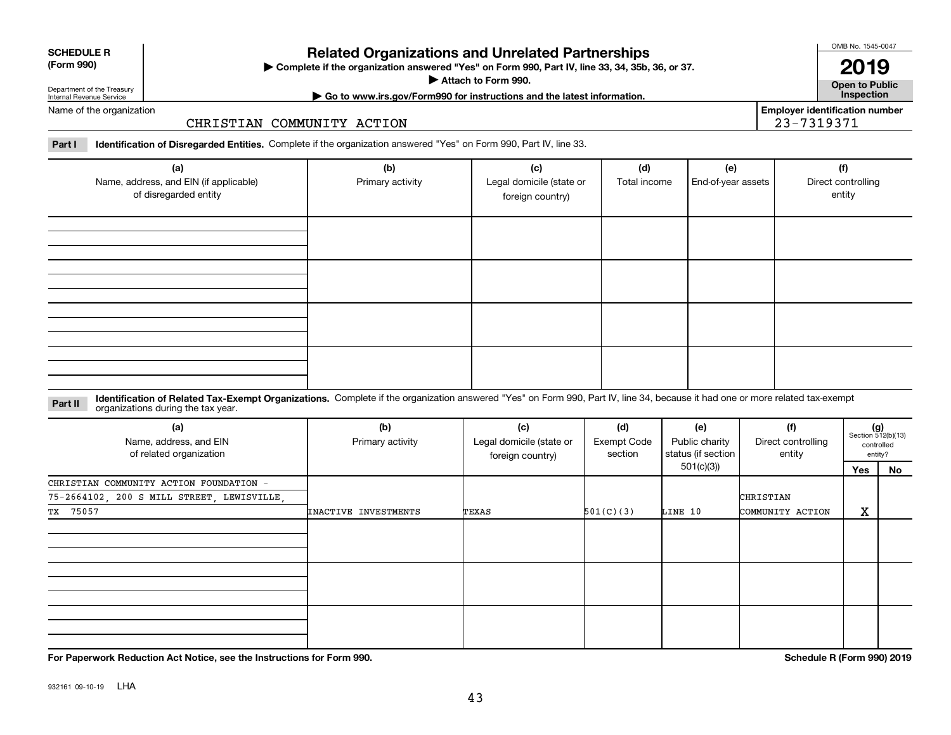| <b>SCHEDULE R</b>          |  |
|----------------------------|--|
| $(T - m \cdot \mathbf{A})$ |  |

**(Form 990)**

### **Related Organizations and Unrelated Partnerships**

**Complete if the organization answered "Yes" on Form 990, Part IV, line 33, 34, 35b, 36, or 37.** |

**Attach to Form 990.**  |

OMB No. 1545-0047

**Open to Public 2019**

**Employer identification number**

23-7319371

Department of the Treasury Internal Revenue Service

# **| Go to www.irs.gov/Form990 for instructions and the latest information. Inspection**

Name of the organization

#### CHRISTIAN COMMUNITY ACTION

**Part I Identification of Disregarded Entities.**  Complete if the organization answered "Yes" on Form 990, Part IV, line 33.

| (a)<br>Name, address, and EIN (if applicable)<br>of disregarded entity | (b)<br>Primary activity | (c)<br>Legal domicile (state or<br>foreign country) | (d)<br>Total income | (e)<br>End-of-year assets | (f)<br>Direct controlling<br>entity |
|------------------------------------------------------------------------|-------------------------|-----------------------------------------------------|---------------------|---------------------------|-------------------------------------|
|                                                                        |                         |                                                     |                     |                           |                                     |
|                                                                        |                         |                                                     |                     |                           |                                     |
|                                                                        |                         |                                                     |                     |                           |                                     |
|                                                                        |                         |                                                     |                     |                           |                                     |

#### **Identification of Related Tax-Exempt Organizations.** Complete if the organization answered "Yes" on Form 990, Part IV, line 34, because it had one or more related tax-exempt **Part II** organizations during the tax year.

| (a)<br>Name, address, and EIN<br>of related organization | (b)<br>Primary activity | (c)<br>Legal domicile (state or<br>foreign country) | (d)<br><b>Exempt Code</b><br>section | (e)<br>Public charity<br>status (if section | (f)<br>Direct controlling<br>entity |     | $(g)$<br>Section 512(b)(13)<br>controlled<br>entity? |
|----------------------------------------------------------|-------------------------|-----------------------------------------------------|--------------------------------------|---------------------------------------------|-------------------------------------|-----|------------------------------------------------------|
|                                                          |                         |                                                     |                                      | 501(c)(3))                                  |                                     | Yes | No                                                   |
| CHRISTIAN COMMUNITY ACTION FOUNDATION -                  |                         |                                                     |                                      |                                             |                                     |     |                                                      |
| 75-2664102, 200 S MILL STREET, LEWISVILLE,               |                         |                                                     |                                      |                                             | CHRISTIAN                           |     |                                                      |
| TX 75057                                                 | INACTIVE INVESTMENTS    | TEXAS                                               | 501(C)(3)                            | LINE 10                                     | COMMUNITY ACTION                    | х   |                                                      |
|                                                          |                         |                                                     |                                      |                                             |                                     |     |                                                      |
|                                                          |                         |                                                     |                                      |                                             |                                     |     |                                                      |
|                                                          |                         |                                                     |                                      |                                             |                                     |     |                                                      |

**For Paperwork Reduction Act Notice, see the Instructions for Form 990. Schedule R (Form 990) 2019**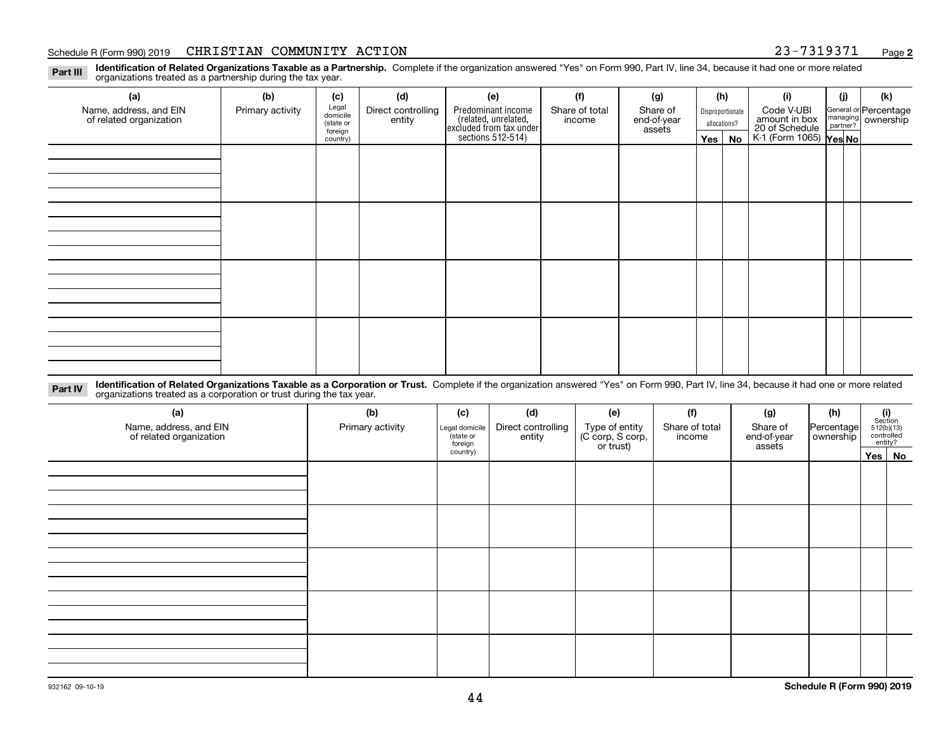#### Schedule R (Form 990) 2019 CHRISTIAN COMMUNITY ACTION 23-7319371 <sub>Page</sub>

**2**

**Identification of Related Organizations Taxable as a Partnership.** Complete if the organization answered "Yes" on Form 990, Part IV, line 34, because it had one or more related **Part III** organizations treated as a partnership during the tax year.

| (a)                                               | (b)              | (c)                  | (d)                                                                                                 | (e)                                                                 | (f)                     | (g)              |         | (h)                         | (i)                                      | (j)                                                       | (k) |
|---------------------------------------------------|------------------|----------------------|-----------------------------------------------------------------------------------------------------|---------------------------------------------------------------------|-------------------------|------------------|---------|-----------------------------|------------------------------------------|-----------------------------------------------------------|-----|
| Name, address, and EIN<br>of related organization | Primary activity |                      | Legal<br>domicile<br>Predominant income<br>Direct controlling<br>Share of total<br>entity<br>income |                                                                     | Share of<br>end-of-year | Disproportionate |         | Code V-UBI<br>amount in box |                                          | General or Percentage<br>managing<br>partner?<br>partner? |     |
|                                                   |                  | (state or<br>foreign |                                                                                                     |                                                                     |                         | assets           |         | allocations?                |                                          |                                                           |     |
|                                                   |                  | country)             |                                                                                                     | related, unrelated,<br>excluded from tax under<br>sections 512-514) |                         |                  | Yes $ $ | No                          | 20 of Schedule<br>K-1 (Form 1065) Yes No |                                                           |     |
|                                                   |                  |                      |                                                                                                     |                                                                     |                         |                  |         |                             |                                          |                                                           |     |
|                                                   |                  |                      |                                                                                                     |                                                                     |                         |                  |         |                             |                                          |                                                           |     |
|                                                   |                  |                      |                                                                                                     |                                                                     |                         |                  |         |                             |                                          |                                                           |     |
|                                                   |                  |                      |                                                                                                     |                                                                     |                         |                  |         |                             |                                          |                                                           |     |
|                                                   |                  |                      |                                                                                                     |                                                                     |                         |                  |         |                             |                                          |                                                           |     |
|                                                   |                  |                      |                                                                                                     |                                                                     |                         |                  |         |                             |                                          |                                                           |     |
|                                                   |                  |                      |                                                                                                     |                                                                     |                         |                  |         |                             |                                          |                                                           |     |
|                                                   |                  |                      |                                                                                                     |                                                                     |                         |                  |         |                             |                                          |                                                           |     |
|                                                   |                  |                      |                                                                                                     |                                                                     |                         |                  |         |                             |                                          |                                                           |     |
|                                                   |                  |                      |                                                                                                     |                                                                     |                         |                  |         |                             |                                          |                                                           |     |
|                                                   |                  |                      |                                                                                                     |                                                                     |                         |                  |         |                             |                                          |                                                           |     |
|                                                   |                  |                      |                                                                                                     |                                                                     |                         |                  |         |                             |                                          |                                                           |     |
|                                                   |                  |                      |                                                                                                     |                                                                     |                         |                  |         |                             |                                          |                                                           |     |
|                                                   |                  |                      |                                                                                                     |                                                                     |                         |                  |         |                             |                                          |                                                           |     |
|                                                   |                  |                      |                                                                                                     |                                                                     |                         |                  |         |                             |                                          |                                                           |     |
|                                                   |                  |                      |                                                                                                     |                                                                     |                         |                  |         |                             |                                          |                                                           |     |
|                                                   |                  |                      |                                                                                                     |                                                                     |                         |                  |         |                             |                                          |                                                           |     |

**Identification of Related Organizations Taxable as a Corporation or Trust.** Complete if the organization answered "Yes" on Form 990, Part IV, line 34, because it had one or more related **Part IV** organizations treated as a corporation or trust during the tax year.

| (a)<br>Name, address, and EIN<br>of related organization | (b)<br>Primary activity | (c)<br>Legal domicile<br>(state or<br>foreign | (d)<br>Direct controlling<br>entity | (e)<br>Type of entity<br>(C corp, S corp,<br>or trust) | (f)<br>Share of total<br>income | (g)<br>Share of<br>end-of-year<br>assets | (h)<br> Percentage <br>ownership | $(i)$ Section<br>512(b)(13)<br>controlled<br>entity? |        |
|----------------------------------------------------------|-------------------------|-----------------------------------------------|-------------------------------------|--------------------------------------------------------|---------------------------------|------------------------------------------|----------------------------------|------------------------------------------------------|--------|
|                                                          |                         | country)                                      |                                     |                                                        |                                 |                                          |                                  |                                                      | Yes No |
|                                                          |                         |                                               |                                     |                                                        |                                 |                                          |                                  |                                                      |        |
|                                                          |                         |                                               |                                     |                                                        |                                 |                                          |                                  |                                                      |        |
|                                                          |                         |                                               |                                     |                                                        |                                 |                                          |                                  |                                                      |        |
|                                                          |                         |                                               |                                     |                                                        |                                 |                                          |                                  |                                                      |        |
|                                                          |                         |                                               |                                     |                                                        |                                 |                                          |                                  |                                                      |        |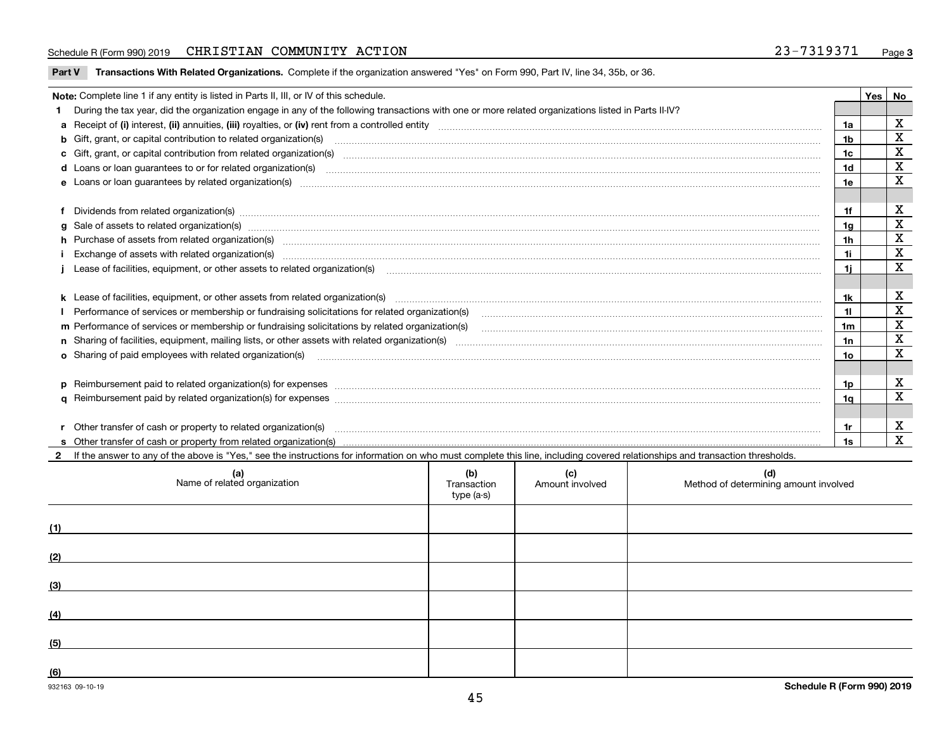#### Schedule R (Form 990) 2019 CHRISTIAN COMMUNITY ACTION 23-7319371 <sub>Page</sub>

**Part V** T**ransactions With Related Organizations.** Complete if the organization answered "Yes" on Form 990, Part IV, line 34, 35b, or 36.

| Note: Complete line 1 if any entity is listed in Parts II, III, or IV of this schedule.                                                                                                                                        |                | Yes | No                      |
|--------------------------------------------------------------------------------------------------------------------------------------------------------------------------------------------------------------------------------|----------------|-----|-------------------------|
| 1 During the tax year, did the organization engage in any of the following transactions with one or more related organizations listed in Parts II-IV?                                                                          |                |     |                         |
|                                                                                                                                                                                                                                |                |     | х                       |
| b Gift, grant, or capital contribution to related organization(s) mature and contained and contribution to related organization(s)                                                                                             | 1b             |     | X                       |
| c Gift, grant, or capital contribution from related organization(s) matches contains and contribution from related organization(s) matches contains and contribution from related organization(s) matches contains and contain | 1c             |     | $\mathbf X$             |
| d Loans or loan guarantees to or for related organization(s) committion contracts are constructed as a control or contract or contract or contract or contract or contract or contract or contract or contract or contract or  | 1d             |     | $\overline{\mathbf{x}}$ |
|                                                                                                                                                                                                                                | 1e             |     | X                       |
|                                                                                                                                                                                                                                |                |     |                         |
| f Dividends from related organization(s) manufactured contains and contained a series of the contact of the contact of the contact of the contact of the contact of the contact of the contact of the contact of the contact o | 1f             |     | X                       |
| g Sale of assets to related organization(s) www.assettion.com/www.assettion.com/www.assettion.com/www.assettion.com/www.assettion.com/www.assettion.com/www.assettion.com/www.assettion.com/www.assettion.com/www.assettion.co | 1a             |     | $\mathbf X$             |
| h Purchase of assets from related organization(s) manufactured content to content the content of the content of the content of the content of the content of the content of the content of the content of the content of the c | 1 <sub>h</sub> |     | X                       |
| Exchange of assets with related organization(s) www.communically.communically.communically and a strategy of assets with related organization(s) www.communically.communically and a strategy of assets with related organizat | 1i.            |     | X                       |
| Lease of facilities, equipment, or other assets to related organization(s) contain an according to the content of the state of facilities, equipment, or other assets to related organization(s) contained and according to th | 11             |     | $\mathbf X$             |
|                                                                                                                                                                                                                                |                |     |                         |
|                                                                                                                                                                                                                                | 1k             |     | X                       |
|                                                                                                                                                                                                                                | 11.            |     | $\mathbf X$             |
| m Performance of services or membership or fundraising solicitations by related organization(s)                                                                                                                                | 1m             |     | $\mathbf X$             |
|                                                                                                                                                                                                                                | 1n             |     | $\mathbf X$             |
| <b>o</b> Sharing of paid employees with related organization(s)                                                                                                                                                                | 10             |     | x                       |
|                                                                                                                                                                                                                                |                |     |                         |
| p Reimbursement paid to related organization(s) for expenses [1111] and manufacture manufacture manufacture manufacture manufacture manufacture manufacture manufacture manufacture manufacture manufacture manufacture manufa | 1p.            |     | X                       |
|                                                                                                                                                                                                                                | 1q             |     | X                       |
|                                                                                                                                                                                                                                |                |     |                         |
| r Other transfer of cash or property to related organization(s)                                                                                                                                                                | 1r             |     | X                       |
| r Other transfer of cash or property to related organization(s) encourance contains an example of cash or property from related organization(s) encourance contained and a substitution of the transfer of cash or property fr | 1s             |     | X                       |
| 2 If the answer to any of the above is "Yes," see the instructions for information on who must complete this line, including covered relationships and transaction thresholds.                                                 |                |     |                         |

| (a)<br>Name of related organization | (b)<br>Transaction<br>type (a-s) | (c)<br>Amount involved | (d)<br>Method of determining amount involved |
|-------------------------------------|----------------------------------|------------------------|----------------------------------------------|
| (1)                                 |                                  |                        |                                              |
| (2)                                 |                                  |                        |                                              |
| (3)                                 |                                  |                        |                                              |
| (4)                                 |                                  |                        |                                              |
| (5)                                 |                                  |                        |                                              |
| (6)                                 |                                  |                        |                                              |

 $\overline{\phantom{a}}$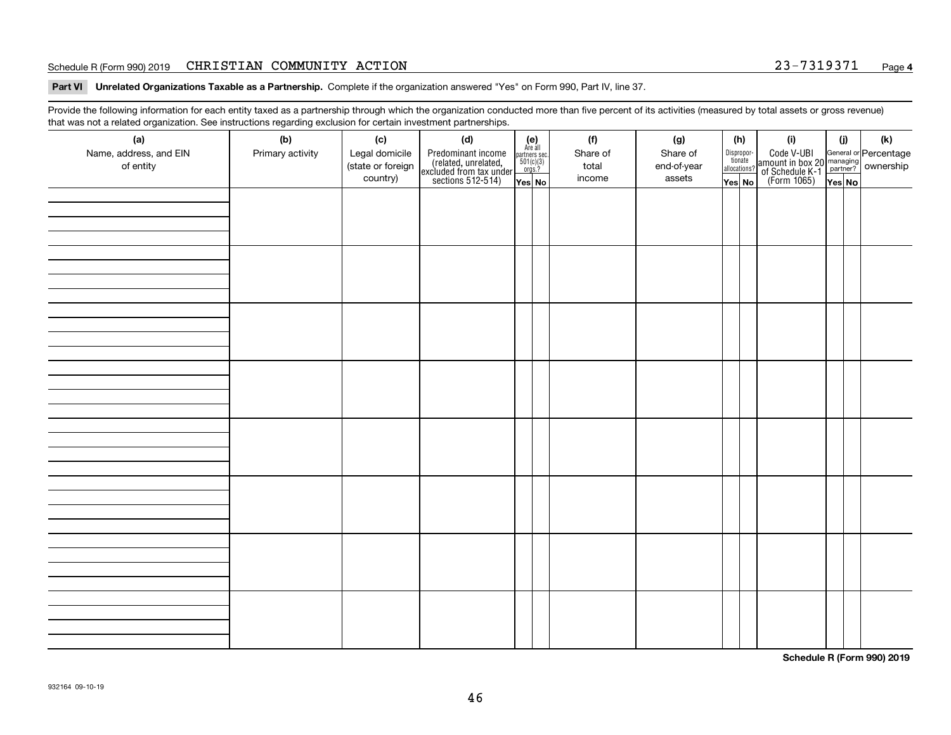#### Schedule R (Form 990) 2019 CHRISTIAN COMMUNITY ACTION 23-7319371 <sub>Page</sub>

**Part VI Unrelated Organizations Taxable as a Partnership. Complete if the organization answered "Yes" on Form 990, Part IV, line 37.** 

Provide the following information for each entity taxed as a partnership through which the organization conducted more than five percent of its activities (measured by total assets or gross revenue) that was not a related organization. See instructions regarding exclusion for certain investment partnerships.

| ັ                      | ັ<br>ັ           |                   |                                                                                            |                                                                                     |  |          |             |  |                                       |                                                                                                                                       |       |     |  |
|------------------------|------------------|-------------------|--------------------------------------------------------------------------------------------|-------------------------------------------------------------------------------------|--|----------|-------------|--|---------------------------------------|---------------------------------------------------------------------------------------------------------------------------------------|-------|-----|--|
| (a)                    | (b)              | (c)               | (d)                                                                                        | (e)<br>Are all                                                                      |  | (f)      | (g)         |  | (h)                                   | (i)                                                                                                                                   | (i)   | (k) |  |
| Name, address, and EIN | Primary activity | Legal domicile    |                                                                                            | $\begin{array}{c}\n\text{partners} \sec.\n\\ \n501(c)(3)\n\\ \n0rgs.?\n\end{array}$ |  | Share of | Share of    |  | Dispropor-<br>tionate<br>allocations? |                                                                                                                                       |       |     |  |
| of entity              |                  | (state or foreign | Predominant income<br>(related, unrelated,<br>excluded from tax under<br>sections 512-514) |                                                                                     |  | total    | end-of-year |  |                                       | Code V-UBI<br>  amount in box 20 managing<br>  of Schedule K-1 partner? ownership<br>  of Schedule K-1 partner? ownership<br>  Yes No |       |     |  |
|                        |                  | country)          |                                                                                            | Yes No                                                                              |  | income   | assets      |  | Yes No                                |                                                                                                                                       | YesNO |     |  |
|                        |                  |                   |                                                                                            |                                                                                     |  |          |             |  |                                       |                                                                                                                                       |       |     |  |
|                        |                  |                   |                                                                                            |                                                                                     |  |          |             |  |                                       |                                                                                                                                       |       |     |  |
|                        |                  |                   |                                                                                            |                                                                                     |  |          |             |  |                                       |                                                                                                                                       |       |     |  |
|                        |                  |                   |                                                                                            |                                                                                     |  |          |             |  |                                       |                                                                                                                                       |       |     |  |
|                        |                  |                   |                                                                                            |                                                                                     |  |          |             |  |                                       |                                                                                                                                       |       |     |  |
|                        |                  |                   |                                                                                            |                                                                                     |  |          |             |  |                                       |                                                                                                                                       |       |     |  |
|                        |                  |                   |                                                                                            |                                                                                     |  |          |             |  |                                       |                                                                                                                                       |       |     |  |
|                        |                  |                   |                                                                                            |                                                                                     |  |          |             |  |                                       |                                                                                                                                       |       |     |  |
|                        |                  |                   |                                                                                            |                                                                                     |  |          |             |  |                                       |                                                                                                                                       |       |     |  |
|                        |                  |                   |                                                                                            |                                                                                     |  |          |             |  |                                       |                                                                                                                                       |       |     |  |
|                        |                  |                   |                                                                                            |                                                                                     |  |          |             |  |                                       |                                                                                                                                       |       |     |  |
|                        |                  |                   |                                                                                            |                                                                                     |  |          |             |  |                                       |                                                                                                                                       |       |     |  |
|                        |                  |                   |                                                                                            |                                                                                     |  |          |             |  |                                       |                                                                                                                                       |       |     |  |
|                        |                  |                   |                                                                                            |                                                                                     |  |          |             |  |                                       |                                                                                                                                       |       |     |  |
|                        |                  |                   |                                                                                            |                                                                                     |  |          |             |  |                                       |                                                                                                                                       |       |     |  |
|                        |                  |                   |                                                                                            |                                                                                     |  |          |             |  |                                       |                                                                                                                                       |       |     |  |
|                        |                  |                   |                                                                                            |                                                                                     |  |          |             |  |                                       |                                                                                                                                       |       |     |  |
|                        |                  |                   |                                                                                            |                                                                                     |  |          |             |  |                                       |                                                                                                                                       |       |     |  |
|                        |                  |                   |                                                                                            |                                                                                     |  |          |             |  |                                       |                                                                                                                                       |       |     |  |
|                        |                  |                   |                                                                                            |                                                                                     |  |          |             |  |                                       |                                                                                                                                       |       |     |  |
|                        |                  |                   |                                                                                            |                                                                                     |  |          |             |  |                                       |                                                                                                                                       |       |     |  |
|                        |                  |                   |                                                                                            |                                                                                     |  |          |             |  |                                       |                                                                                                                                       |       |     |  |
|                        |                  |                   |                                                                                            |                                                                                     |  |          |             |  |                                       |                                                                                                                                       |       |     |  |
|                        |                  |                   |                                                                                            |                                                                                     |  |          |             |  |                                       |                                                                                                                                       |       |     |  |
|                        |                  |                   |                                                                                            |                                                                                     |  |          |             |  |                                       |                                                                                                                                       |       |     |  |
|                        |                  |                   |                                                                                            |                                                                                     |  |          |             |  |                                       |                                                                                                                                       |       |     |  |
|                        |                  |                   |                                                                                            |                                                                                     |  |          |             |  |                                       |                                                                                                                                       |       |     |  |
|                        |                  |                   |                                                                                            |                                                                                     |  |          |             |  |                                       |                                                                                                                                       |       |     |  |
|                        |                  |                   |                                                                                            |                                                                                     |  |          |             |  |                                       |                                                                                                                                       |       |     |  |
|                        |                  |                   |                                                                                            |                                                                                     |  |          |             |  |                                       |                                                                                                                                       |       |     |  |
|                        |                  |                   |                                                                                            |                                                                                     |  |          |             |  |                                       |                                                                                                                                       |       |     |  |
|                        |                  |                   |                                                                                            |                                                                                     |  |          |             |  |                                       |                                                                                                                                       |       |     |  |
|                        |                  |                   |                                                                                            |                                                                                     |  |          |             |  |                                       |                                                                                                                                       |       |     |  |
|                        |                  |                   |                                                                                            |                                                                                     |  |          |             |  |                                       |                                                                                                                                       |       |     |  |
|                        |                  |                   |                                                                                            |                                                                                     |  |          |             |  |                                       |                                                                                                                                       |       |     |  |
|                        |                  |                   |                                                                                            |                                                                                     |  |          |             |  |                                       |                                                                                                                                       |       |     |  |

**Schedule R (Form 990) 2019**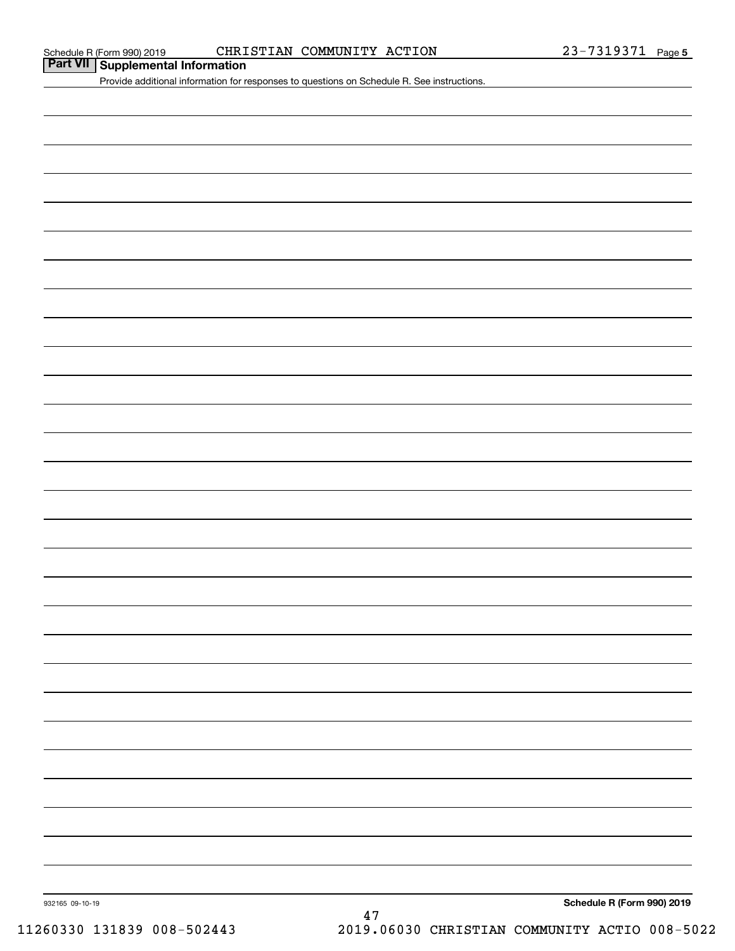#### Schedule R (Form 990) 2019 CHRISTIAN COMMUNITY ACTION 23-7319371 Page

**Part VII Supplemental Information**

Provide additional information for responses to questions on Schedule R. See instructions.

932165 09-10-19